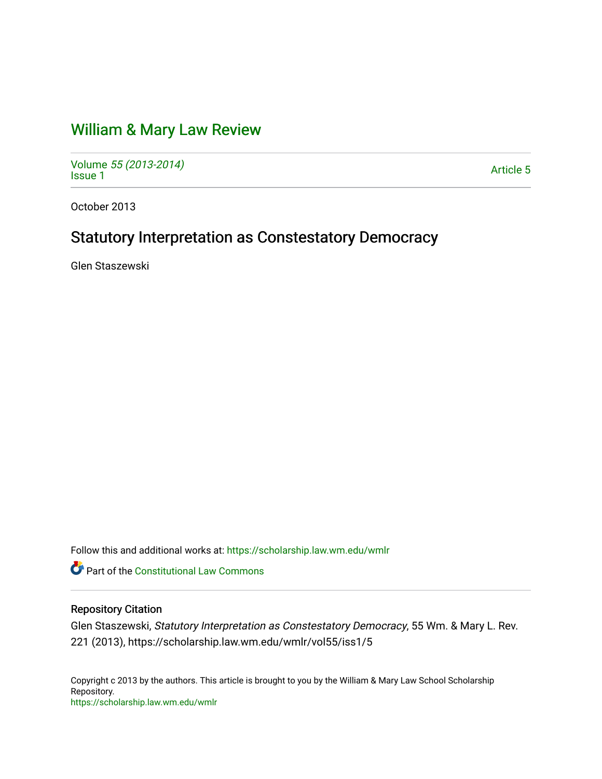# [William & Mary Law Review](https://scholarship.law.wm.edu/wmlr)

Volume [55 \(2013-2014\)](https://scholarship.law.wm.edu/wmlr/vol55)  Polarité 33 (2013-2014)<br>[Issue 1](https://scholarship.law.wm.edu/wmlr/vol55/iss1)

October 2013

# Statutory Interpretation as Constestatory Democracy

Glen Staszewski

Follow this and additional works at: [https://scholarship.law.wm.edu/wmlr](https://scholarship.law.wm.edu/wmlr?utm_source=scholarship.law.wm.edu%2Fwmlr%2Fvol55%2Fiss1%2F5&utm_medium=PDF&utm_campaign=PDFCoverPages)

**P** Part of the Constitutional Law Commons

## Repository Citation

Glen Staszewski, Statutory Interpretation as Constestatory Democracy, 55 Wm. & Mary L. Rev. 221 (2013), https://scholarship.law.wm.edu/wmlr/vol55/iss1/5

Copyright c 2013 by the authors. This article is brought to you by the William & Mary Law School Scholarship Repository. <https://scholarship.law.wm.edu/wmlr>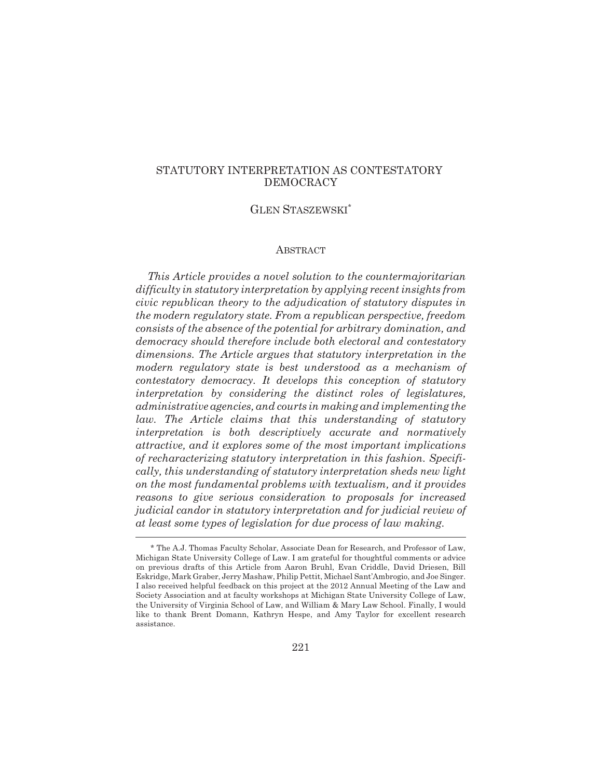## STATUTORY INTERPRETATION AS CONTESTATORY DEMOCRACY

## GLEN STASZEWSKI\*

## ABSTRACT

*This Article provides a novel solution to the countermajoritarian difficulty in statutory interpretation by applying recent insights from civic republican theory to the adjudication of statutory disputes in the modern regulatory state. From a republican perspective, freedom consists of the absence of the potential for arbitrary domination, and democracy should therefore include both electoral and contestatory dimensions. The Article argues that statutory interpretation in the modern regulatory state is best understood as a mechanism of contestatory democracy. It develops this conception of statutory interpretation by considering the distinct roles of legislatures, administrative agencies, and courts in making and implementing the law. The Article claims that this understanding of statutory interpretation is both descriptively accurate and normatively attractive, and it explores some of the most important implications of recharacterizing statutory interpretation in this fashion. Specifically, this understanding of statutory interpretation sheds new light on the most fundamental problems with textualism, and it provides reasons to give serious consideration to proposals for increased judicial candor in statutory interpretation and for judicial review of at least some types of legislation for due process of law making.*

<sup>\*</sup> The A.J. Thomas Faculty Scholar, Associate Dean for Research, and Professor of Law, Michigan State University College of Law. I am grateful for thoughtful comments or advice on previous drafts of this Article from Aaron Bruhl, Evan Criddle, David Driesen, Bill Eskridge, Mark Graber, Jerry Mashaw, Philip Pettit, Michael Sant'Ambrogio, and Joe Singer. I also received helpful feedback on this project at the 2012 Annual Meeting of the Law and Society Association and at faculty workshops at Michigan State University College of Law, the University of Virginia School of Law, and William & Mary Law School. Finally, I would like to thank Brent Domann, Kathryn Hespe, and Amy Taylor for excellent research assistance.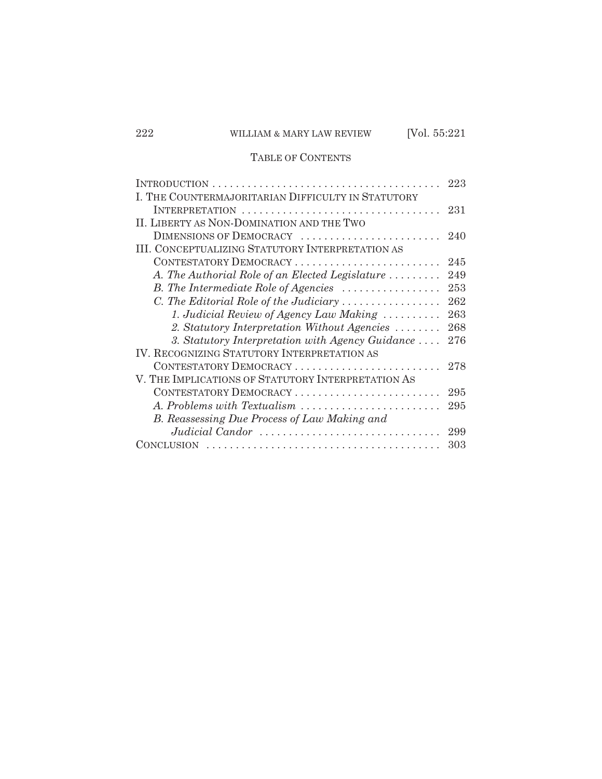## TABLE OF CONTENTS

|                                                                   | 223 |
|-------------------------------------------------------------------|-----|
| I. THE COUNTERMAJORITARIAN DIFFICULTY IN STATUTORY                |     |
|                                                                   | 231 |
| II. LIBERTY AS NON-DOMINATION AND THE TWO                         |     |
| DIMENSIONS OF DEMOCRACY                                           | 240 |
| <b>III. CONCEPTUALIZING STATUTORY INTERPRETATION AS</b>           |     |
| CONTESTATORY DEMOCRACY                                            | 245 |
| A. The Authorial Role of an Elected Legislature $\dots\dots\dots$ | 249 |
| B. The Intermediate Role of Agencies                              | 253 |
| C. The Editorial Role of the Judiciary                            | 262 |
| 1. Judicial Review of Agency Law Making                           | 263 |
| 2. Statutory Interpretation Without Agencies                      | 268 |
| 3. Statutory Interpretation with Agency Guidance                  | 276 |
| IV. RECOGNIZING STATUTORY INTERPRETATION AS                       |     |
| CONTESTATORY DEMOCRACY                                            | 278 |
| V. THE IMPLICATIONS OF STATUTORY INTERPRETATION AS                |     |
| CONTESTATORY DEMOCRACY                                            | 295 |
| A. Problems with Textualism                                       | 295 |
| B. Reassessing Due Process of Law Making and                      |     |
| Judicial Candor                                                   | 299 |
| <b>CONCLUSION</b>                                                 | 303 |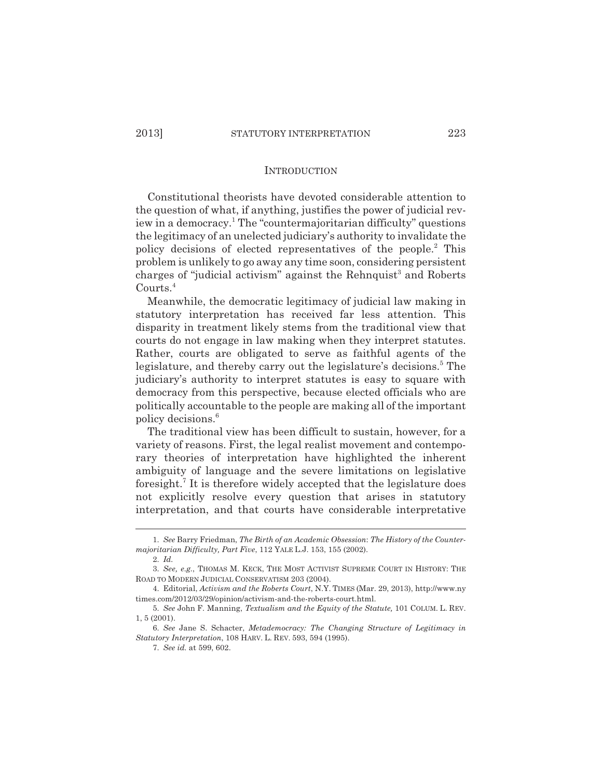#### INTRODUCTION

Constitutional theorists have devoted considerable attention to the question of what, if anything, justifies the power of judicial review in a democracy.<sup>1</sup> The "countermajoritarian difficulty" questions the legitimacy of an unelected judiciary's authority to invalidate the policy decisions of elected representatives of the people.<sup>2</sup> This problem is unlikely to go away any time soon, considering persistent charges of "judicial activism" against the Rehnquist<sup>3</sup> and Roberts Courts.4

Meanwhile, the democratic legitimacy of judicial law making in statutory interpretation has received far less attention. This disparity in treatment likely stems from the traditional view that courts do not engage in law making when they interpret statutes. Rather, courts are obligated to serve as faithful agents of the legislature, and thereby carry out the legislature's decisions.<sup>5</sup> The judiciary's authority to interpret statutes is easy to square with democracy from this perspective, because elected officials who are politically accountable to the people are making all of the important policy decisions.6

The traditional view has been difficult to sustain, however, for a variety of reasons. First, the legal realist movement and contemporary theories of interpretation have highlighted the inherent ambiguity of language and the severe limitations on legislative foresight.<sup>7</sup> It is therefore widely accepted that the legislature does not explicitly resolve every question that arises in statutory interpretation, and that courts have considerable interpretative

<sup>1.</sup> *See* Barry Friedman, *The Birth of an Academic Obsession*: *The History of the Countermajoritarian Difficulty, Part Five*, 112 YALE L.J. 153, 155 (2002).

<sup>2.</sup> *Id.*

<sup>3.</sup> *See, e.g.*, THOMAS M. KECK, THE MOST ACTIVIST SUPREME COURT IN HISTORY: THE ROAD TO MODERN JUDICIAL CONSERVATISM 203 (2004).

<sup>4.</sup> Editorial, *Activism and the Roberts Court*, N.Y. TIMES (Mar. 29, 2013), http://www.ny times.com/2012/03/29/opinion/activism-and-the-roberts-court.html.

<sup>5.</sup> *See* John F. Manning, *Textualism and the Equity of the Statute,* 101 COLUM. L. REV. 1, 5 (2001).

<sup>6.</sup> *See* Jane S. Schacter, *Metademocracy: The Changing Structure of Legitimacy in Statutory Interpretation*, 108 HARV. L. REV. 593, 594 (1995).

<sup>7.</sup> *See id.* at 599, 602.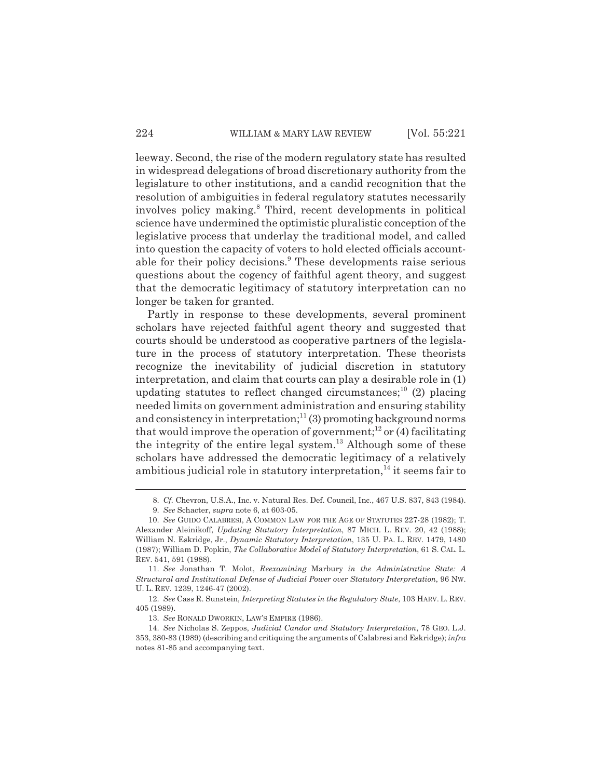leeway. Second, the rise of the modern regulatory state has resulted in widespread delegations of broad discretionary authority from the legislature to other institutions, and a candid recognition that the resolution of ambiguities in federal regulatory statutes necessarily involves policy making.8 Third, recent developments in political science have undermined the optimistic pluralistic conception of the legislative process that underlay the traditional model, and called into question the capacity of voters to hold elected officials accountable for their policy decisions.<sup>9</sup> These developments raise serious questions about the cogency of faithful agent theory, and suggest that the democratic legitimacy of statutory interpretation can no longer be taken for granted.

Partly in response to these developments, several prominent scholars have rejected faithful agent theory and suggested that courts should be understood as cooperative partners of the legislature in the process of statutory interpretation. These theorists recognize the inevitability of judicial discretion in statutory interpretation, and claim that courts can play a desirable role in (1) updating statutes to reflect changed circumstances;<sup>10</sup> (2) placing needed limits on government administration and ensuring stability and consistency in interpretation; $11(3)$  promoting background norms that would improve the operation of government;<sup>12</sup> or  $(4)$  facilitating the integrity of the entire legal system. $^{13}$  Although some of these scholars have addressed the democratic legitimacy of a relatively ambitious judicial role in statutory interpretation, $14$  it seems fair to

<sup>8.</sup> *Cf.* Chevron, U.S.A., Inc. v. Natural Res. Def. Council, Inc., 467 U.S. 837, 843 (1984).

<sup>9.</sup> *See* Schacter, *supra* note 6, at 603-05.

<sup>10.</sup> *See* GUIDO CALABRESI, A COMMON LAW FOR THE AGE OF STATUTES 227-28 (1982); T. Alexander Aleinikoff, *Updating Statutory Interpretation*, 87 MICH. L. REV. 20, 42 (1988); William N. Eskridge, Jr., *Dynamic Statutory Interpretation*, 135 U. PA. L. REV. 1479, 1480 (1987); William D. Popkin, *The Collaborative Model of Statutory Interpretation*, 61 S. CAL. L. REV. 541, 591 (1988).

<sup>11.</sup> *See* Jonathan T. Molot, *Reexamining* Marbury *in the Administrative State: A Structural and Institutional Defense of Judicial Power over Statutory Interpretation*, 96 NW. U. L. REV. 1239, 1246-47 (2002).

<sup>12.</sup> *See* Cass R. Sunstein, *Interpreting Statutes in the Regulatory State*, 103 HARV. L. REV. 405 (1989).

<sup>13.</sup> *See* RONALD DWORKIN, LAW'S EMPIRE (1986).

<sup>14.</sup> *See* Nicholas S. Zeppos, *Judicial Candor and Statutory Interpretation*, 78 GEO. L.J. 353, 380-83 (1989) (describing and critiquing the arguments of Calabresi and Eskridge); *infra* notes 81-85 and accompanying text.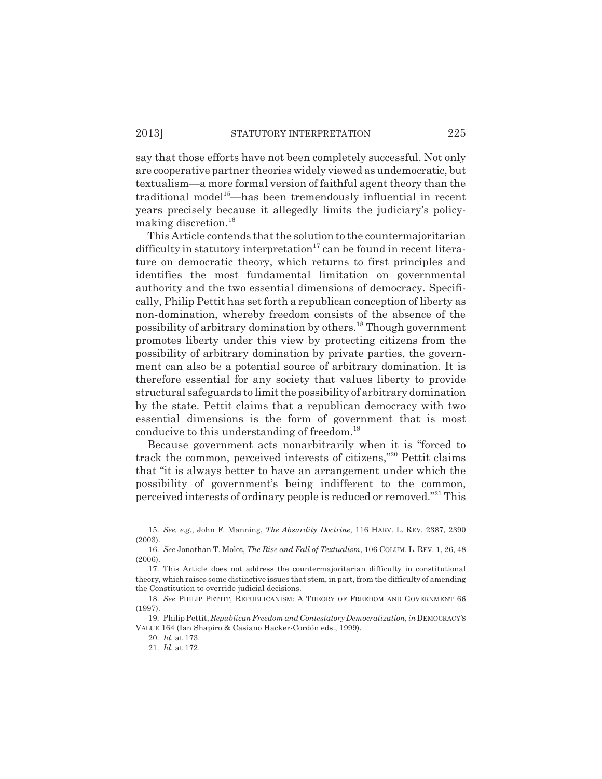say that those efforts have not been completely successful. Not only are cooperative partner theories widely viewed as undemocratic, but textualism—a more formal version of faithful agent theory than the traditional model<sup>15</sup>—has been tremendously influential in recent years precisely because it allegedly limits the judiciary's policymaking discretion.<sup>16</sup>

This Article contends that the solution to the countermajoritarian difficulty in statutory interpretation $17$  can be found in recent literature on democratic theory, which returns to first principles and identifies the most fundamental limitation on governmental authority and the two essential dimensions of democracy. Specifically, Philip Pettit has set forth a republican conception of liberty as non-domination, whereby freedom consists of the absence of the possibility of arbitrary domination by others.18 Though government promotes liberty under this view by protecting citizens from the possibility of arbitrary domination by private parties, the government can also be a potential source of arbitrary domination. It is therefore essential for any society that values liberty to provide structural safeguards to limit the possibility of arbitrary domination by the state. Pettit claims that a republican democracy with two essential dimensions is the form of government that is most conducive to this understanding of freedom.19

Because government acts nonarbitrarily when it is "forced to track the common, perceived interests of citizens,"20 Pettit claims that "it is always better to have an arrangement under which the possibility of government's being indifferent to the common, perceived interests of ordinary people is reduced or removed."21 This

<sup>15.</sup> *See, e.g.*, John F. Manning, *The Absurdity Doctrine*, 116 HARV. L. REV. 2387, 2390 (2003).

<sup>16.</sup> *See* Jonathan T. Molot, *The Rise and Fall of Textualism*, 106 COLUM. L. REV. 1, 26, 48 (2006).

<sup>17.</sup> This Article does not address the countermajoritarian difficulty in constitutional theory, which raises some distinctive issues that stem, in part, from the difficulty of amending the Constitution to override judicial decisions.

<sup>18.</sup> *See* PHILIP PETTIT, REPUBLICANISM: A THEORY OF FREEDOM AND GOVERNMENT 66 (1997).

<sup>19.</sup> Philip Pettit, *Republican Freedom and Contestatory Democratization*, *in* DEMOCRACY'S VALUE 164 (Ian Shapiro & Casiano Hacker-Cordón eds., 1999).

<sup>20.</sup> *Id.* at 173.

<sup>21.</sup> *Id.* at 172.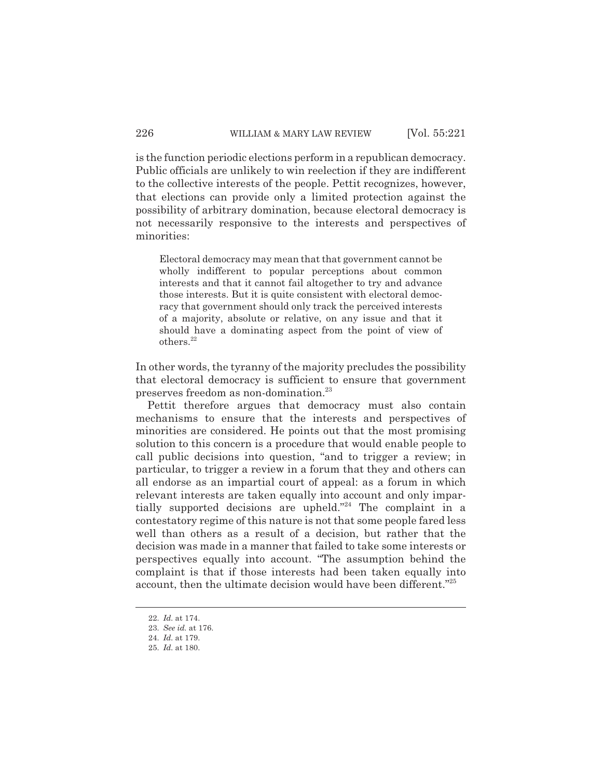is the function periodic elections perform in a republican democracy. Public officials are unlikely to win reelection if they are indifferent to the collective interests of the people. Pettit recognizes, however, that elections can provide only a limited protection against the possibility of arbitrary domination, because electoral democracy is not necessarily responsive to the interests and perspectives of minorities:

Electoral democracy may mean that that government cannot be wholly indifferent to popular perceptions about common interests and that it cannot fail altogether to try and advance those interests. But it is quite consistent with electoral democracy that government should only track the perceived interests of a majority, absolute or relative, on any issue and that it should have a dominating aspect from the point of view of others.<sup>22</sup>

In other words, the tyranny of the majority precludes the possibility that electoral democracy is sufficient to ensure that government preserves freedom as non-domination.23

Pettit therefore argues that democracy must also contain mechanisms to ensure that the interests and perspectives of minorities are considered. He points out that the most promising solution to this concern is a procedure that would enable people to call public decisions into question, "and to trigger a review; in particular, to trigger a review in a forum that they and others can all endorse as an impartial court of appeal: as a forum in which relevant interests are taken equally into account and only impartially supported decisions are upheld."<sup>24</sup> The complaint in a contestatory regime of this nature is not that some people fared less well than others as a result of a decision, but rather that the decision was made in a manner that failed to take some interests or perspectives equally into account. "The assumption behind the complaint is that if those interests had been taken equally into account, then the ultimate decision would have been different."<sup>25</sup>

<sup>22.</sup> *Id.* at 174.

<sup>23.</sup> *See id.* at 176.

<sup>24.</sup> *Id.* at 179.

<sup>25.</sup> *Id.* at 180.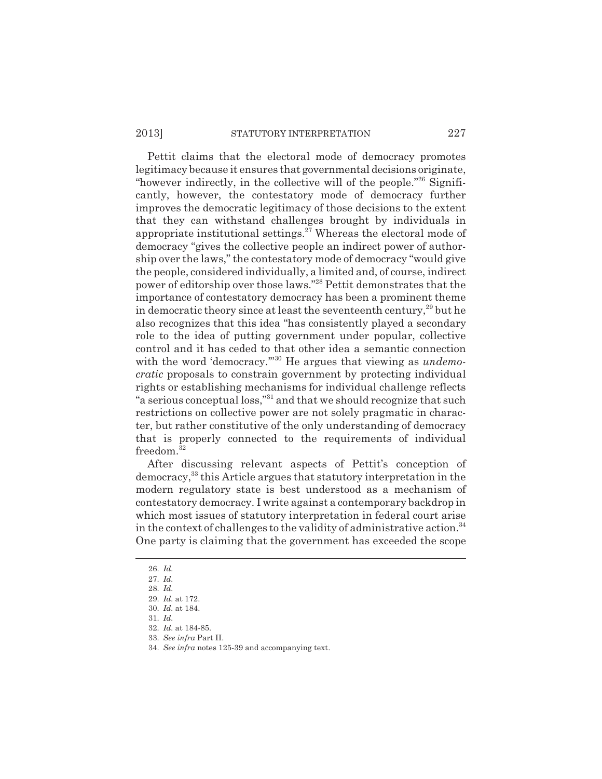### 2013] STATUTORY INTERPRETATION 227

Pettit claims that the electoral mode of democracy promotes legitimacy because it ensures that governmental decisions originate, "however indirectly, in the collective will of the people."26 Significantly, however, the contestatory mode of democracy further improves the democratic legitimacy of those decisions to the extent that they can withstand challenges brought by individuals in appropriate institutional settings. $27$  Whereas the electoral mode of democracy "gives the collective people an indirect power of authorship over the laws," the contestatory mode of democracy "would give the people, considered individually, a limited and, of course, indirect power of editorship over those laws."28 Pettit demonstrates that the importance of contestatory democracy has been a prominent theme in democratic theory since at least the seventeenth century,<sup>29</sup> but he also recognizes that this idea "has consistently played a secondary role to the idea of putting government under popular, collective control and it has ceded to that other idea a semantic connection with the word 'democracy.<sup>"30</sup> He argues that viewing as *undemocratic* proposals to constrain government by protecting individual rights or establishing mechanisms for individual challenge reflects "a serious conceptual loss,"31 and that we should recognize that such restrictions on collective power are not solely pragmatic in character, but rather constitutive of the only understanding of democracy that is properly connected to the requirements of individual freedom.<sup>32</sup>

After discussing relevant aspects of Pettit's conception of democracy,33 this Article argues that statutory interpretation in the modern regulatory state is best understood as a mechanism of contestatory democracy. I write against a contemporary backdrop in which most issues of statutory interpretation in federal court arise in the context of challenges to the validity of administrative action.<sup>34</sup> One party is claiming that the government has exceeded the scope

<sup>26.</sup> *Id.*

<sup>27.</sup> *Id.*

<sup>28.</sup> *Id.*

<sup>29.</sup> *Id.* at 172.

<sup>30.</sup> *Id.* at 184.

<sup>31.</sup> *Id.*

<sup>32.</sup> *Id.* at 184-85.

<sup>33.</sup> *See infra* Part II.

<sup>34.</sup> *See infra* notes 125-39 and accompanying text.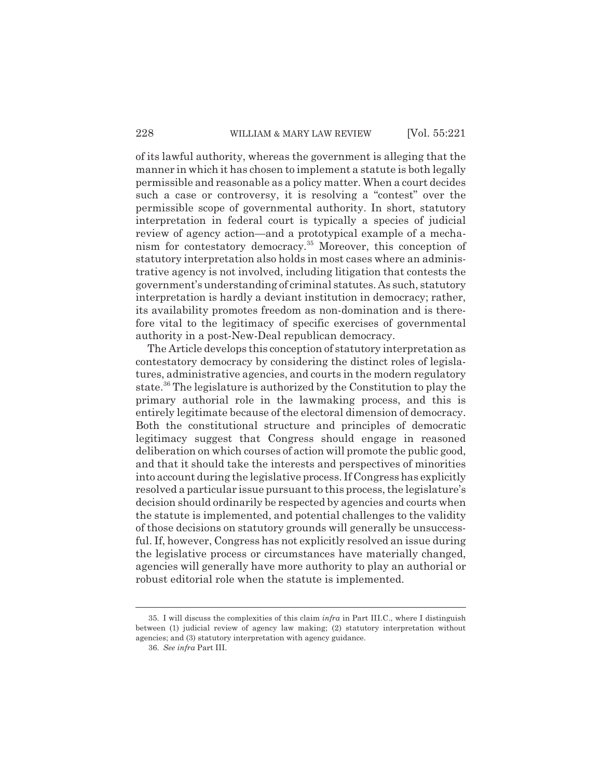of its lawful authority, whereas the government is alleging that the manner in which it has chosen to implement a statute is both legally permissible and reasonable as a policy matter. When a court decides such a case or controversy, it is resolving a "contest" over the permissible scope of governmental authority. In short, statutory interpretation in federal court is typically a species of judicial review of agency action—and a prototypical example of a mechanism for contestatory democracy.35 Moreover, this conception of statutory interpretation also holds in most cases where an administrative agency is not involved, including litigation that contests the government's understanding of criminal statutes. As such, statutory interpretation is hardly a deviant institution in democracy; rather, its availability promotes freedom as non-domination and is therefore vital to the legitimacy of specific exercises of governmental authority in a post-New-Deal republican democracy.

The Article develops this conception of statutory interpretation as contestatory democracy by considering the distinct roles of legislatures, administrative agencies, and courts in the modern regulatory state.36 The legislature is authorized by the Constitution to play the primary authorial role in the lawmaking process, and this is entirely legitimate because of the electoral dimension of democracy. Both the constitutional structure and principles of democratic legitimacy suggest that Congress should engage in reasoned deliberation on which courses of action will promote the public good, and that it should take the interests and perspectives of minorities into account during the legislative process. If Congress has explicitly resolved a particular issue pursuant to this process, the legislature's decision should ordinarily be respected by agencies and courts when the statute is implemented, and potential challenges to the validity of those decisions on statutory grounds will generally be unsuccessful. If, however, Congress has not explicitly resolved an issue during the legislative process or circumstances have materially changed, agencies will generally have more authority to play an authorial or robust editorial role when the statute is implemented.

<sup>35.</sup> I will discuss the complexities of this claim *infra* in Part III.C., where I distinguish between (1) judicial review of agency law making; (2) statutory interpretation without agencies; and (3) statutory interpretation with agency guidance.

<sup>36.</sup> *See infra* Part III.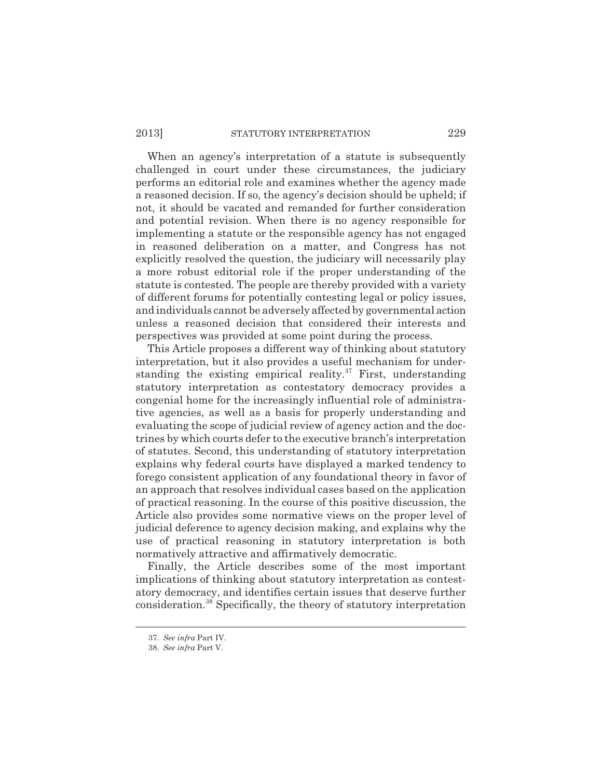### 2013] STATUTORY INTERPRETATION 229

When an agency's interpretation of a statute is subsequently challenged in court under these circumstances, the judiciary performs an editorial role and examines whether the agency made a reasoned decision. If so, the agency's decision should be upheld; if not, it should be vacated and remanded for further consideration and potential revision. When there is no agency responsible for implementing a statute or the responsible agency has not engaged in reasoned deliberation on a matter, and Congress has not explicitly resolved the question, the judiciary will necessarily play a more robust editorial role if the proper understanding of the statute is contested. The people are thereby provided with a variety of different forums for potentially contesting legal or policy issues, and individuals cannot be adversely affected by governmental action unless a reasoned decision that considered their interests and perspectives was provided at some point during the process.

This Article proposes a different way of thinking about statutory interpretation, but it also provides a useful mechanism for understanding the existing empirical reality. $37$  First, understanding statutory interpretation as contestatory democracy provides a congenial home for the increasingly influential role of administrative agencies, as well as a basis for properly understanding and evaluating the scope of judicial review of agency action and the doctrines by which courts defer to the executive branch's interpretation of statutes. Second, this understanding of statutory interpretation explains why federal courts have displayed a marked tendency to forego consistent application of any foundational theory in favor of an approach that resolves individual cases based on the application of practical reasoning. In the course of this positive discussion, the Article also provides some normative views on the proper level of judicial deference to agency decision making, and explains why the use of practical reasoning in statutory interpretation is both normatively attractive and affirmatively democratic.

Finally, the Article describes some of the most important implications of thinking about statutory interpretation as contestatory democracy, and identifies certain issues that deserve further consideration.38 Specifically, the theory of statutory interpretation

<sup>37.</sup> *See infra* Part IV.

<sup>38.</sup> *See infra* Part V.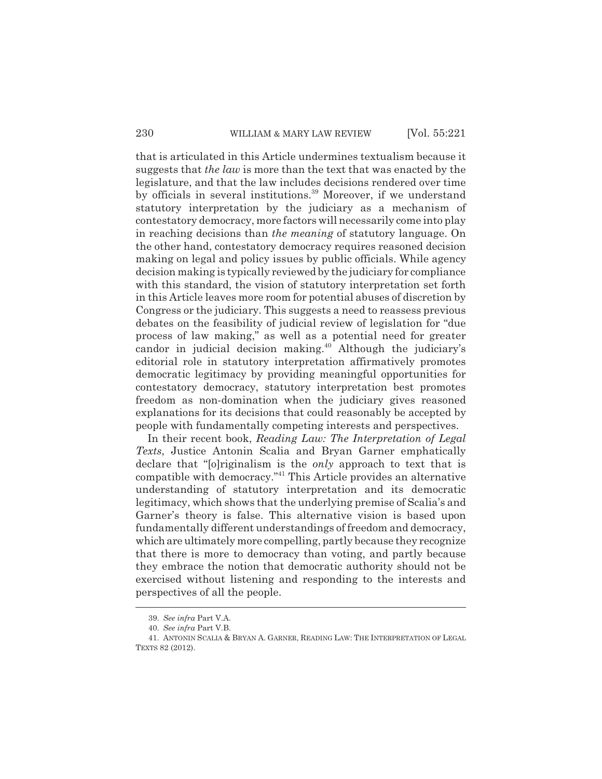that is articulated in this Article undermines textualism because it suggests that *the law* is more than the text that was enacted by the legislature, and that the law includes decisions rendered over time by officials in several institutions.<sup>39</sup> Moreover, if we understand statutory interpretation by the judiciary as a mechanism of contestatory democracy, more factors will necessarily come into play in reaching decisions than *the meaning* of statutory language. On the other hand, contestatory democracy requires reasoned decision making on legal and policy issues by public officials. While agency decision making is typically reviewed by the judiciary for compliance with this standard, the vision of statutory interpretation set forth in this Article leaves more room for potential abuses of discretion by Congress or the judiciary. This suggests a need to reassess previous debates on the feasibility of judicial review of legislation for "due process of law making," as well as a potential need for greater candor in judicial decision making.<sup>40</sup> Although the judiciary's editorial role in statutory interpretation affirmatively promotes democratic legitimacy by providing meaningful opportunities for contestatory democracy, statutory interpretation best promotes freedom as non-domination when the judiciary gives reasoned explanations for its decisions that could reasonably be accepted by people with fundamentally competing interests and perspectives.

In their recent book, *Reading Law: The Interpretation of Legal Texts*, Justice Antonin Scalia and Bryan Garner emphatically declare that "[o]riginalism is the *only* approach to text that is compatible with democracy."41 This Article provides an alternative understanding of statutory interpretation and its democratic legitimacy, which shows that the underlying premise of Scalia's and Garner's theory is false. This alternative vision is based upon fundamentally different understandings of freedom and democracy, which are ultimately more compelling, partly because they recognize that there is more to democracy than voting, and partly because they embrace the notion that democratic authority should not be exercised without listening and responding to the interests and perspectives of all the people.

<sup>39.</sup> *See infra* Part V.A.

<sup>40.</sup> *See infra* Part V.B.

<sup>41.</sup> ANTONIN SCALIA & BRYAN A. GARNER, READING LAW: THE INTERPRETATION OF LEGAL TEXTS 82 (2012).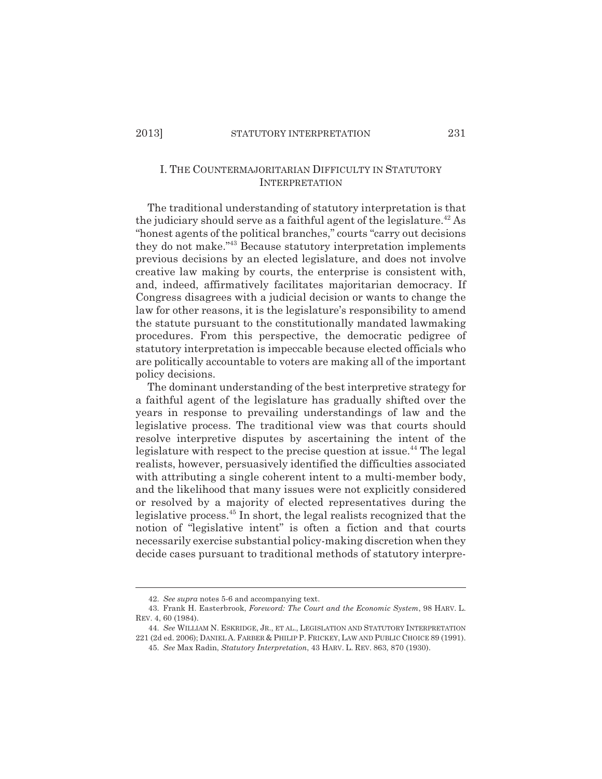## I. THE COUNTERMAJORITARIAN DIFFICULTY IN STATUTORY **INTERPRETATION**

The traditional understanding of statutory interpretation is that the judiciary should serve as a faithful agent of the legislature.<sup>42</sup> As "honest agents of the political branches," courts "carry out decisions they do not make."43 Because statutory interpretation implements previous decisions by an elected legislature, and does not involve creative law making by courts, the enterprise is consistent with, and, indeed, affirmatively facilitates majoritarian democracy. If Congress disagrees with a judicial decision or wants to change the law for other reasons, it is the legislature's responsibility to amend the statute pursuant to the constitutionally mandated lawmaking procedures. From this perspective, the democratic pedigree of statutory interpretation is impeccable because elected officials who are politically accountable to voters are making all of the important policy decisions.

The dominant understanding of the best interpretive strategy for a faithful agent of the legislature has gradually shifted over the years in response to prevailing understandings of law and the legislative process. The traditional view was that courts should resolve interpretive disputes by ascertaining the intent of the legislature with respect to the precise question at issue.<sup>44</sup> The legal realists, however, persuasively identified the difficulties associated with attributing a single coherent intent to a multi-member body, and the likelihood that many issues were not explicitly considered or resolved by a majority of elected representatives during the legislative process.45 In short, the legal realists recognized that the notion of "legislative intent" is often a fiction and that courts necessarily exercise substantial policy-making discretion when they decide cases pursuant to traditional methods of statutory interpre-

<sup>42.</sup> *See supra* notes 5-6 and accompanying text.

<sup>43.</sup> Frank H. Easterbrook, *Foreword: The Court and the Economic System*, 98 HARV. L. REV. 4, 60 (1984).

<sup>44.</sup> *See* WILLIAM N. ESKRIDGE, JR., ET AL., LEGISLATION AND STATUTORY INTERPRETATION 221 (2d ed. 2006); DANIEL A.FARBER & PHILIP P. FRICKEY, LAW AND PUBLIC CHOICE 89 (1991).

<sup>45.</sup> *See* Max Radin, *Statutory Interpretation*, 43 HARV. L. REV. 863, 870 (1930).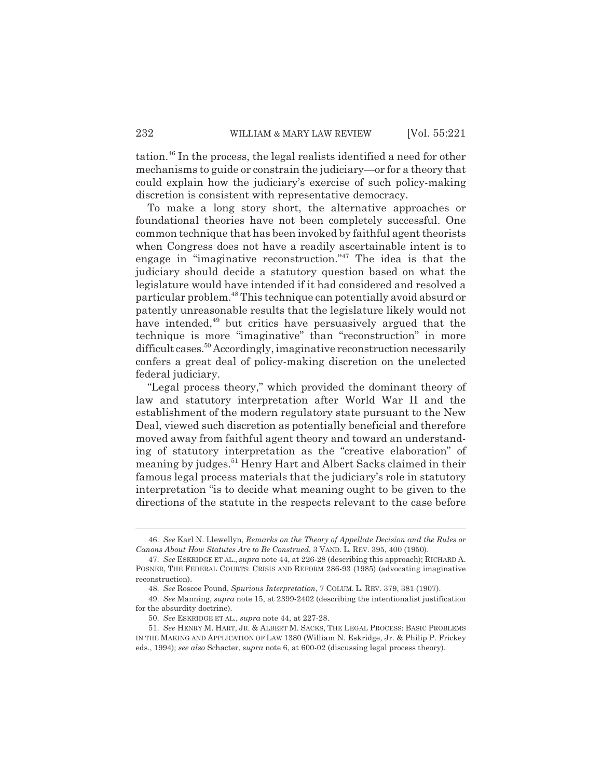tation.46 In the process, the legal realists identified a need for other mechanisms to guide or constrain the judiciary—or for a theory that could explain how the judiciary's exercise of such policy-making discretion is consistent with representative democracy.

To make a long story short, the alternative approaches or foundational theories have not been completely successful. One common technique that has been invoked by faithful agent theorists when Congress does not have a readily ascertainable intent is to engage in "imaginative reconstruction."47 The idea is that the judiciary should decide a statutory question based on what the legislature would have intended if it had considered and resolved a particular problem.48 This technique can potentially avoid absurd or patently unreasonable results that the legislature likely would not have intended,<sup>49</sup> but critics have persuasively argued that the technique is more "imaginative" than "reconstruction" in more difficult cases.<sup>50</sup> Accordingly, imaginative reconstruction necessarily confers a great deal of policy-making discretion on the unelected federal judiciary.

"Legal process theory," which provided the dominant theory of law and statutory interpretation after World War II and the establishment of the modern regulatory state pursuant to the New Deal, viewed such discretion as potentially beneficial and therefore moved away from faithful agent theory and toward an understanding of statutory interpretation as the "creative elaboration" of meaning by judges.<sup>51</sup> Henry Hart and Albert Sacks claimed in their famous legal process materials that the judiciary's role in statutory interpretation "is to decide what meaning ought to be given to the directions of the statute in the respects relevant to the case before

<sup>46.</sup> *See* Karl N. Llewellyn, *Remarks on the Theory of Appellate Decision and the Rules or Canons About How Statutes Are to Be Construed*, 3 VAND. L. REV. 395, 400 (1950).

<sup>47.</sup> *See* ESKRIDGE ET AL., *supra* note 44, at 226-28 (describing this approach); RICHARD A. POSNER, THE FEDERAL COURTS: CRISIS AND REFORM 286-93 (1985) (advocating imaginative reconstruction).

<sup>48.</sup> *See* Roscoe Pound, *Spurious Interpretation*, 7 COLUM. L. REV. 379, 381 (1907).

<sup>49.</sup> *See* Manning, *supra* note 15, at 2399-2402 (describing the intentionalist justification for the absurdity doctrine).

<sup>50.</sup> *See* ESKRIDGE ET AL., *supra* note 44, at 227-28.

<sup>51.</sup> *See* HENRY M. HART, JR. & ALBERT M. SACKS, THE LEGAL PROCESS: BASIC PROBLEMS IN THE MAKING AND APPLICATION OF LAW 1380 (William N. Eskridge, Jr. & Philip P. Frickey eds., 1994); *see also* Schacter, *supra* note 6, at 600-02 (discussing legal process theory).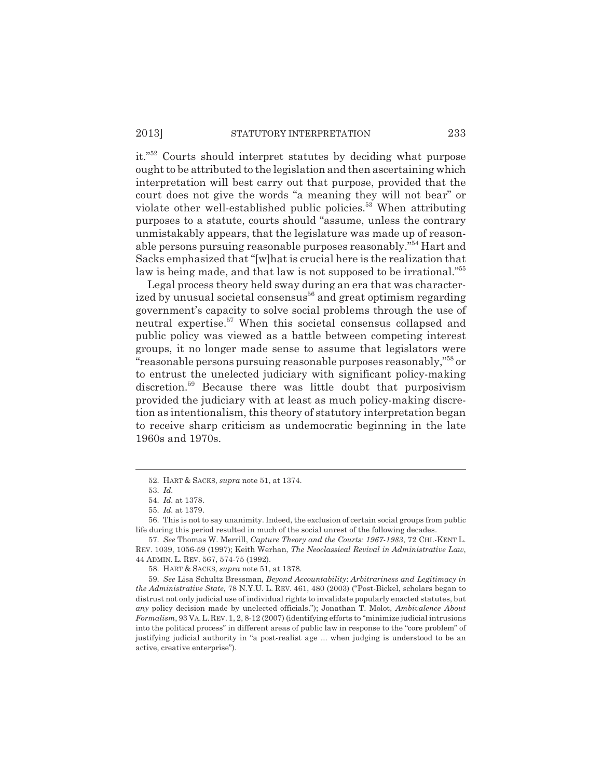it."52 Courts should interpret statutes by deciding what purpose ought to be attributed to the legislation and then ascertaining which interpretation will best carry out that purpose, provided that the court does not give the words "a meaning they will not bear" or violate other well-established public policies.<sup>53</sup> When attributing purposes to a statute, courts should "assume, unless the contrary unmistakably appears, that the legislature was made up of reasonable persons pursuing reasonable purposes reasonably."54 Hart and Sacks emphasized that "[w]hat is crucial here is the realization that law is being made, and that law is not supposed to be irrational."<sup>55</sup>

Legal process theory held sway during an era that was characterized by unusual societal consensus<sup>56</sup> and great optimism regarding government's capacity to solve social problems through the use of neutral expertise.<sup>57</sup> When this societal consensus collapsed and public policy was viewed as a battle between competing interest groups, it no longer made sense to assume that legislators were "reasonable persons pursuing reasonable purposes reasonably,"58 or to entrust the unelected judiciary with significant policy-making discretion.<sup>59</sup> Because there was little doubt that purposivism provided the judiciary with at least as much policy-making discretion as intentionalism, this theory of statutory interpretation began to receive sharp criticism as undemocratic beginning in the late 1960s and 1970s.

<sup>52.</sup> HART & SACKS, *supra* note 51, at 1374.

<sup>53.</sup> *Id.*

<sup>54.</sup> *Id.* at 1378.

<sup>55.</sup> *Id.* at 1379.

<sup>56.</sup> This is not to say unanimity. Indeed, the exclusion of certain social groups from public life during this period resulted in much of the social unrest of the following decades.

<sup>57.</sup> *See* Thomas W. Merrill, *Capture Theory and the Courts: 1967-1983*, 72 CHI.-KENT L. REV. 1039, 1056-59 (1997); Keith Werhan, *The Neoclassical Revival in Administrative Law*, 44 ADMIN. L. REV. 567, 574-75 (1992).

<sup>58.</sup> HART & SACKS, *supra* note 51, at 1378.

<sup>59.</sup> *See* Lisa Schultz Bressman, *Beyond Accountability*: *Arbitrariness and Legitimacy in the Administrative State*, 78 N.Y.U. L. REV. 461, 480 (2003) ("Post-Bickel, scholars began to distrust not only judicial use of individual rights to invalidate popularly enacted statutes, but *any* policy decision made by unelected officials."); Jonathan T. Molot, *Ambivalence About Formalism*, 93 VA.L.REV. 1, 2, 8-12 (2007) (identifying efforts to "minimize judicial intrusions into the political process" in different areas of public law in response to the "core problem" of justifying judicial authority in "a post-realist age ... when judging is understood to be an active, creative enterprise").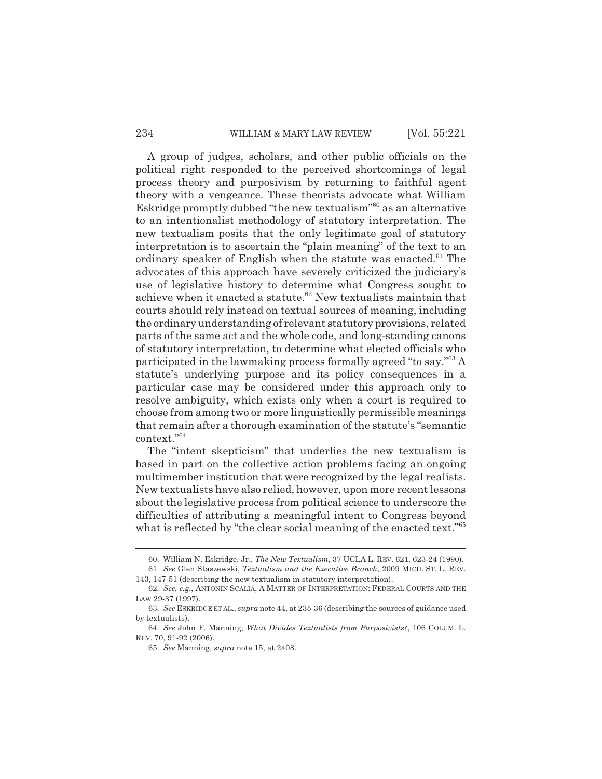### 234 WILLIAM & MARY LAW REVIEW [Vol. 55:221]

A group of judges, scholars, and other public officials on the political right responded to the perceived shortcomings of legal process theory and purposivism by returning to faithful agent theory with a vengeance. These theorists advocate what William Eskridge promptly dubbed "the new textualism"60 as an alternative to an intentionalist methodology of statutory interpretation. The new textualism posits that the only legitimate goal of statutory interpretation is to ascertain the "plain meaning" of the text to an ordinary speaker of English when the statute was enacted.<sup>61</sup> The advocates of this approach have severely criticized the judiciary's use of legislative history to determine what Congress sought to achieve when it enacted a statute.<sup>62</sup> New textualists maintain that courts should rely instead on textual sources of meaning, including the ordinary understanding of relevant statutory provisions, related parts of the same act and the whole code, and long-standing canons of statutory interpretation, to determine what elected officials who participated in the lawmaking process formally agreed "to say."63 A statute's underlying purpose and its policy consequences in a particular case may be considered under this approach only to resolve ambiguity, which exists only when a court is required to choose from among two or more linguistically permissible meanings that remain after a thorough examination of the statute's "semantic context."64

The "intent skepticism" that underlies the new textualism is based in part on the collective action problems facing an ongoing multimember institution that were recognized by the legal realists. New textualists have also relied, however, upon more recent lessons about the legislative process from political science to underscore the difficulties of attributing a meaningful intent to Congress beyond what is reflected by "the clear social meaning of the enacted text."<sup>65</sup>

<sup>60.</sup> William N. Eskridge, Jr., *The New Textualism*, 37 UCLA L. REV. 621, 623-24 (1990). 61. *See* Glen Staszewski, *Textualism and the Executive Branch*, 2009 MICH. ST. L. REV.

<sup>143, 147-51 (</sup>describing the new textualism in statutory interpretation). 62. *See, e.g.*, ANTONIN SCALIA, A MATTER OF INTERPRETATION: FEDERAL COURTS AND THE

LAW 29-37 (1997).

<sup>63.</sup> *See* ESKRIDGE ET AL., *supra* note 44, at 235-36 (describing the sources of guidance used by textualists).

<sup>64.</sup> *See* John F. Manning, *What Divides Textualists from Purposivists?*, 106 COLUM. L. REV. 70, 91-92 (2006).

<sup>65.</sup> *See* Manning, *supra* note 15, at 2408.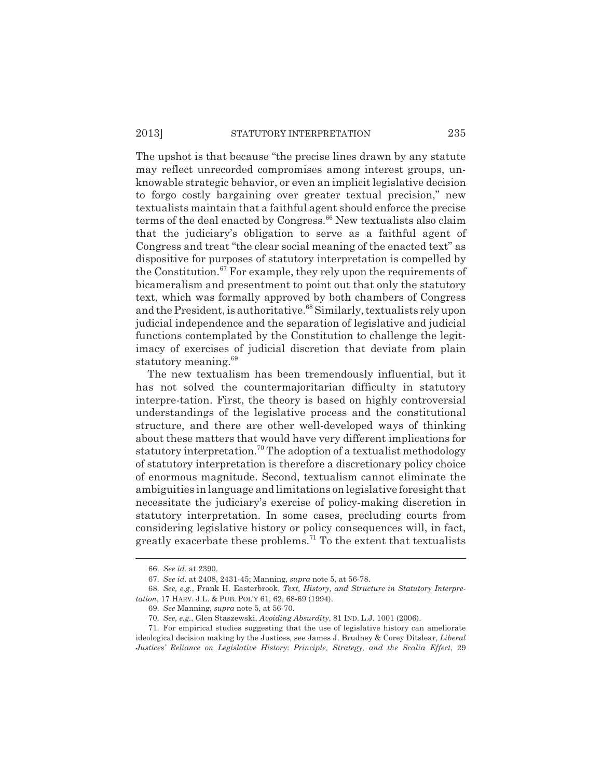The upshot is that because "the precise lines drawn by any statute may reflect unrecorded compromises among interest groups, unknowable strategic behavior, or even an implicit legislative decision to forgo costly bargaining over greater textual precision," new textualists maintain that a faithful agent should enforce the precise terms of the deal enacted by Congress.<sup>66</sup> New textualists also claim that the judiciary's obligation to serve as a faithful agent of Congress and treat "the clear social meaning of the enacted text" as dispositive for purposes of statutory interpretation is compelled by the Constitution.<sup>67</sup> For example, they rely upon the requirements of bicameralism and presentment to point out that only the statutory text, which was formally approved by both chambers of Congress and the President, is authoritative.<sup>68</sup> Similarly, textualists rely upon judicial independence and the separation of legislative and judicial functions contemplated by the Constitution to challenge the legitimacy of exercises of judicial discretion that deviate from plain statutory meaning.<sup>69</sup>

The new textualism has been tremendously influential, but it has not solved the countermajoritarian difficulty in statutory interpre-tation. First, the theory is based on highly controversial understandings of the legislative process and the constitutional structure, and there are other well-developed ways of thinking about these matters that would have very different implications for statutory interpretation.<sup>70</sup> The adoption of a textualist methodology of statutory interpretation is therefore a discretionary policy choice of enormous magnitude. Second, textualism cannot eliminate the ambiguities in language and limitations on legislative foresight that necessitate the judiciary's exercise of policy-making discretion in statutory interpretation. In some cases, precluding courts from considering legislative history or policy consequences will, in fact, greatly exacerbate these problems.<sup>71</sup> To the extent that textualists

<sup>66.</sup> *See id.* at 2390.

<sup>67.</sup> *See id.* at 2408, 2431-45; Manning, *supra* note 5, at 56-78.

<sup>68.</sup> *See, e.g.*, Frank H. Easterbrook, *Text, History, and Structure in Statutory Interpretation*, 17 HARV. J.L. & PUB. POL'Y 61, 62, 68-69 (1994).

<sup>69.</sup> *See* Manning, *supra* note 5, at 56-70.

<sup>70.</sup> *See, e.g.*, Glen Staszewski, *Avoiding Absurdity*, 81 IND. L.J. 1001 (2006).

<sup>71.</sup> For empirical studies suggesting that the use of legislative history can ameliorate ideological decision making by the Justices, see James J. Brudney & Corey Ditslear, *Liberal Justices' Reliance on Legislative History*: *Principle, Strategy, and the Scalia Effect*, 29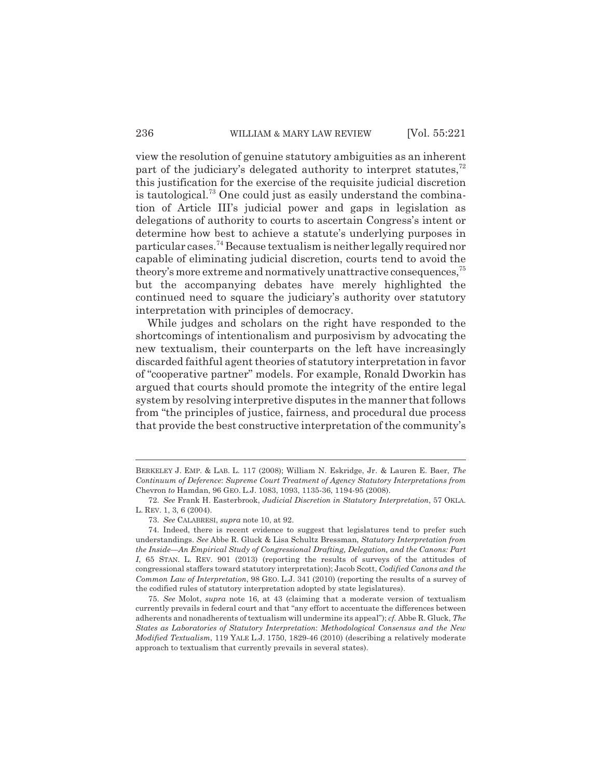view the resolution of genuine statutory ambiguities as an inherent part of the judiciary's delegated authority to interpret statutes, $72$ this justification for the exercise of the requisite judicial discretion is tautological.<sup>73</sup> One could just as easily understand the combination of Article III's judicial power and gaps in legislation as delegations of authority to courts to ascertain Congress's intent or determine how best to achieve a statute's underlying purposes in particular cases.74 Because textualism is neither legally required nor capable of eliminating judicial discretion, courts tend to avoid the theory's more extreme and normatively unattractive consequences,  $75$ but the accompanying debates have merely highlighted the continued need to square the judiciary's authority over statutory interpretation with principles of democracy.

While judges and scholars on the right have responded to the shortcomings of intentionalism and purposivism by advocating the new textualism, their counterparts on the left have increasingly discarded faithful agent theories of statutory interpretation in favor of "cooperative partner" models. For example, Ronald Dworkin has argued that courts should promote the integrity of the entire legal system by resolving interpretive disputes in the manner that follows from "the principles of justice, fairness, and procedural due process that provide the best constructive interpretation of the community's

BERKELEY J. EMP. & LAB. L. 117 (2008); William N. Eskridge, Jr. & Lauren E. Baer, *The Continuum of Deference*: *Supreme Court Treatment of Agency Statutory Interpretations from* Chevron *to* Hamdan, 96 GEO. L.J. 1083, 1093, 1135-36, 1194-95 (2008).

<sup>72.</sup> *See* Frank H. Easterbrook, *Judicial Discretion in Statutory Interpretation*, 57 OKLA. L. REV. 1, 3, 6 (2004).

<sup>73.</sup> *See* CALABRESI, *supra* note 10, at 92.

<sup>74.</sup> Indeed, there is recent evidence to suggest that legislatures tend to prefer such understandings. *See* Abbe R. Gluck & Lisa Schultz Bressman, *Statutory Interpretation from the Inside—An Empirical Study of Congressional Drafting, Delegation, and the Canons: Part I*, 65 STAN. L. REV. 901 (2013) (reporting the results of surveys of the attitudes of congressional staffers toward statutory interpretation); Jacob Scott, *Codified Canons and the Common Law of Interpretation*, 98 GEO. L.J. 341 (2010) (reporting the results of a survey of the codified rules of statutory interpretation adopted by state legislatures).

<sup>75.</sup> *See* Molot, *supra* note 16, at 43 (claiming that a moderate version of textualism currently prevails in federal court and that "any effort to accentuate the differences between adherents and nonadherents of textualism will undermine its appeal"); *cf.* Abbe R. Gluck, *The States as Laboratories of Statutory Interpretation*: *Methodological Consensus and the New Modified Textualism*, 119 YALE L.J. 1750, 1829-46 (2010) (describing a relatively moderate approach to textualism that currently prevails in several states).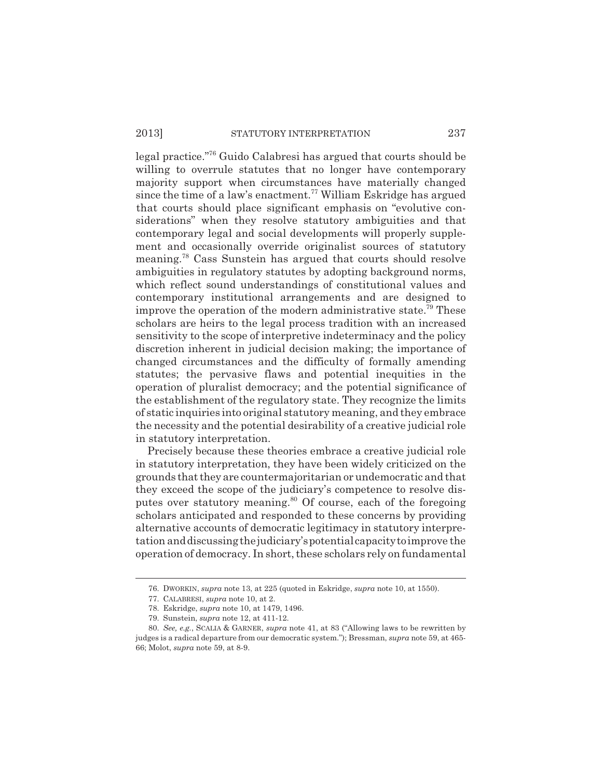legal practice."76 Guido Calabresi has argued that courts should be willing to overrule statutes that no longer have contemporary majority support when circumstances have materially changed since the time of a law's enactment.<sup>77</sup> William Eskridge has argued that courts should place significant emphasis on "evolutive considerations" when they resolve statutory ambiguities and that contemporary legal and social developments will properly supplement and occasionally override originalist sources of statutory meaning.78 Cass Sunstein has argued that courts should resolve ambiguities in regulatory statutes by adopting background norms, which reflect sound understandings of constitutional values and contemporary institutional arrangements and are designed to improve the operation of the modern administrative state.<sup>79</sup> These scholars are heirs to the legal process tradition with an increased sensitivity to the scope of interpretive indeterminacy and the policy discretion inherent in judicial decision making; the importance of changed circumstances and the difficulty of formally amending statutes; the pervasive flaws and potential inequities in the operation of pluralist democracy; and the potential significance of the establishment of the regulatory state. They recognize the limits of static inquiries into original statutory meaning, and they embrace the necessity and the potential desirability of a creative judicial role in statutory interpretation.

Precisely because these theories embrace a creative judicial role in statutory interpretation, they have been widely criticized on the grounds that they are countermajoritarian or undemocratic and that they exceed the scope of the judiciary's competence to resolve disputes over statutory meaning.<sup>80</sup> Of course, each of the foregoing scholars anticipated and responded to these concerns by providing alternative accounts of democratic legitimacy in statutory interpretation and discussing the judiciary's potential capacity to improve the operation of democracy. In short, these scholars rely on fundamental

<sup>76.</sup> DWORKIN, *supra* note 13, at 225 (quoted in Eskridge, *supra* note 10, at 1550).

<sup>77.</sup> CALABRESI, *supra* note 10, at 2.

<sup>78.</sup> Eskridge, *supra* note 10, at 1479, 1496.

<sup>79.</sup> Sunstein, *supra* note 12, at 411-12.

<sup>80.</sup> *See, e.g.*, SCALIA & GARNER, *supra* note 41, at 83 ("Allowing laws to be rewritten by judges is a radical departure from our democratic system."); Bressman, *supra* note 59, at 465- 66; Molot, *supra* note 59, at 8-9.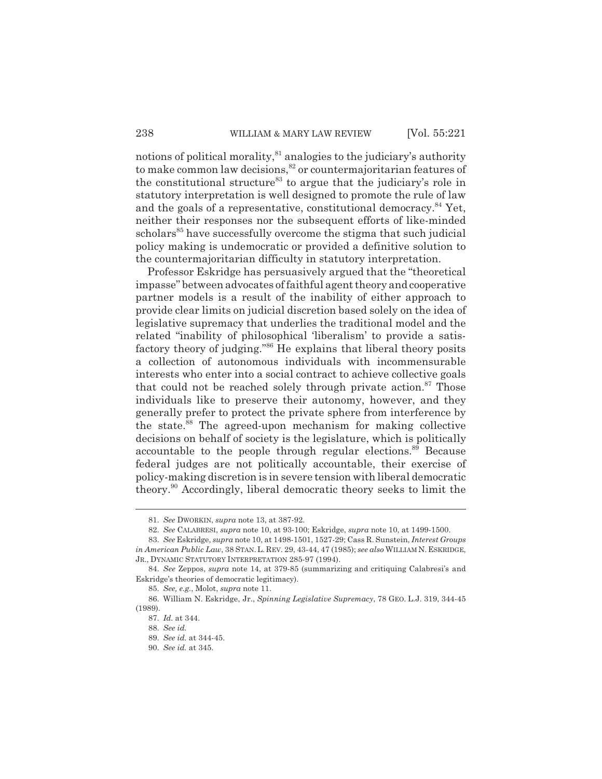notions of political morality,  $81$  analogies to the judiciary's authority to make common law decisions,<sup>82</sup> or countermajoritarian features of the constitutional structure<sup>83</sup> to argue that the judiciary's role in statutory interpretation is well designed to promote the rule of law and the goals of a representative, constitutional democracy.<sup>84</sup> Yet, neither their responses nor the subsequent efforts of like-minded scholars<sup>85</sup> have successfully overcome the stigma that such judicial policy making is undemocratic or provided a definitive solution to the countermajoritarian difficulty in statutory interpretation.

Professor Eskridge has persuasively argued that the "theoretical impasse" between advocates of faithful agent theory and cooperative partner models is a result of the inability of either approach to provide clear limits on judicial discretion based solely on the idea of legislative supremacy that underlies the traditional model and the related "inability of philosophical 'liberalism' to provide a satisfactory theory of judging."86 He explains that liberal theory posits a collection of autonomous individuals with incommensurable interests who enter into a social contract to achieve collective goals that could not be reached solely through private action.<sup>87</sup> Those individuals like to preserve their autonomy, however, and they generally prefer to protect the private sphere from interference by the state.<sup>88</sup> The agreed-upon mechanism for making collective decisions on behalf of society is the legislature, which is politically accountable to the people through regular elections.<sup>89</sup> Because federal judges are not politically accountable, their exercise of policy-making discretion is in severe tension with liberal democratic theory.90 Accordingly, liberal democratic theory seeks to limit the

<sup>81.</sup> *See* DWORKIN, *supra* note 13, at 387-92.

<sup>82.</sup> *See* CALABRESI, *supra* note 10, at 93-100; Eskridge, *supra* note 10, at 1499-1500.

<sup>83.</sup> *See* Eskridge, *supra* note 10, at 1498-1501, 1527-29; Cass R. Sunstein, *Interest Groups in American Public Law*, 38 STAN.L. REV. 29, 43-44, 47 (1985); *see also* WILLIAM N. ESKRIDGE, JR., DYNAMIC STATUTORY INTERPRETATION 285-97 (1994).

<sup>84.</sup> *See* Zeppos, *supra* note 14, at 379-85 (summarizing and critiquing Calabresi's and Eskridge's theories of democratic legitimacy).

<sup>85.</sup> *See, e.g.*, Molot, *supra* note 11.

<sup>86.</sup> William N. Eskridge, Jr., *Spinning Legislative Supremacy*, 78 GEO. L.J. 319, 344-45 (1989).

<sup>87.</sup> *Id.* at 344.

<sup>88.</sup> *See id.*

<sup>89.</sup> *See id.* at 344-45.

<sup>90.</sup> *See id.* at 345.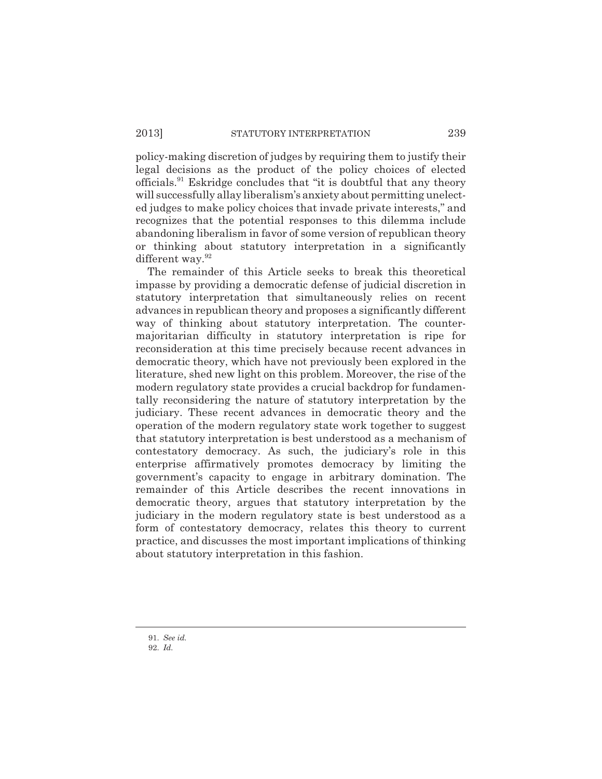policy-making discretion of judges by requiring them to justify their legal decisions as the product of the policy choices of elected officials.<sup>91</sup> Eskridge concludes that "it is doubtful that any theory will successfully allay liberalism's anxiety about permitting unelected judges to make policy choices that invade private interests," and recognizes that the potential responses to this dilemma include abandoning liberalism in favor of some version of republican theory or thinking about statutory interpretation in a significantly different way.<sup>92</sup>

The remainder of this Article seeks to break this theoretical impasse by providing a democratic defense of judicial discretion in statutory interpretation that simultaneously relies on recent advances in republican theory and proposes a significantly different way of thinking about statutory interpretation. The countermajoritarian difficulty in statutory interpretation is ripe for reconsideration at this time precisely because recent advances in democratic theory, which have not previously been explored in the literature, shed new light on this problem. Moreover, the rise of the modern regulatory state provides a crucial backdrop for fundamentally reconsidering the nature of statutory interpretation by the judiciary. These recent advances in democratic theory and the operation of the modern regulatory state work together to suggest that statutory interpretation is best understood as a mechanism of contestatory democracy. As such, the judiciary's role in this enterprise affirmatively promotes democracy by limiting the government's capacity to engage in arbitrary domination. The remainder of this Article describes the recent innovations in democratic theory, argues that statutory interpretation by the judiciary in the modern regulatory state is best understood as a form of contestatory democracy, relates this theory to current practice, and discusses the most important implications of thinking about statutory interpretation in this fashion.

<sup>91.</sup> *See id.*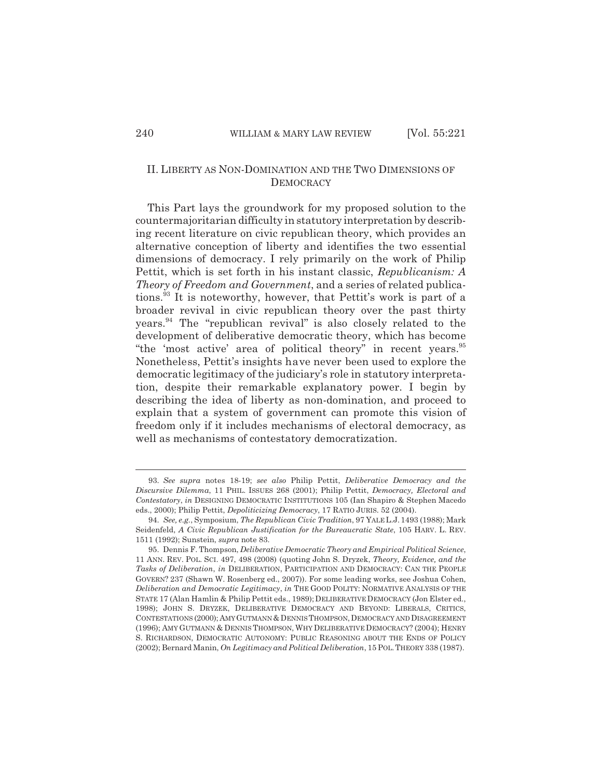## II. LIBERTY AS NON-DOMINATION AND THE TWO DIMENSIONS OF **DEMOCRACY**

This Part lays the groundwork for my proposed solution to the countermajoritarian difficulty in statutory interpretation by describing recent literature on civic republican theory, which provides an alternative conception of liberty and identifies the two essential dimensions of democracy. I rely primarily on the work of Philip Pettit, which is set forth in his instant classic, *Republicanism: A Theory of Freedom and Government*, and a series of related publications.93 It is noteworthy, however, that Pettit's work is part of a broader revival in civic republican theory over the past thirty years.<sup>94</sup> The "republican revival" is also closely related to the development of deliberative democratic theory, which has become "the 'most active' area of political theory" in recent years.<sup>95</sup> Nonetheless, Pettit's insights have never been used to explore the democratic legitimacy of the judiciary's role in statutory interpretation, despite their remarkable explanatory power. I begin by describing the idea of liberty as non-domination, and proceed to explain that a system of government can promote this vision of freedom only if it includes mechanisms of electoral democracy, as well as mechanisms of contestatory democratization.

<sup>93.</sup> *See supra* notes 18-19; *see also* Philip Pettit, *Deliberative Democracy and the Discursive Dilemma*, 11 PHIL. ISSUES 268 (2001); Philip Pettit, *Democracy, Electoral and Contestatory*, *in* DESIGNING DEMOCRATIC INSTITUTIONS 105 (Ian Shapiro & Stephen Macedo eds., 2000); Philip Pettit, *Depoliticizing Democracy*, 17 RATIO JURIS. 52 (2004).

<sup>94.</sup> *See, e.g.*, Symposium, *The Republican Civic Tradition*, 97 YALE L.J. 1493 (1988); Mark Seidenfeld, *A Civic Republican Justification for the Bureaucratic State*, 105 HARV. L. REV. 1511 (1992); Sunstein, *supra* note 83.

<sup>95.</sup> Dennis F. Thompson, *Deliberative Democratic Theory and Empirical Political Science*, 11 ANN. REV. POL. SCI. 497, 498 (2008) (quoting John S. Dryzek, *Theory, Evidence, and the Tasks of Deliberation*, *in* DELIBERATION, PARTICIPATION AND DEMOCRACY: CAN THE PEOPLE GOVERN? 237 (Shawn W. Rosenberg ed., 2007)). For some leading works, see Joshua Cohen, *Deliberation and Democratic Legitimacy*, *in* THE GOOD POLITY: NORMATIVE ANALYSIS OF THE STATE 17 (Alan Hamlin & Philip Pettit eds., 1989); DELIBERATIVE DEMOCRACY (Jon Elster ed., 1998); JOHN S. DRYZEK, DELIBERATIVE DEMOCRACY AND BEYOND: LIBERALS, CRITICS, CONTESTATIONS (2000); AMY GUTMANN & DENNIS THOMPSON, DEMOCRACY AND DISAGREEMENT (1996); AMY GUTMANN & DENNIS THOMPSON,WHY DELIBERATIVE DEMOCRACY? (2004); HENRY S. RICHARDSON, DEMOCRATIC AUTONOMY: PUBLIC REASONING ABOUT THE ENDS OF POLICY (2002); Bernard Manin, *On Legitimacy and Political Deliberation*, 15 POL.THEORY 338 (1987).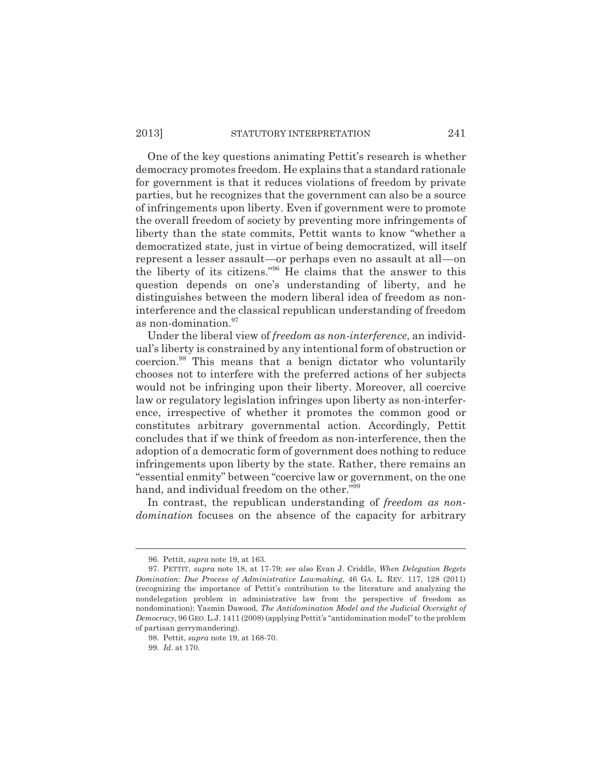### 2013] STATUTORY INTERPRETATION 241

One of the key questions animating Pettit's research is whether democracy promotes freedom. He explains that a standard rationale for government is that it reduces violations of freedom by private parties, but he recognizes that the government can also be a source of infringements upon liberty. Even if government were to promote the overall freedom of society by preventing more infringements of liberty than the state commits, Pettit wants to know "whether a democratized state, just in virtue of being democratized, will itself represent a lesser assault—or perhaps even no assault at all—on the liberty of its citizens."96 He claims that the answer to this question depends on one's understanding of liberty, and he distinguishes between the modern liberal idea of freedom as noninterference and the classical republican understanding of freedom as non-domination.<sup>97</sup>

Under the liberal view of *freedom as non-interference*, an individual's liberty is constrained by any intentional form of obstruction or coercion.98 This means that a benign dictator who voluntarily chooses not to interfere with the preferred actions of her subjects would not be infringing upon their liberty. Moreover, all coercive law or regulatory legislation infringes upon liberty as non-interference, irrespective of whether it promotes the common good or constitutes arbitrary governmental action. Accordingly, Pettit concludes that if we think of freedom as non-interference, then the adoption of a democratic form of government does nothing to reduce infringements upon liberty by the state. Rather, there remains an "essential enmity" between "coercive law or government, on the one hand, and individual freedom on the other."99

In contrast, the republican understanding of *freedom as nondomination* focuses on the absence of the capacity for arbitrary

<sup>96.</sup> Pettit, *supra* note 19, at 163.

<sup>97.</sup> PETTIT, *supra* note 18, at 17-79; *see also* Evan J. Criddle, *When Delegation Begets Domination*: *Due Process of Administrative Lawmaking*, 46 GA. L. REV. 117, 128 (2011) (recognizing the importance of Pettit's contribution to the literature and analyzing the nondelegation problem in administrative law from the perspective of freedom as nondomination); Yasmin Dawood, *The Antidomination Model and the Judicial Oversight of Democracy*, 96 GEO.L.J. 1411 (2008) (applying Pettit's "antidomination model" to the problem of partisan gerrymandering).

<sup>98.</sup> Pettit, *supra* note 19, at 168-70.

<sup>99.</sup> *Id.* at 170.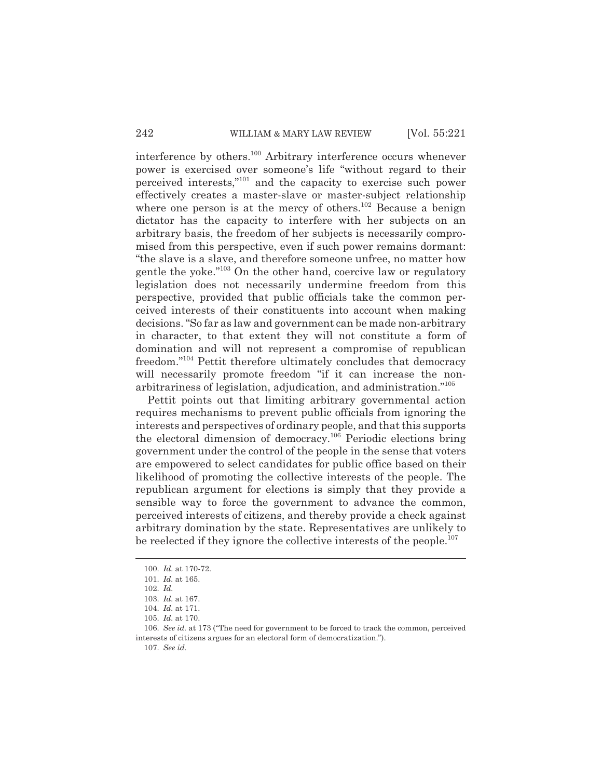interference by others.100 Arbitrary interference occurs whenever power is exercised over someone's life "without regard to their perceived interests,"101 and the capacity to exercise such power effectively creates a master-slave or master-subject relationship where one person is at the mercy of others.<sup>102</sup> Because a benign dictator has the capacity to interfere with her subjects on an arbitrary basis, the freedom of her subjects is necessarily compromised from this perspective, even if such power remains dormant: "the slave is a slave, and therefore someone unfree, no matter how gentle the yoke."103 On the other hand, coercive law or regulatory legislation does not necessarily undermine freedom from this perspective, provided that public officials take the common perceived interests of their constituents into account when making decisions. "So far as law and government can be made non-arbitrary in character, to that extent they will not constitute a form of domination and will not represent a compromise of republican freedom."104 Pettit therefore ultimately concludes that democracy will necessarily promote freedom "if it can increase the nonarbitrariness of legislation, adjudication, and administration."105

Pettit points out that limiting arbitrary governmental action requires mechanisms to prevent public officials from ignoring the interests and perspectives of ordinary people, and that this supports the electoral dimension of democracy.106 Periodic elections bring government under the control of the people in the sense that voters are empowered to select candidates for public office based on their likelihood of promoting the collective interests of the people. The republican argument for elections is simply that they provide a sensible way to force the government to advance the common, perceived interests of citizens, and thereby provide a check against arbitrary domination by the state. Representatives are unlikely to be reelected if they ignore the collective interests of the people.<sup>107</sup>

107. *See id.*

<sup>100.</sup> *Id.* at 170-72.

<sup>101.</sup> *Id.* at 165.

<sup>102.</sup> *Id.*

<sup>103.</sup> *Id.* at 167.

<sup>104.</sup> *Id.* at 171.

<sup>105.</sup> *Id.* at 170.

<sup>106.</sup> *See id.* at 173 ("The need for government to be forced to track the common, perceived interests of citizens argues for an electoral form of democratization.").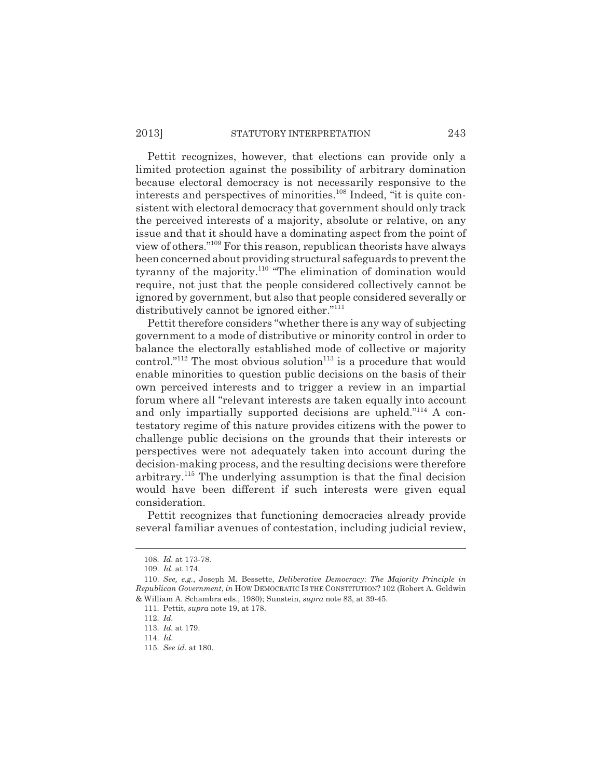### 2013] STATUTORY INTERPRETATION 243

Pettit recognizes, however, that elections can provide only a limited protection against the possibility of arbitrary domination because electoral democracy is not necessarily responsive to the interests and perspectives of minorities.108 Indeed, "it is quite consistent with electoral democracy that government should only track the perceived interests of a majority, absolute or relative, on any issue and that it should have a dominating aspect from the point of view of others."109 For this reason, republican theorists have always been concerned about providing structural safeguards to prevent the tyranny of the majority.<sup>110</sup> "The elimination of domination would require, not just that the people considered collectively cannot be ignored by government, but also that people considered severally or distributively cannot be ignored either."<sup>111</sup>

Pettit therefore considers "whether there is any way of subjecting government to a mode of distributive or minority control in order to balance the electorally established mode of collective or majority control."<sup>112</sup> The most obvious solution<sup>113</sup> is a procedure that would enable minorities to question public decisions on the basis of their own perceived interests and to trigger a review in an impartial forum where all "relevant interests are taken equally into account and only impartially supported decisions are upheld."<sup>114</sup> A contestatory regime of this nature provides citizens with the power to challenge public decisions on the grounds that their interests or perspectives were not adequately taken into account during the decision-making process, and the resulting decisions were therefore arbitrary.<sup>115</sup> The underlying assumption is that the final decision would have been different if such interests were given equal consideration.

Pettit recognizes that functioning democracies already provide several familiar avenues of contestation, including judicial review,

<sup>108.</sup> *Id.* at 173-78.

<sup>109.</sup> *Id.* at 174.

<sup>110.</sup> *See, e.g.*, Joseph M. Bessette, *Deliberative Democracy*: *The Majority Principle in Republican Government*, *in* HOW DEMOCRATIC IS THE CONSTITUTION? 102 (Robert A. Goldwin & William A. Schambra eds., 1980); Sunstein, *supra* note 83, at 39-45.

<sup>111.</sup> Pettit, *supra* note 19, at 178.

<sup>112.</sup> *Id.*

<sup>113.</sup> *Id.* at 179.

<sup>114.</sup> *Id.*

<sup>115.</sup> *See id.* at 180.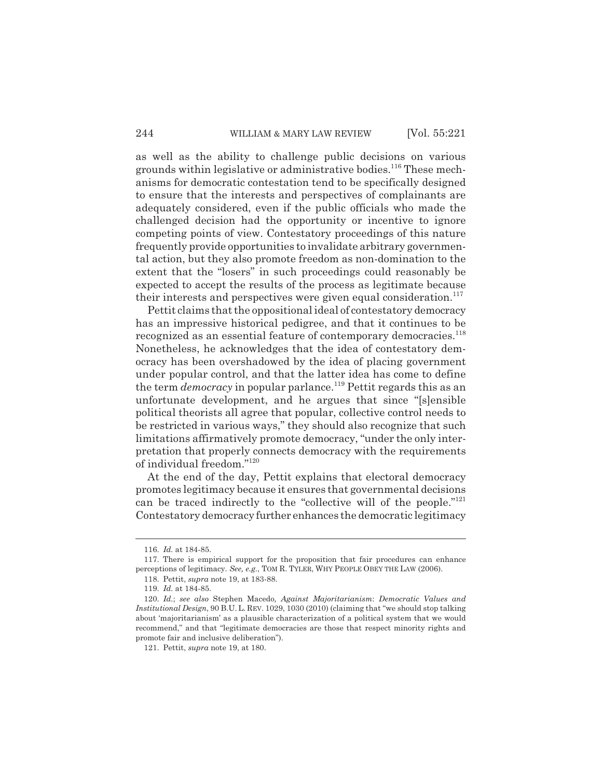as well as the ability to challenge public decisions on various grounds within legislative or administrative bodies.<sup>116</sup> These mechanisms for democratic contestation tend to be specifically designed to ensure that the interests and perspectives of complainants are adequately considered, even if the public officials who made the challenged decision had the opportunity or incentive to ignore competing points of view. Contestatory proceedings of this nature frequently provide opportunities to invalidate arbitrary governmental action, but they also promote freedom as non-domination to the extent that the "losers" in such proceedings could reasonably be expected to accept the results of the process as legitimate because their interests and perspectives were given equal consideration.<sup>117</sup>

Pettit claims that the oppositional ideal of contestatory democracy has an impressive historical pedigree, and that it continues to be recognized as an essential feature of contemporary democracies.<sup>118</sup> Nonetheless, he acknowledges that the idea of contestatory democracy has been overshadowed by the idea of placing government under popular control, and that the latter idea has come to define the term *democracy* in popular parlance.<sup>119</sup> Pettit regards this as an unfortunate development, and he argues that since "[s]ensible political theorists all agree that popular, collective control needs to be restricted in various ways," they should also recognize that such limitations affirmatively promote democracy, "under the only interpretation that properly connects democracy with the requirements of individual freedom."120

At the end of the day, Pettit explains that electoral democracy promotes legitimacy because it ensures that governmental decisions can be traced indirectly to the "collective will of the people."<sup>121</sup> Contestatory democracy further enhances the democratic legitimacy

<sup>116.</sup> *Id.* at 184-85.

<sup>117.</sup> There is empirical support for the proposition that fair procedures can enhance perceptions of legitimacy. *See, e.g.*, TOM R. TYLER, WHY PEOPLE OBEY THE LAW (2006).

<sup>118.</sup> Pettit, *supra* note 19, at 183-88.

<sup>119.</sup> *Id.* at 184-85.

<sup>120.</sup> *Id.*; *see also* Stephen Macedo*, Against Majoritarianism*: *Democratic Values and Institutional Design*, 90 B.U.L. REV. 1029, 1030 (2010) (claiming that "we should stop talking about 'majoritarianism' as a plausible characterization of a political system that we would recommend," and that "legitimate democracies are those that respect minority rights and promote fair and inclusive deliberation").

<sup>121.</sup> Pettit, *supra* note 19, at 180.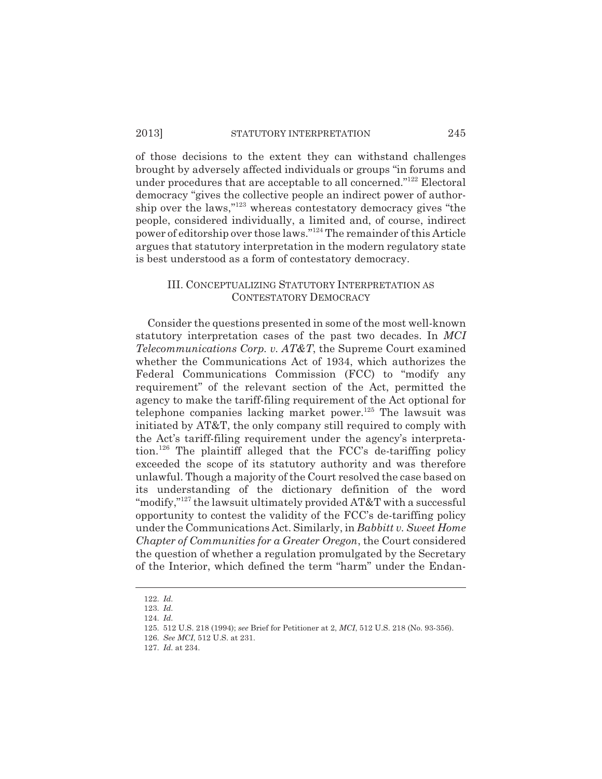#### 2013] STATUTORY INTERPRETATION 245

of those decisions to the extent they can withstand challenges brought by adversely affected individuals or groups "in forums and under procedures that are acceptable to all concerned."122 Electoral democracy "gives the collective people an indirect power of authorship over the laws,"123 whereas contestatory democracy gives "the people, considered individually, a limited and, of course, indirect power of editorship over those laws."124 The remainder of this Article argues that statutory interpretation in the modern regulatory state is best understood as a form of contestatory democracy.

## III. CONCEPTUALIZING STATUTORY INTERPRETATION AS CONTESTATORY DEMOCRACY

Consider the questions presented in some of the most well-known statutory interpretation cases of the past two decades. In *MCI Telecommunications Corp. v. AT&T*, the Supreme Court examined whether the Communications Act of 1934, which authorizes the Federal Communications Commission (FCC) to "modify any requirement" of the relevant section of the Act, permitted the agency to make the tariff-filing requirement of the Act optional for telephone companies lacking market power.<sup>125</sup> The lawsuit was initiated by AT&T, the only company still required to comply with the Act's tariff-filing requirement under the agency's interpretation.126 The plaintiff alleged that the FCC's de-tariffing policy exceeded the scope of its statutory authority and was therefore unlawful. Though a majority of the Court resolved the case based on its understanding of the dictionary definition of the word "modify,"<sup>127</sup> the lawsuit ultimately provided AT&T with a successful opportunity to contest the validity of the FCC's de-tariffing policy under the Communications Act. Similarly, in *Babbitt v. Sweet Home Chapter of Communities for a Greater Oregon*, the Court considered the question of whether a regulation promulgated by the Secretary of the Interior, which defined the term "harm" under the Endan-

<sup>122.</sup> *Id.*

<sup>123.</sup> *Id.*

<sup>124.</sup> *Id.*

<sup>125. 512</sup> U.S. 218 (1994); *see* Brief for Petitioner at 2, *MCI*, 512 U.S. 218 (No. 93-356).

<sup>126.</sup> *See MCI*, 512 U.S. at 231.

<sup>127.</sup> *Id.* at 234.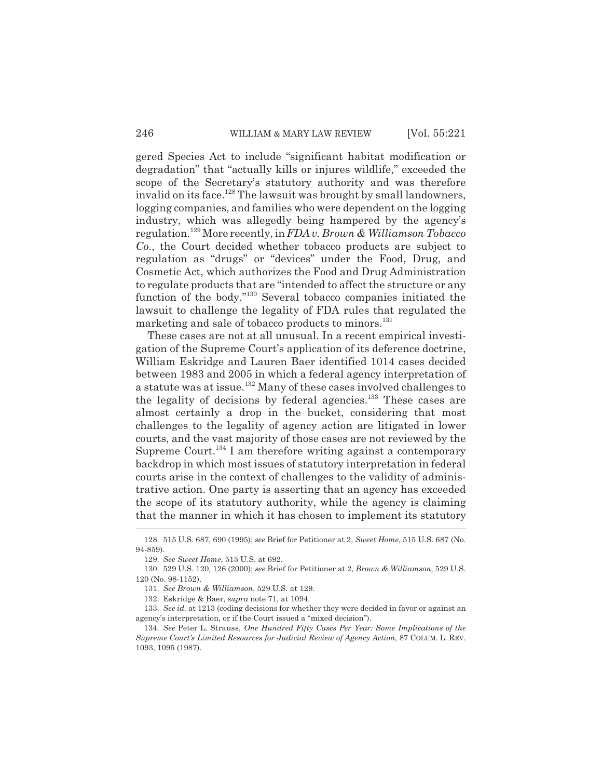gered Species Act to include "significant habitat modification or degradation" that "actually kills or injures wildlife," exceeded the scope of the Secretary's statutory authority and was therefore invalid on its face.<sup>128</sup> The lawsuit was brought by small landowners, logging companies, and families who were dependent on the logging industry, which was allegedly being hampered by the agency's regulation.129 More recently, in *FDA v. Brown & Williamson Tobacco Co.*, the Court decided whether tobacco products are subject to regulation as "drugs" or "devices" under the Food, Drug, and Cosmetic Act, which authorizes the Food and Drug Administration to regulate products that are "intended to affect the structure or any function of the body."130 Several tobacco companies initiated the lawsuit to challenge the legality of FDA rules that regulated the marketing and sale of tobacco products to minors.<sup>131</sup>

These cases are not at all unusual. In a recent empirical investigation of the Supreme Court's application of its deference doctrine, William Eskridge and Lauren Baer identified 1014 cases decided between 1983 and 2005 in which a federal agency interpretation of a statute was at issue.132 Many of these cases involved challenges to the legality of decisions by federal agencies.133 These cases are almost certainly a drop in the bucket, considering that most challenges to the legality of agency action are litigated in lower courts, and the vast majority of those cases are not reviewed by the Supreme Court.<sup>134</sup> I am therefore writing against a contemporary backdrop in which most issues of statutory interpretation in federal courts arise in the context of challenges to the validity of administrative action. One party is asserting that an agency has exceeded the scope of its statutory authority, while the agency is claiming that the manner in which it has chosen to implement its statutory

<sup>128. 515</sup> U.S. 687, 690 (1995); *see* Brief for Petitioner at 2, *Sweet Home*, 515 U.S. 687 (No. 94-859).

<sup>129.</sup> *See Sweet Home*, 515 U.S. at 692.

<sup>130. 529</sup> U.S. 120, 126 (2000); *see* Brief for Petitioner at 2, *Brown & Williamson*, 529 U.S. 120 (No. 98-1152).

<sup>131.</sup> *See Brown & Williamson*, 529 U.S. at 129.

<sup>132.</sup> Eskridge & Baer, *supra* note 71, at 1094.

<sup>133.</sup> *See id.* at 1213 (coding decisions for whether they were decided in favor or against an agency's interpretation, or if the Court issued a "mixed decision").

<sup>134.</sup> *See* Peter L. Strauss, *One Hundred Fifty Cases Per Year: Some Implications of the Supreme Court's Limited Resources for Judicial Review of Agency Action*, 87 COLUM. L. REV. 1093, 1095 (1987).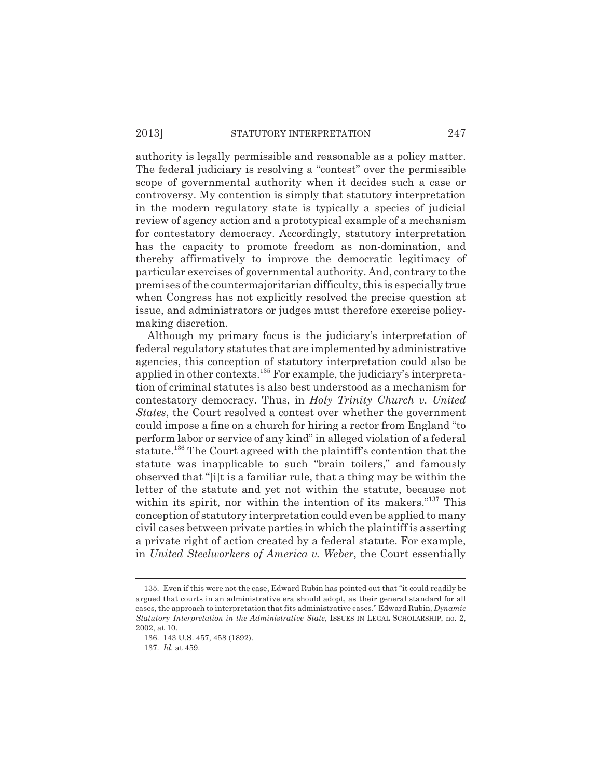authority is legally permissible and reasonable as a policy matter. The federal judiciary is resolving a "contest" over the permissible scope of governmental authority when it decides such a case or controversy. My contention is simply that statutory interpretation in the modern regulatory state is typically a species of judicial review of agency action and a prototypical example of a mechanism for contestatory democracy. Accordingly, statutory interpretation has the capacity to promote freedom as non-domination, and thereby affirmatively to improve the democratic legitimacy of particular exercises of governmental authority. And, contrary to the premises of the countermajoritarian difficulty, this is especially true when Congress has not explicitly resolved the precise question at issue, and administrators or judges must therefore exercise policymaking discretion.

Although my primary focus is the judiciary's interpretation of federal regulatory statutes that are implemented by administrative agencies, this conception of statutory interpretation could also be applied in other contexts.135 For example, the judiciary's interpretation of criminal statutes is also best understood as a mechanism for contestatory democracy. Thus, in *Holy Trinity Church v. United States*, the Court resolved a contest over whether the government could impose a fine on a church for hiring a rector from England "to perform labor or service of any kind" in alleged violation of a federal statute.136 The Court agreed with the plaintiff's contention that the statute was inapplicable to such "brain toilers," and famously observed that "[i]t is a familiar rule, that a thing may be within the letter of the statute and yet not within the statute, because not within its spirit, nor within the intention of its makers."<sup>137</sup> This conception of statutory interpretation could even be applied to many civil cases between private parties in which the plaintiff is asserting a private right of action created by a federal statute. For example, in *United Steelworkers of America v. Weber*, the Court essentially

<sup>135.</sup> Even if this were not the case, Edward Rubin has pointed out that "it could readily be argued that courts in an administrative era should adopt, as their general standard for all cases, the approach to interpretation that fits administrative cases." Edward Rubin, *Dynamic Statutory Interpretation in the Administrative State*, ISSUES IN LEGAL SCHOLARSHIP, no. 2, 2002, at 10.

<sup>136. 143</sup> U.S. 457, 458 (1892).

<sup>137.</sup> *Id.* at 459.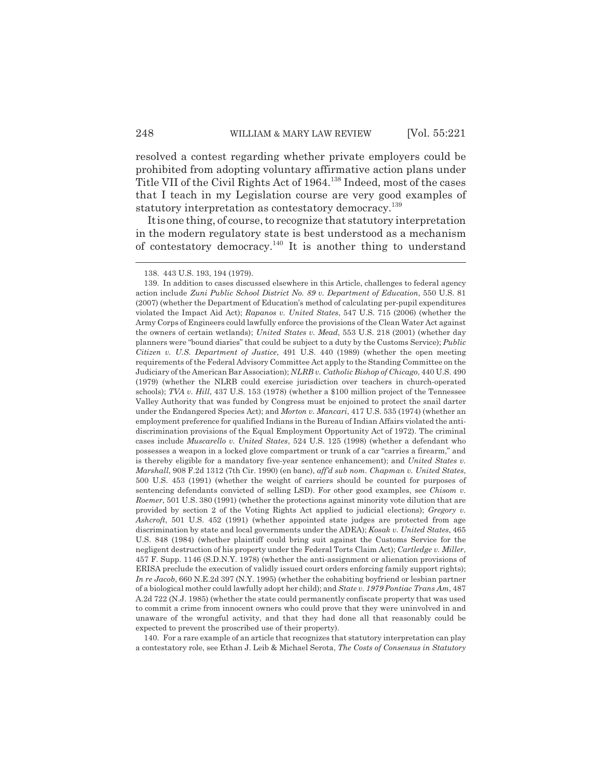resolved a contest regarding whether private employers could be prohibited from adopting voluntary affirmative action plans under Title VII of the Civil Rights Act of 1964.138 Indeed, most of the cases that I teach in my Legislation course are very good examples of statutory interpretation as contestatory democracy.<sup>139</sup>

It is one thing, of course, to recognize that statutory interpretation in the modern regulatory state is best understood as a mechanism of contestatory democracy.140 It is another thing to understand

140. For a rare example of an article that recognizes that statutory interpretation can play a contestatory role, see Ethan J. Leib & Michael Serota, *The Costs of Consensus in Statutory*

<sup>138. 443</sup> U.S. 193, 194 (1979).

<sup>139.</sup> In addition to cases discussed elsewhere in this Article, challenges to federal agency action include *Zuni Public School District No. 89 v. Department of Education*, 550 U.S. 81 (2007) (whether the Department of Education's method of calculating per-pupil expenditures violated the Impact Aid Act); *Rapanos v. United States*, 547 U.S. 715 (2006) (whether the Army Corps of Engineers could lawfully enforce the provisions of the Clean Water Act against the owners of certain wetlands); *United States v. Mead*, 553 U.S. 218 (2001) (whether day planners were "bound diaries" that could be subject to a duty by the Customs Service); *Public Citizen v. U.S. Department of Justice*, 491 U.S. 440 (1989) (whether the open meeting requirements of the Federal Advisory Committee Act apply to the Standing Committee on the Judiciary of the American Bar Association); *NLRB v. Catholic Bishop of Chicago*, 440 U.S. 490 (1979) (whether the NLRB could exercise jurisdiction over teachers in church-operated schools); *TVA v. Hill*, 437 U.S. 153 (1978) (whether a \$100 million project of the Tennessee Valley Authority that was funded by Congress must be enjoined to protect the snail darter under the Endangered Species Act); and *Morton v. Mancari*, 417 U.S. 535 (1974) (whether an employment preference for qualified Indians in the Bureau of Indian Affairs violated the antidiscrimination provisions of the Equal Employment Opportunity Act of 1972). The criminal cases include *Muscarello v. United States*, 524 U.S. 125 (1998) (whether a defendant who possesses a weapon in a locked glove compartment or trunk of a car "carries a firearm," and is thereby eligible for a mandatory five-year sentence enhancement); and *United States v. Marshall*, 908 F.2d 1312 (7th Cir. 1990) (en banc), *aff'd sub nom. Chapman v. United States*, 500 U.S. 453 (1991) (whether the weight of carriers should be counted for purposes of sentencing defendants convicted of selling LSD). For other good examples, see *Chisom v. Roemer*, 501 U.S. 380 (1991) (whether the protections against minority vote dilution that are provided by section 2 of the Voting Rights Act applied to judicial elections); *Gregory v. Ashcroft*, 501 U.S. 452 (1991) (whether appointed state judges are protected from age discrimination by state and local governments under the ADEA); *Kosak v. United States*, 465 U.S. 848 (1984) (whether plaintiff could bring suit against the Customs Service for the negligent destruction of his property under the Federal Torts Claim Act); *Cartledge v. Miller*, 457 F. Supp. 1146 (S.D.N.Y. 1978) (whether the anti-assignment or alienation provisions of ERISA preclude the execution of validly issued court orders enforcing family support rights); *In re Jacob*, 660 N.E.2d 397 (N.Y. 1995) (whether the cohabiting boyfriend or lesbian partner of a biological mother could lawfully adopt her child); and *State v. 1979 Pontiac Trans Am*, 487 A.2d 722 (N.J. 1985) (whether the state could permanently confiscate property that was used to commit a crime from innocent owners who could prove that they were uninvolved in and unaware of the wrongful activity, and that they had done all that reasonably could be expected to prevent the proscribed use of their property).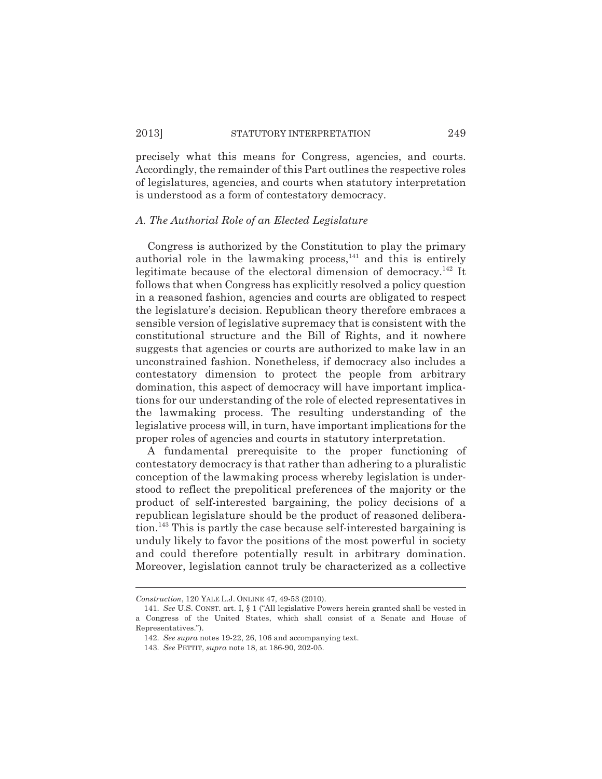precisely what this means for Congress, agencies, and courts. Accordingly, the remainder of this Part outlines the respective roles of legislatures, agencies, and courts when statutory interpretation is understood as a form of contestatory democracy.

#### *A. The Authorial Role of an Elected Legislature*

Congress is authorized by the Constitution to play the primary authorial role in the lawmaking process,<sup>141</sup> and this is entirely legitimate because of the electoral dimension of democracy.<sup>142</sup> It follows that when Congress has explicitly resolved a policy question in a reasoned fashion, agencies and courts are obligated to respect the legislature's decision. Republican theory therefore embraces a sensible version of legislative supremacy that is consistent with the constitutional structure and the Bill of Rights, and it nowhere suggests that agencies or courts are authorized to make law in an unconstrained fashion. Nonetheless, if democracy also includes a contestatory dimension to protect the people from arbitrary domination, this aspect of democracy will have important implications for our understanding of the role of elected representatives in the lawmaking process. The resulting understanding of the legislative process will, in turn, have important implications for the proper roles of agencies and courts in statutory interpretation.

A fundamental prerequisite to the proper functioning of contestatory democracy is that rather than adhering to a pluralistic conception of the lawmaking process whereby legislation is understood to reflect the prepolitical preferences of the majority or the product of self-interested bargaining, the policy decisions of a republican legislature should be the product of reasoned deliberation.143 This is partly the case because self-interested bargaining is unduly likely to favor the positions of the most powerful in society and could therefore potentially result in arbitrary domination. Moreover, legislation cannot truly be characterized as a collective

*Construction*, 120 YALE L.J. ONLINE 47, 49-53 (2010).

<sup>141.</sup> *See* U.S. CONST. art. I, § 1 ("All legislative Powers herein granted shall be vested in a Congress of the United States, which shall consist of a Senate and House of Representatives.").

<sup>142.</sup> *See supra* notes 19-22, 26, 106 and accompanying text.

<sup>143.</sup> *See* PETTIT, *supra* note 18, at 186-90, 202-05.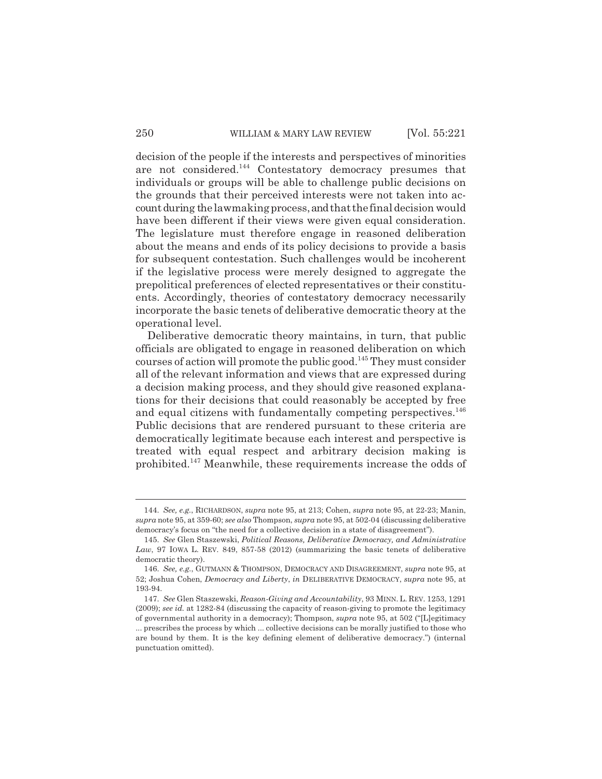decision of the people if the interests and perspectives of minorities are not considered.<sup>144</sup> Contestatory democracy presumes that individuals or groups will be able to challenge public decisions on the grounds that their perceived interests were not taken into account during the lawmaking process, and that the final decision would have been different if their views were given equal consideration. The legislature must therefore engage in reasoned deliberation about the means and ends of its policy decisions to provide a basis for subsequent contestation. Such challenges would be incoherent if the legislative process were merely designed to aggregate the prepolitical preferences of elected representatives or their constituents. Accordingly, theories of contestatory democracy necessarily incorporate the basic tenets of deliberative democratic theory at the operational level.

Deliberative democratic theory maintains, in turn, that public officials are obligated to engage in reasoned deliberation on which courses of action will promote the public good.<sup>145</sup> They must consider all of the relevant information and views that are expressed during a decision making process, and they should give reasoned explanations for their decisions that could reasonably be accepted by free and equal citizens with fundamentally competing perspectives.<sup>146</sup> Public decisions that are rendered pursuant to these criteria are democratically legitimate because each interest and perspective is treated with equal respect and arbitrary decision making is prohibited.147 Meanwhile, these requirements increase the odds of

<sup>144.</sup> *See, e.g.*, RICHARDSON, *supra* note 95, at 213; Cohen, *supra* note 95, at 22-23; Manin, *supra* note 95, at 359-60; *see also* Thompson, *supra* note 95, at 502-04 (discussing deliberative democracy's focus on "the need for a collective decision in a state of disagreement").

<sup>145.</sup> *See* Glen Staszewski, *Political Reasons, Deliberative Democracy, and Administrative Law*, 97 IOWA L. REV. 849, 857-58 (2012) (summarizing the basic tenets of deliberative democratic theory).

<sup>146.</sup> *See, e.g.*, GUTMANN & THOMPSON, DEMOCRACY AND DISAGREEMENT, *supra* note 95, at 52; Joshua Cohen, *Democracy and Liberty*, *in* DELIBERATIVE DEMOCRACY, *supra* note 95, at 193-94.

<sup>147.</sup> *See* Glen Staszewski, *Reason-Giving and Accountability*, 93 MINN. L. REV. 1253, 1291 (2009); *see id.* at 1282-84 (discussing the capacity of reason-giving to promote the legitimacy of governmental authority in a democracy); Thompson, *supra* note 95, at 502 ("[L]egitimacy ... prescribes the process by which ... collective decisions can be morally justified to those who are bound by them. It is the key defining element of deliberative democracy.") (internal punctuation omitted).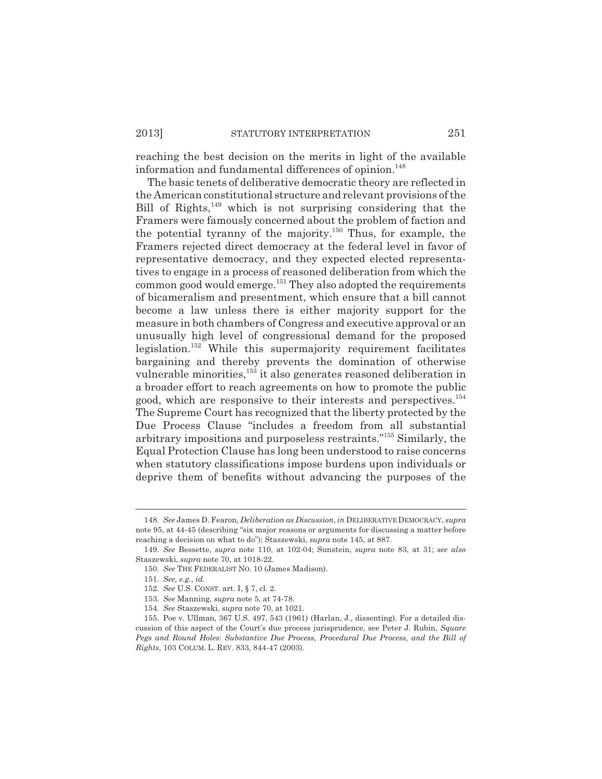reaching the best decision on the merits in light of the available information and fundamental differences of opinion.<sup>148</sup>

The basic tenets of deliberative democratic theory are reflected in the American constitutional structure and relevant provisions of the Bill of Rights, $149$  which is not surprising considering that the Framers were famously concerned about the problem of faction and the potential tyranny of the majority.<sup>150</sup> Thus, for example, the Framers rejected direct democracy at the federal level in favor of representative democracy, and they expected elected representatives to engage in a process of reasoned deliberation from which the common good would emerge.<sup>151</sup> They also adopted the requirements of bicameralism and presentment, which ensure that a bill cannot become a law unless there is either majority support for the measure in both chambers of Congress and executive approval or an unusually high level of congressional demand for the proposed legislation.152 While this supermajority requirement facilitates bargaining and thereby prevents the domination of otherwise vulnerable minorities,<sup>153</sup> it also generates reasoned deliberation in a broader effort to reach agreements on how to promote the public good, which are responsive to their interests and perspectives.154 The Supreme Court has recognized that the liberty protected by the Due Process Clause "includes a freedom from all substantial arbitrary impositions and purposeless restraints."155 Similarly, the Equal Protection Clause has long been understood to raise concerns when statutory classifications impose burdens upon individuals or deprive them of benefits without advancing the purposes of the

<sup>148.</sup> *See* James D. Fearon, *Deliberation as Discussion*, *in* DELIBERATIVE DEMOCRACY, *supra* note 95, at 44-45 (describing "six major reasons or arguments for discussing a matter before reaching a decision on what to do"); Staszewski, *supra* note 145, at 887.

<sup>149.</sup> *See* Bessette, *supra* note 110, at 102-04; Sunstein, *supra* note 83, at 31; *see also* Staszewski, *supra* note 70, at 1018-22.

<sup>150.</sup> *See* THE FEDERALIST NO. 10 (James Madison).

<sup>151.</sup> *See, e.g.*, *id.*

<sup>152.</sup> *See* U.S. CONST. art. I, § 7, cl. 2.

<sup>153.</sup> *See* Manning, *supra* note 5, at 74-78.

<sup>154.</sup> *See* Staszewski, *supra* note 70, at 1021.

<sup>155.</sup> Poe v. Ullman, 367 U.S. 497, 543 (1961) (Harlan, J., dissenting). For a detailed discussion of this aspect of the Court's due process jurisprudence, see Peter J. Rubin, *Square Pegs and Round Holes*: *Substantive Due Process, Procedural Due Process, and the Bill of Rights*, 103 COLUM. L. REV. 833, 844-47 (2003).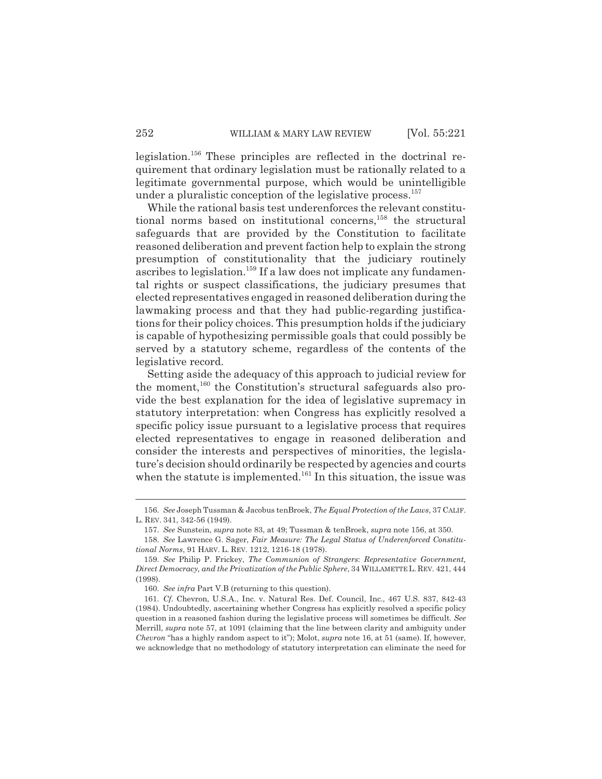legislation.156 These principles are reflected in the doctrinal requirement that ordinary legislation must be rationally related to a legitimate governmental purpose, which would be unintelligible under a pluralistic conception of the legislative process.<sup>157</sup>

While the rational basis test underenforces the relevant constitutional norms based on institutional concerns,<sup>158</sup> the structural safeguards that are provided by the Constitution to facilitate reasoned deliberation and prevent faction help to explain the strong presumption of constitutionality that the judiciary routinely ascribes to legislation.<sup>159</sup> If a law does not implicate any fundamental rights or suspect classifications, the judiciary presumes that elected representatives engaged in reasoned deliberation during the lawmaking process and that they had public-regarding justifications for their policy choices. This presumption holds if the judiciary is capable of hypothesizing permissible goals that could possibly be served by a statutory scheme, regardless of the contents of the legislative record.

Setting aside the adequacy of this approach to judicial review for the moment, $160$  the Constitution's structural safeguards also provide the best explanation for the idea of legislative supremacy in statutory interpretation: when Congress has explicitly resolved a specific policy issue pursuant to a legislative process that requires elected representatives to engage in reasoned deliberation and consider the interests and perspectives of minorities, the legislature's decision should ordinarily be respected by agencies and courts when the statute is implemented.<sup>161</sup> In this situation, the issue was

<sup>156.</sup> *See* Joseph Tussman & Jacobus tenBroek, *The Equal Protection of the Laws*, 37 CALIF. L. REV. 341, 342-56 (1949).

<sup>157.</sup> *See* Sunstein, *supra* note 83, at 49; Tussman & tenBroek, *supra* note 156, at 350.

<sup>158.</sup> *See* Lawrence G. Sager, *Fair Measure: The Legal Status of Underenforced Constitutional Norms*, 91 HARV. L. REV. 1212, 1216-18 (1978).

<sup>159.</sup> *See* Philip P. Frickey, *The Communion of Strangers*: *Representative Government, Direct Democracy, and the Privatization of the Public Sphere*, 34 WILLAMETTE L. REV. 421, 444 (1998).

<sup>160.</sup> *See infra* Part V.B (returning to this question).

<sup>161.</sup> *Cf.* Chevron, U.S.A., Inc. v. Natural Res. Def. Council, Inc., 467 U.S. 837, 842-43 (1984). Undoubtedly, ascertaining whether Congress has explicitly resolved a specific policy question in a reasoned fashion during the legislative process will sometimes be difficult. *See* Merrill, *supra* note 57, at 1091 (claiming that the line between clarity and ambiguity under *Chevron* "has a highly random aspect to it"); Molot, *supra* note 16, at 51 (same). If, however, we acknowledge that no methodology of statutory interpretation can eliminate the need for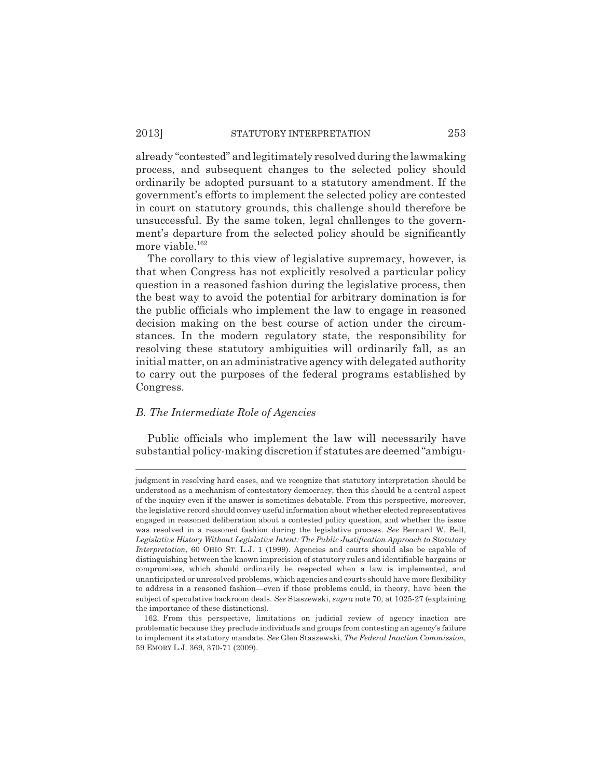already "contested" and legitimately resolved during the lawmaking process, and subsequent changes to the selected policy should ordinarily be adopted pursuant to a statutory amendment. If the government's efforts to implement the selected policy are contested in court on statutory grounds, this challenge should therefore be unsuccessful. By the same token, legal challenges to the government's departure from the selected policy should be significantly more viable.<sup>162</sup>

The corollary to this view of legislative supremacy, however, is that when Congress has not explicitly resolved a particular policy question in a reasoned fashion during the legislative process, then the best way to avoid the potential for arbitrary domination is for the public officials who implement the law to engage in reasoned decision making on the best course of action under the circumstances. In the modern regulatory state, the responsibility for resolving these statutory ambiguities will ordinarily fall, as an initial matter, on an administrative agency with delegated authority to carry out the purposes of the federal programs established by Congress.

## *B. The Intermediate Role of Agencies*

Public officials who implement the law will necessarily have substantial policy-making discretion if statutes are deemed "ambigu-

judgment in resolving hard cases, and we recognize that statutory interpretation should be understood as a mechanism of contestatory democracy, then this should be a central aspect of the inquiry even if the answer is sometimes debatable. From this perspective, moreover, the legislative record should convey useful information about whether elected representatives engaged in reasoned deliberation about a contested policy question, and whether the issue was resolved in a reasoned fashion during the legislative process. *See* Bernard W. Bell, *Legislative History Without Legislative Intent: The Public Justification Approach to Statutory Interpretation*, 60 OHIO ST. L.J. 1 (1999). Agencies and courts should also be capable of distinguishing between the known imprecision of statutory rules and identifiable bargains or compromises, which should ordinarily be respected when a law is implemented, and unanticipated or unresolved problems, which agencies and courts should have more flexibility to address in a reasoned fashion—even if those problems could, in theory, have been the subject of speculative backroom deals. *See* Staszewski, *supra* note 70, at 1025-27 (explaining the importance of these distinctions).

<sup>162.</sup> From this perspective, limitations on judicial review of agency inaction are problematic because they preclude individuals and groups from contesting an agency's failure to implement its statutory mandate. *See* Glen Staszewski, *The Federal Inaction Commission*, 59 EMORY L.J. 369, 370-71 (2009).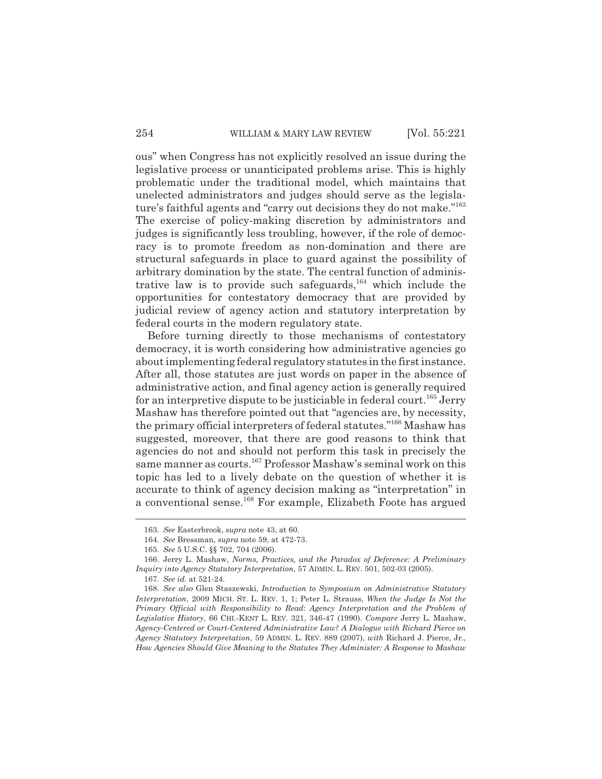ous" when Congress has not explicitly resolved an issue during the legislative process or unanticipated problems arise. This is highly problematic under the traditional model, which maintains that unelected administrators and judges should serve as the legislature's faithful agents and "carry out decisions they do not make."<sup>163</sup> The exercise of policy-making discretion by administrators and judges is significantly less troubling, however, if the role of democracy is to promote freedom as non-domination and there are structural safeguards in place to guard against the possibility of arbitrary domination by the state. The central function of administrative law is to provide such safeguards,  $164$  which include the opportunities for contestatory democracy that are provided by judicial review of agency action and statutory interpretation by federal courts in the modern regulatory state.

Before turning directly to those mechanisms of contestatory democracy, it is worth considering how administrative agencies go about implementing federal regulatory statutes in the first instance. After all, those statutes are just words on paper in the absence of administrative action, and final agency action is generally required for an interpretive dispute to be justiciable in federal court.<sup>165</sup> Jerry Mashaw has therefore pointed out that "agencies are, by necessity, the primary official interpreters of federal statutes."166 Mashaw has suggested, moreover, that there are good reasons to think that agencies do not and should not perform this task in precisely the same manner as courts.<sup>167</sup> Professor Mashaw's seminal work on this topic has led to a lively debate on the question of whether it is accurate to think of agency decision making as "interpretation" in a conventional sense.<sup>168</sup> For example, Elizabeth Foote has argued

<sup>163.</sup> *See* Easterbrook, *supra* note 43, at 60.

<sup>164.</sup> *See* Bressman, *supra* note 59, at 472-73.

<sup>165.</sup> *See* 5 U.S.C. §§ 702, 704 (2006).

<sup>166.</sup> Jerry L. Mashaw, *Norms, Practices, and the Paradox of Deference: A Preliminary Inquiry into Agency Statutory Interpretation*, 57 ADMIN. L. REV. 501, 502-03 (2005).

<sup>167.</sup> *See id.* at 521-24.

<sup>168.</sup> *See also* Glen Staszewski, *Introduction to Symposium on Administrative Statutory Interpretation*, 2009 MICH. ST. L. REV. 1, 1; Peter L. Strauss, *When the Judge Is Not the Primary Official with Responsibility to Read*: *Agency Interpretation and the Problem of Legislative History*, 66 CHI.-KENT L. REV. 321, 346-47 (1990). *Compare* Jerry L. Mashaw, *Agency-Centered or Court-Centered Administrative Law? A Dialogue with Richard Pierce on Agency Statutory Interpretation*, 59 ADMIN. L. REV. 889 (2007), *with* Richard J. Pierce, Jr., *How Agencies Should Give Meaning to the Statutes They Administer: A Response to Mashaw*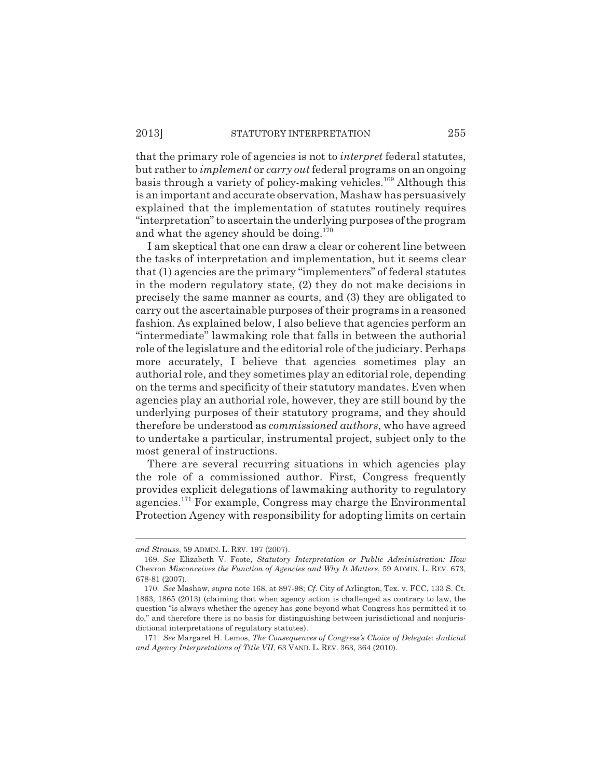that the primary role of agencies is not to *interpret* federal statutes, but rather to *implement* or *carry out* federal programs on an ongoing basis through a variety of policy-making vehicles.<sup>169</sup> Although this is an important and accurate observation, Mashaw has persuasively explained that the implementation of statutes routinely requires "interpretation" to ascertain the underlying purposes of the program and what the agency should be doing.<sup>170</sup>

I am skeptical that one can draw a clear or coherent line between the tasks of interpretation and implementation, but it seems clear that (1) agencies are the primary "implementers" of federal statutes in the modern regulatory state, (2) they do not make decisions in precisely the same manner as courts, and (3) they are obligated to carry out the ascertainable purposes of their programs in a reasoned fashion. As explained below, I also believe that agencies perform an "intermediate" lawmaking role that falls in between the authorial role of the legislature and the editorial role of the judiciary. Perhaps more accurately, I believe that agencies sometimes play an authorial role, and they sometimes play an editorial role, depending on the terms and specificity of their statutory mandates. Even when agencies play an authorial role, however, they are still bound by the underlying purposes of their statutory programs, and they should therefore be understood as *commissioned authors*, who have agreed to undertake a particular, instrumental project, subject only to the most general of instructions.

There are several recurring situations in which agencies play the role of a commissioned author. First, Congress frequently provides explicit delegations of lawmaking authority to regulatory agencies.171 For example, Congress may charge the Environmental Protection Agency with responsibility for adopting limits on certain

*and Strauss*, 59 ADMIN. L. REV. 197 (2007).

<sup>169.</sup> *See* Elizabeth V. Foote, *Statutory Interpretation or Public Administration: How* Chevron *Misconceives the Function of Agencies and Why It Matters*, 59 ADMIN. L. REV. 673, 678-81 (2007).

<sup>170.</sup> *See* Mashaw, *supra* note 168, at 897-98; *Cf*. City of Arlington, Tex. v. FCC, 133 S. Ct. 1863, 1865 (2013) (claiming that when agency action is challenged as contrary to law, the question "is always whether the agency has gone beyond what Congress has permitted it to do," and therefore there is no basis for distinguishing between jurisdictional and nonjurisdictional interpretations of regulatory statutes).

<sup>171.</sup> *See* Margaret H. Lemos, *The Consequences of Congress's Choice of Delegate*: *Judicial and Agency Interpretations of Title VII*, 63 VAND. L. REV. 363, 364 (2010).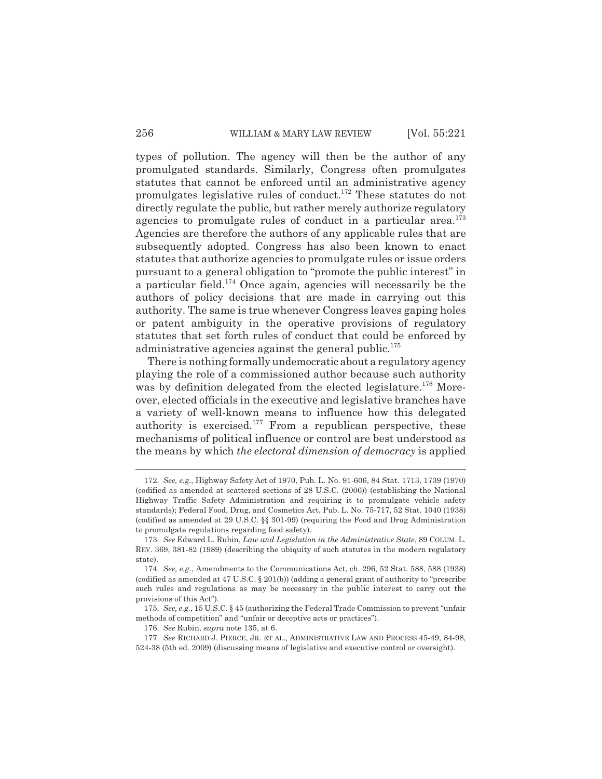types of pollution. The agency will then be the author of any promulgated standards. Similarly, Congress often promulgates statutes that cannot be enforced until an administrative agency promulgates legislative rules of conduct.172 These statutes do not directly regulate the public, but rather merely authorize regulatory agencies to promulgate rules of conduct in a particular area. $173$ Agencies are therefore the authors of any applicable rules that are subsequently adopted. Congress has also been known to enact statutes that authorize agencies to promulgate rules or issue orders pursuant to a general obligation to "promote the public interest" in a particular field.<sup>174</sup> Once again, agencies will necessarily be the authors of policy decisions that are made in carrying out this authority. The same is true whenever Congress leaves gaping holes or patent ambiguity in the operative provisions of regulatory statutes that set forth rules of conduct that could be enforced by administrative agencies against the general public.<sup>175</sup>

There is nothing formally undemocratic about a regulatory agency playing the role of a commissioned author because such authority was by definition delegated from the elected legislature.<sup>176</sup> Moreover, elected officials in the executive and legislative branches have a variety of well-known means to influence how this delegated authority is exercised.<sup>177</sup> From a republican perspective, these mechanisms of political influence or control are best understood as the means by which *the electoral dimension of democracy* is applied

<sup>172.</sup> *See, e.g.*, Highway Safety Act of 1970, Pub. L. No. 91-606, 84 Stat. 1713, 1739 (1970) (codified as amended at scattered sections of 28 U.S.C. (2006)) (establishing the National Highway Traffic Safety Administration and requiring it to promulgate vehicle safety standards); Federal Food, Drug, and Cosmetics Act, Pub. L. No. 75-717, 52 Stat. 1040 (1938) (codified as amended at 29 U.S.C. §§ 301-99) (requiring the Food and Drug Administration to promulgate regulations regarding food safety).

<sup>173.</sup> *See* Edward L. Rubin, *Law and Legislation in the Administrative State*, 89 COLUM. L. REV. 369, 381-82 (1989) (describing the ubiquity of such statutes in the modern regulatory state).

<sup>174.</sup> *See, e.g.*, Amendments to the Communications Act, ch. 296, 52 Stat. 588, 588 (1938) (codified as amended at 47 U.S.C. § 201(b)) (adding a general grant of authority to "prescribe such rules and regulations as may be necessary in the public interest to carry out the provisions of this Act").

<sup>175.</sup> *See, e.g.*, 15 U.S.C. § 45 (authorizing the Federal Trade Commission to prevent "unfair methods of competition" and "unfair or deceptive acts or practices").

<sup>176.</sup> *See* Rubin, *supra* note 135, at 6.

<sup>177.</sup> *See* RICHARD J. PIERCE, JR. ET AL., ADMINISTRATIVE LAW AND PROCESS 45-49, 84-98, 524-38 (5th ed. 2009) (discussing means of legislative and executive control or oversight).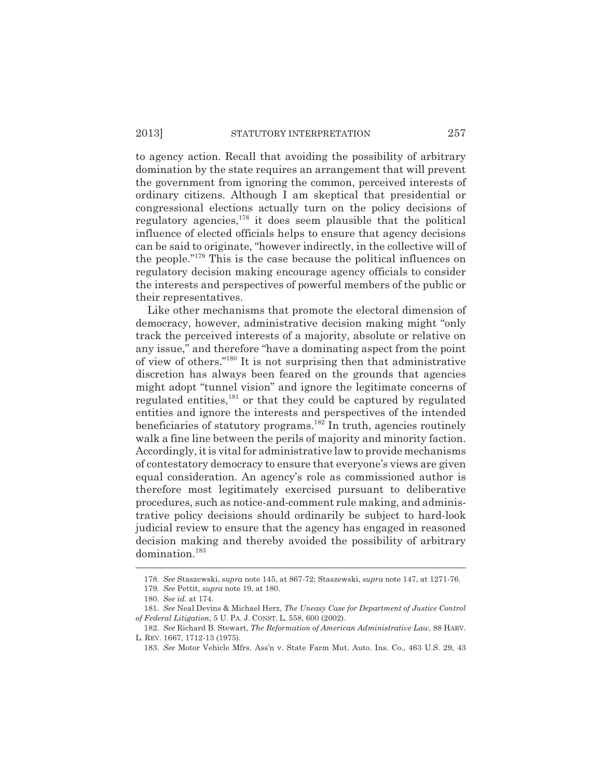to agency action. Recall that avoiding the possibility of arbitrary domination by the state requires an arrangement that will prevent the government from ignoring the common, perceived interests of ordinary citizens. Although I am skeptical that presidential or congressional elections actually turn on the policy decisions of regulatory agencies, $178$  it does seem plausible that the political influence of elected officials helps to ensure that agency decisions can be said to originate, "however indirectly, in the collective will of the people."179 This is the case because the political influences on regulatory decision making encourage agency officials to consider the interests and perspectives of powerful members of the public or their representatives.

Like other mechanisms that promote the electoral dimension of democracy, however, administrative decision making might "only track the perceived interests of a majority, absolute or relative on any issue," and therefore "have a dominating aspect from the point of view of others."180 It is not surprising then that administrative discretion has always been feared on the grounds that agencies might adopt "tunnel vision" and ignore the legitimate concerns of regulated entities, $181$  or that they could be captured by regulated entities and ignore the interests and perspectives of the intended beneficiaries of statutory programs.<sup>182</sup> In truth, agencies routinely walk a fine line between the perils of majority and minority faction. Accordingly, it is vital for administrative law to provide mechanisms of contestatory democracy to ensure that everyone's views are given equal consideration. An agency's role as commissioned author is therefore most legitimately exercised pursuant to deliberative procedures, such as notice-and-comment rule making, and administrative policy decisions should ordinarily be subject to hard-look judicial review to ensure that the agency has engaged in reasoned decision making and thereby avoided the possibility of arbitrary domination.183

<sup>178.</sup> *See* Staszewski, *supra* note 145, at 867-72; Staszewski, *supra* note 147, at 1271-76.

<sup>179.</sup> *See* Pettit, *supra* note 19, at 180.

<sup>180.</sup> *See id.* at 174.

<sup>181.</sup> *See* Neal Devins & Michael Herz, *The Uneasy Case for Department of Justice Control of Federal Litigation*, 5 U. PA. J. CONST. L. 558, 600 (2002).

<sup>182.</sup> *See* Richard B. Stewart, *The Reformation of American Administrative Law*, 88 HARV. L. REV. 1667, 1712-13 (1975).

<sup>183.</sup> *See* Motor Vehicle Mfrs. Ass'n v. State Farm Mut. Auto. Ins. Co., 463 U.S. 29, 43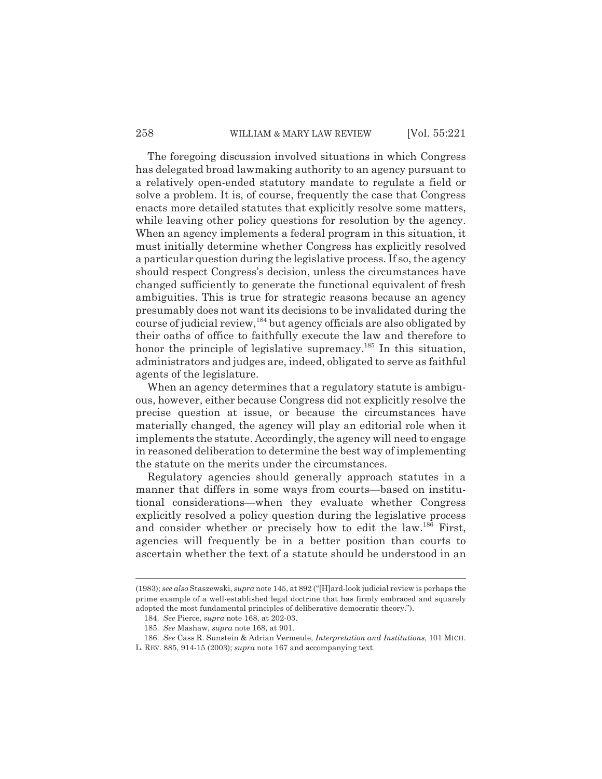## 258 WILLIAM & MARY LAW REVIEW [Vol. 55:221]

The foregoing discussion involved situations in which Congress has delegated broad lawmaking authority to an agency pursuant to a relatively open-ended statutory mandate to regulate a field or solve a problem. It is, of course, frequently the case that Congress enacts more detailed statutes that explicitly resolve some matters, while leaving other policy questions for resolution by the agency. When an agency implements a federal program in this situation, it must initially determine whether Congress has explicitly resolved a particular question during the legislative process. If so, the agency should respect Congress's decision, unless the circumstances have changed sufficiently to generate the functional equivalent of fresh ambiguities. This is true for strategic reasons because an agency presumably does not want its decisions to be invalidated during the course of judicial review,184 but agency officials are also obligated by their oaths of office to faithfully execute the law and therefore to honor the principle of legislative supremacy.<sup>185</sup> In this situation, administrators and judges are, indeed, obligated to serve as faithful agents of the legislature.

When an agency determines that a regulatory statute is ambiguous, however, either because Congress did not explicitly resolve the precise question at issue, or because the circumstances have materially changed, the agency will play an editorial role when it implements the statute. Accordingly, the agency will need to engage in reasoned deliberation to determine the best way of implementing the statute on the merits under the circumstances.

Regulatory agencies should generally approach statutes in a manner that differs in some ways from courts—based on institutional considerations—when they evaluate whether Congress explicitly resolved a policy question during the legislative process and consider whether or precisely how to edit the law.<sup>186</sup> First, agencies will frequently be in a better position than courts to ascertain whether the text of a statute should be understood in an

<sup>(1983);</sup> *see also* Staszewski, *supra* note 145, at 892 ("[H]ard-look judicial review is perhaps the prime example of a well-established legal doctrine that has firmly embraced and squarely adopted the most fundamental principles of deliberative democratic theory.").

<sup>184.</sup> *See* Pierce, *supra* note 168, at 202-03.

<sup>185.</sup> *See* Mashaw, *supra* note 168, at 901.

<sup>186.</sup> *See* Cass R. Sunstein & Adrian Vermeule, *Interpretation and Institutions*, 101 MICH. L. REV. 885, 914-15 (2003); *supra* note 167 and accompanying text.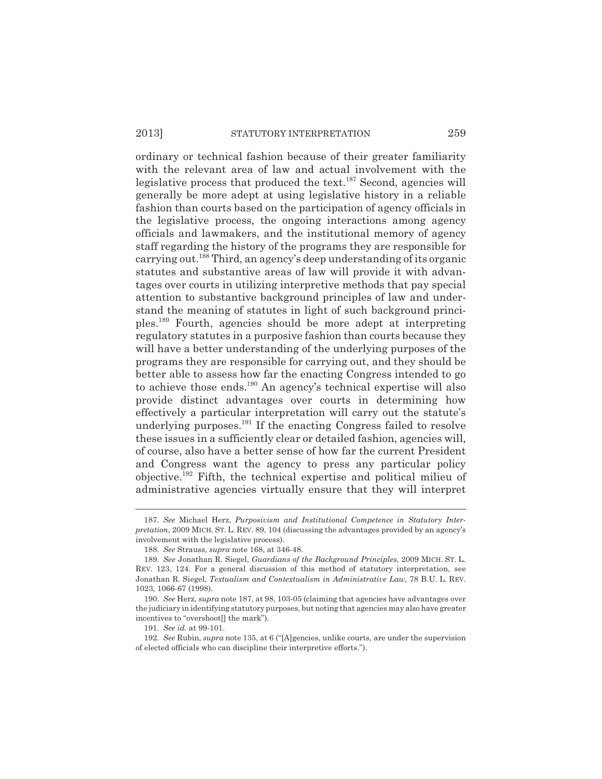# 2013] STATUTORY INTERPRETATION 259

ordinary or technical fashion because of their greater familiarity with the relevant area of law and actual involvement with the legislative process that produced the text.<sup>187</sup> Second, agencies will generally be more adept at using legislative history in a reliable fashion than courts based on the participation of agency officials in the legislative process, the ongoing interactions among agency officials and lawmakers, and the institutional memory of agency staff regarding the history of the programs they are responsible for carrying out.188 Third, an agency's deep understanding of its organic statutes and substantive areas of law will provide it with advantages over courts in utilizing interpretive methods that pay special attention to substantive background principles of law and understand the meaning of statutes in light of such background principles.189 Fourth, agencies should be more adept at interpreting regulatory statutes in a purposive fashion than courts because they will have a better understanding of the underlying purposes of the programs they are responsible for carrying out, and they should be better able to assess how far the enacting Congress intended to go to achieve those ends.<sup>190</sup> An agency's technical expertise will also provide distinct advantages over courts in determining how effectively a particular interpretation will carry out the statute's underlying purposes.<sup>191</sup> If the enacting Congress failed to resolve these issues in a sufficiently clear or detailed fashion, agencies will, of course, also have a better sense of how far the current President and Congress want the agency to press any particular policy objective.192 Fifth, the technical expertise and political milieu of administrative agencies virtually ensure that they will interpret

<sup>187.</sup> *See* Michael Herz, *Purposivism and Institutional Competence in Statutory Interpretation*, 2009 MICH. ST. L. REV. 89, 104 (discussing the advantages provided by an agency's involvement with the legislative process).

<sup>188.</sup> *See* Strauss, *supra* note 168, at 346-48.

<sup>189.</sup> *See* Jonathan R. Siegel, *Guardians of the Background Principles*, 2009 MICH. ST. L. REV. 123, 124. For a general discussion of this method of statutory interpretation, see Jonathan R. Siegel, *Textualism and Contextualism in Administrative Law*, 78 B.U. L. REV. 1023, 1066-67 (1998).

<sup>190.</sup> *See* Herz, *supra* note 187, at 98, 103-05 (claiming that agencies have advantages over the judiciary in identifying statutory purposes, but noting that agencies may also have greater incentives to "overshoot[] the mark").

<sup>191.</sup> *See id.* at 99-101.

<sup>192.</sup> *See* Rubin, *supra* note 135, at 6 ("[A]gencies, unlike courts, are under the supervision of elected officials who can discipline their interpretive efforts.").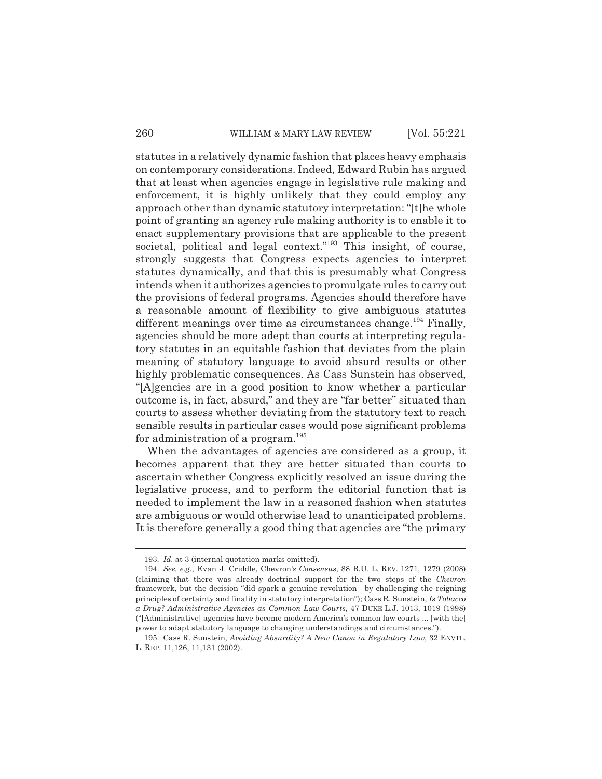statutes in a relatively dynamic fashion that places heavy emphasis on contemporary considerations. Indeed, Edward Rubin has argued that at least when agencies engage in legislative rule making and enforcement, it is highly unlikely that they could employ any approach other than dynamic statutory interpretation: "[t]he whole point of granting an agency rule making authority is to enable it to enact supplementary provisions that are applicable to the present societal, political and legal context."<sup>193</sup> This insight, of course, strongly suggests that Congress expects agencies to interpret statutes dynamically, and that this is presumably what Congress intends when it authorizes agencies to promulgate rules to carry out the provisions of federal programs. Agencies should therefore have a reasonable amount of flexibility to give ambiguous statutes different meanings over time as circumstances change.<sup>194</sup> Finally, agencies should be more adept than courts at interpreting regulatory statutes in an equitable fashion that deviates from the plain meaning of statutory language to avoid absurd results or other highly problematic consequences. As Cass Sunstein has observed, "[A]gencies are in a good position to know whether a particular outcome is, in fact, absurd," and they are "far better" situated than courts to assess whether deviating from the statutory text to reach sensible results in particular cases would pose significant problems for administration of a program.<sup>195</sup>

When the advantages of agencies are considered as a group, it becomes apparent that they are better situated than courts to ascertain whether Congress explicitly resolved an issue during the legislative process, and to perform the editorial function that is needed to implement the law in a reasoned fashion when statutes are ambiguous or would otherwise lead to unanticipated problems. It is therefore generally a good thing that agencies are "the primary

<sup>193.</sup> *Id.* at 3 (internal quotation marks omitted).

<sup>194.</sup> *See, e.g.*, Evan J. Criddle, Chevron*'s Consensus*, 88 B.U. L. REV. 1271, 1279 (2008) (claiming that there was already doctrinal support for the two steps of the *Chevron* framework, but the decision "did spark a genuine revolution—by challenging the reigning principles of certainty and finality in statutory interpretation"); Cass R. Sunstein, *Is Tobacco a Drug? Administrative Agencies as Common Law Courts*, 47 DUKE L.J. 1013, 1019 (1998) ("[Administrative] agencies have become modern America's common law courts ... [with the] power to adapt statutory language to changing understandings and circumstances.").

<sup>195.</sup> Cass R. Sunstein, *Avoiding Absurdity? A New Canon in Regulatory Law*, 32 ENVTL. L. REP. 11,126, 11,131 (2002).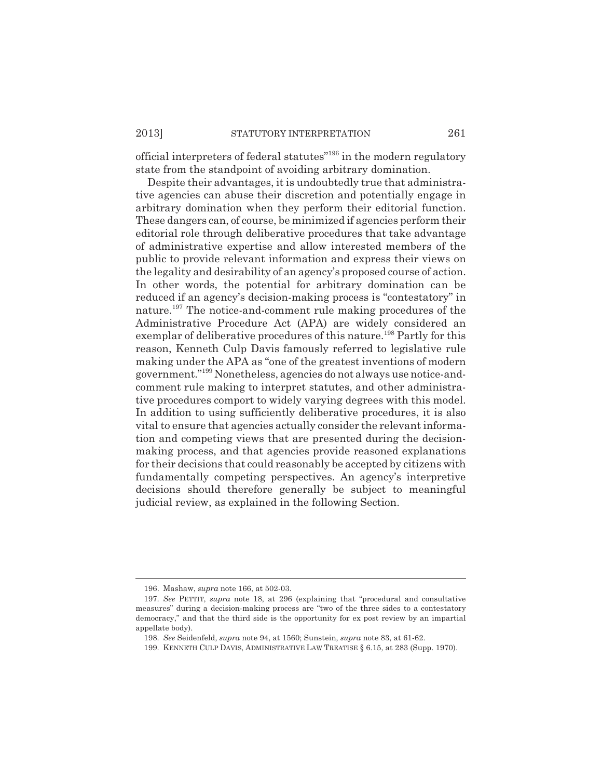official interpreters of federal statutes"196 in the modern regulatory state from the standpoint of avoiding arbitrary domination.

Despite their advantages, it is undoubtedly true that administrative agencies can abuse their discretion and potentially engage in arbitrary domination when they perform their editorial function. These dangers can, of course, be minimized if agencies perform their editorial role through deliberative procedures that take advantage of administrative expertise and allow interested members of the public to provide relevant information and express their views on the legality and desirability of an agency's proposed course of action. In other words, the potential for arbitrary domination can be reduced if an agency's decision-making process is "contestatory" in nature.<sup>197</sup> The notice-and-comment rule making procedures of the Administrative Procedure Act (APA) are widely considered an exemplar of deliberative procedures of this nature.<sup>198</sup> Partly for this reason, Kenneth Culp Davis famously referred to legislative rule making under the APA as "one of the greatest inventions of modern government."199 Nonetheless, agencies do not always use notice-andcomment rule making to interpret statutes, and other administrative procedures comport to widely varying degrees with this model. In addition to using sufficiently deliberative procedures, it is also vital to ensure that agencies actually consider the relevant information and competing views that are presented during the decisionmaking process, and that agencies provide reasoned explanations for their decisions that could reasonably be accepted by citizens with fundamentally competing perspectives. An agency's interpretive decisions should therefore generally be subject to meaningful judicial review, as explained in the following Section.

<sup>196.</sup> Mashaw, *supra* note 166, at 502-03.

<sup>197.</sup> *See* PETTIT, *supra* note 18, at 296 (explaining that "procedural and consultative measures" during a decision-making process are "two of the three sides to a contestatory democracy," and that the third side is the opportunity for ex post review by an impartial appellate body).

<sup>198.</sup> *See* Seidenfeld, *supra* note 94, at 1560; Sunstein, *supra* note 83, at 61-62.

<sup>199.</sup> KENNETH CULP DAVIS, ADMINISTRATIVE LAW TREATISE § 6.15, at 283 (Supp. 1970).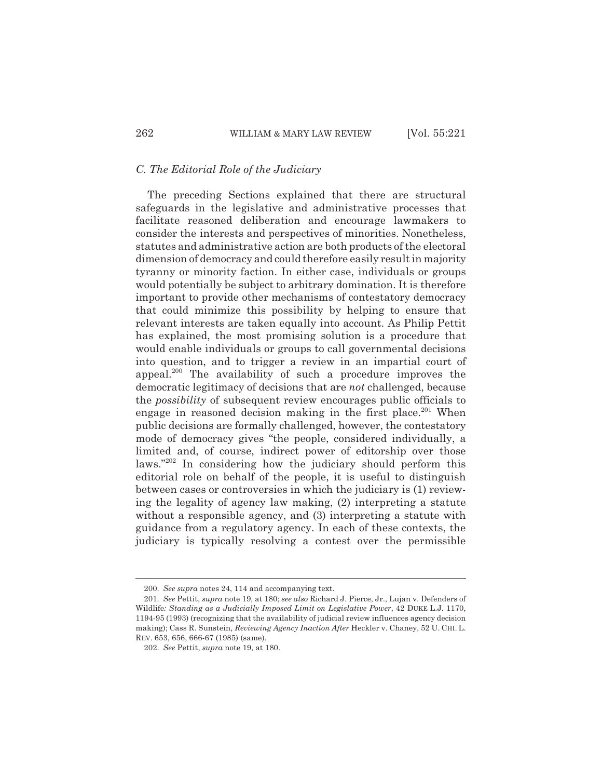# *C. The Editorial Role of the Judiciary*

The preceding Sections explained that there are structural safeguards in the legislative and administrative processes that facilitate reasoned deliberation and encourage lawmakers to consider the interests and perspectives of minorities. Nonetheless, statutes and administrative action are both products of the electoral dimension of democracy and could therefore easily result in majority tyranny or minority faction. In either case, individuals or groups would potentially be subject to arbitrary domination. It is therefore important to provide other mechanisms of contestatory democracy that could minimize this possibility by helping to ensure that relevant interests are taken equally into account. As Philip Pettit has explained, the most promising solution is a procedure that would enable individuals or groups to call governmental decisions into question, and to trigger a review in an impartial court of appeal.<sup>200</sup> The availability of such a procedure improves the democratic legitimacy of decisions that are *not* challenged, because the *possibility* of subsequent review encourages public officials to engage in reasoned decision making in the first place.<sup>201</sup> When public decisions are formally challenged, however, the contestatory mode of democracy gives "the people, considered individually, a limited and, of course, indirect power of editorship over those laws."202 In considering how the judiciary should perform this editorial role on behalf of the people, it is useful to distinguish between cases or controversies in which the judiciary is (1) reviewing the legality of agency law making, (2) interpreting a statute without a responsible agency, and (3) interpreting a statute with guidance from a regulatory agency. In each of these contexts, the judiciary is typically resolving a contest over the permissible

<sup>200.</sup> *See supra* notes 24, 114 and accompanying text.

<sup>201.</sup> *See* Pettit, *supra* note 19, at 180; *see also* Richard J. Pierce, Jr., Lujan v. Defenders of Wildlife*: Standing as a Judicially Imposed Limit on Legislative Power*, 42 DUKE L.J. 1170, 1194-95 (1993) (recognizing that the availability of judicial review influences agency decision making); Cass R. Sunstein, *Reviewing Agency Inaction After* Heckler v. Chaney, 52 U. CHI. L. REV. 653, 656, 666-67 (1985) (same).

<sup>202.</sup> *See* Pettit, *supra* note 19, at 180.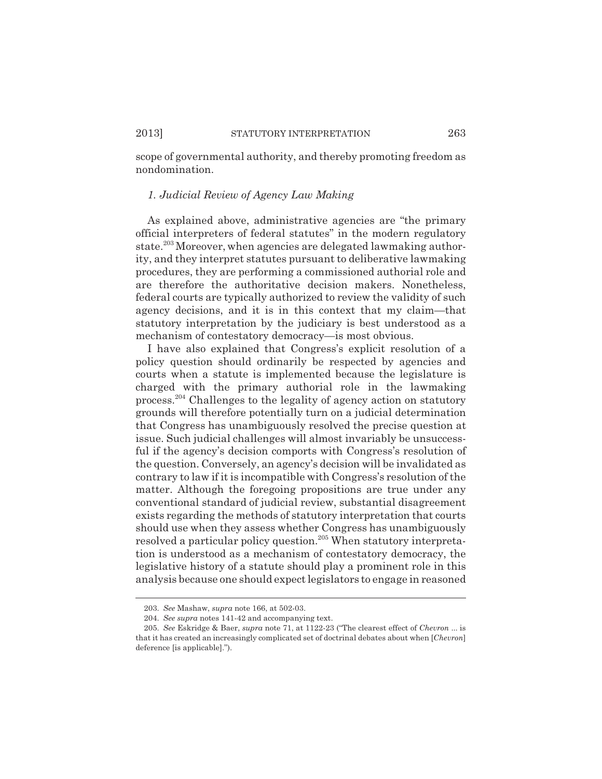scope of governmental authority, and thereby promoting freedom as nondomination.

# *1. Judicial Review of Agency Law Making*

As explained above, administrative agencies are "the primary official interpreters of federal statutes" in the modern regulatory state.<sup>203</sup> Moreover, when agencies are delegated lawmaking authority, and they interpret statutes pursuant to deliberative lawmaking procedures, they are performing a commissioned authorial role and are therefore the authoritative decision makers. Nonetheless, federal courts are typically authorized to review the validity of such agency decisions, and it is in this context that my claim—that statutory interpretation by the judiciary is best understood as a mechanism of contestatory democracy—is most obvious.

I have also explained that Congress's explicit resolution of a policy question should ordinarily be respected by agencies and courts when a statute is implemented because the legislature is charged with the primary authorial role in the lawmaking process.204 Challenges to the legality of agency action on statutory grounds will therefore potentially turn on a judicial determination that Congress has unambiguously resolved the precise question at issue. Such judicial challenges will almost invariably be unsuccessful if the agency's decision comports with Congress's resolution of the question. Conversely, an agency's decision will be invalidated as contrary to law if it is incompatible with Congress's resolution of the matter. Although the foregoing propositions are true under any conventional standard of judicial review, substantial disagreement exists regarding the methods of statutory interpretation that courts should use when they assess whether Congress has unambiguously resolved a particular policy question.205 When statutory interpretation is understood as a mechanism of contestatory democracy, the legislative history of a statute should play a prominent role in this analysis because one should expect legislators to engage in reasoned

<sup>203.</sup> *See* Mashaw, *supra* note 166, at 502-03.

<sup>204.</sup> *See supra* notes 141-42 and accompanying text.

<sup>205.</sup> *See* Eskridge & Baer, *supra* note 71, at 1122-23 ("The clearest effect of *Chevron* ... is that it has created an increasingly complicated set of doctrinal debates about when [*Chevron*] deference [is applicable].").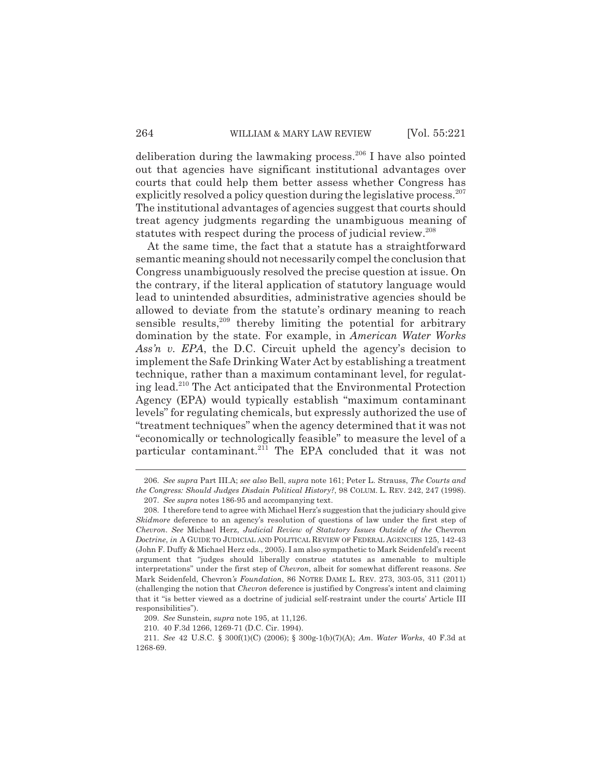deliberation during the lawmaking process.<sup>206</sup> I have also pointed out that agencies have significant institutional advantages over courts that could help them better assess whether Congress has explicitly resolved a policy question during the legislative process. $207$ The institutional advantages of agencies suggest that courts should treat agency judgments regarding the unambiguous meaning of statutes with respect during the process of judicial review.<sup>208</sup>

At the same time, the fact that a statute has a straightforward semantic meaning should not necessarily compel the conclusion that Congress unambiguously resolved the precise question at issue. On the contrary, if the literal application of statutory language would lead to unintended absurdities, administrative agencies should be allowed to deviate from the statute's ordinary meaning to reach sensible results, $209$  thereby limiting the potential for arbitrary domination by the state. For example, in *American Water Works Ass'n v. EPA*, the D.C. Circuit upheld the agency's decision to implement the Safe Drinking Water Act by establishing a treatment technique, rather than a maximum contaminant level, for regulating lead.210 The Act anticipated that the Environmental Protection Agency (EPA) would typically establish "maximum contaminant levels" for regulating chemicals, but expressly authorized the use of "treatment techniques" when the agency determined that it was not "economically or technologically feasible" to measure the level of a particular contaminant.<sup>211</sup> The EPA concluded that it was not

<sup>206.</sup> *See supra* Part III.A; *see also* Bell, *supra* note 161; Peter L. Strauss, *The Courts and the Congress: Should Judges Disdain Political History?*, 98 COLUM. L. REV. 242, 247 (1998).

<sup>207.</sup> *See supra* notes 186-95 and accompanying text.

<sup>208.</sup> I therefore tend to agree with Michael Herz's suggestion that the judiciary should give *Skidmore* deference to an agency's resolution of questions of law under the first step of *Chevron*. *See* Michael Herz, *Judicial Review of Statutory Issues Outside of the* Chevron *Doctrine*, *in* A GUIDE TO JUDICIAL AND POLITICAL REVIEW OF FEDERAL AGENCIES 125, 142-43 (John F. Duffy & Michael Herz eds., 2005). I am also sympathetic to Mark Seidenfeld's recent argument that "judges should liberally construe statutes as amenable to multiple interpretations" under the first step of *Chevron*, albeit for somewhat different reasons. *See* Mark Seidenfeld, Chevron*'s Foundation*, 86 NOTRE DAME L. REV. 273, 303-05, 311 (2011) (challenging the notion that *Chevron* deference is justified by Congress's intent and claiming that it "is better viewed as a doctrine of judicial self-restraint under the courts' Article III responsibilities").

<sup>209.</sup> *See* Sunstein, *supra* note 195, at 11,126.

<sup>210. 40</sup> F.3d 1266, 1269-71 (D.C. Cir. 1994).

<sup>211.</sup> *See* 42 U.S.C. § 300f(1)(C) (2006); § 300g-1(b)(7)(A); *Am. Water Works*, 40 F.3d at 1268-69.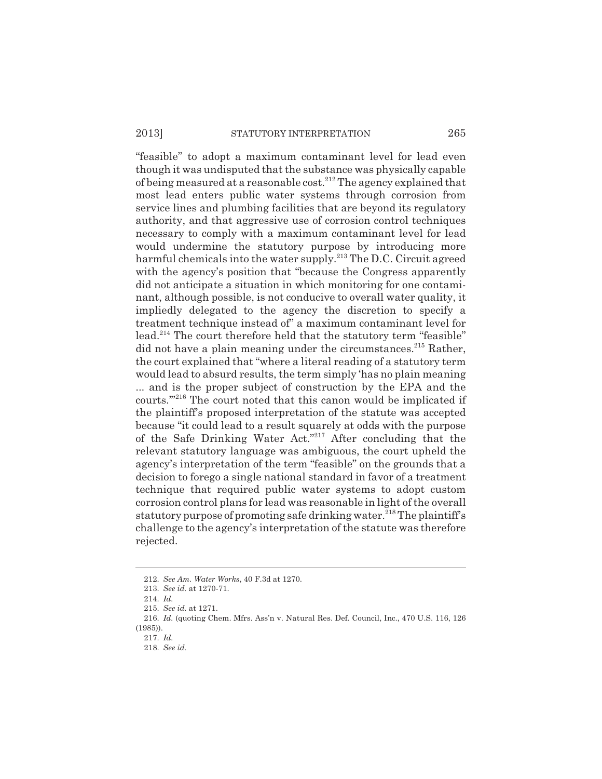"feasible" to adopt a maximum contaminant level for lead even though it was undisputed that the substance was physically capable of being measured at a reasonable cost.212 The agency explained that most lead enters public water systems through corrosion from service lines and plumbing facilities that are beyond its regulatory authority, and that aggressive use of corrosion control techniques necessary to comply with a maximum contaminant level for lead would undermine the statutory purpose by introducing more harmful chemicals into the water supply.213 The D.C. Circuit agreed with the agency's position that "because the Congress apparently did not anticipate a situation in which monitoring for one contaminant, although possible, is not conducive to overall water quality, it impliedly delegated to the agency the discretion to specify a treatment technique instead of" a maximum contaminant level for lead.<sup>214</sup> The court therefore held that the statutory term "feasible" did not have a plain meaning under the circumstances.<sup>215</sup> Rather, the court explained that "where a literal reading of a statutory term would lead to absurd results, the term simply 'has no plain meaning ... and is the proper subject of construction by the EPA and the courts.'"216 The court noted that this canon would be implicated if the plaintiff's proposed interpretation of the statute was accepted because "it could lead to a result squarely at odds with the purpose of the Safe Drinking Water Act."217 After concluding that the relevant statutory language was ambiguous, the court upheld the agency's interpretation of the term "feasible" on the grounds that a decision to forego a single national standard in favor of a treatment technique that required public water systems to adopt custom corrosion control plans for lead was reasonable in light of the overall statutory purpose of promoting safe drinking water.<sup>218</sup> The plaintiff's challenge to the agency's interpretation of the statute was therefore rejected.

<sup>212.</sup> *See Am. Water Works*, 40 F.3d at 1270.

<sup>213.</sup> *See id.* at 1270-71.

<sup>214.</sup> *Id.*

<sup>215.</sup> *See id.* at 1271.

<sup>216.</sup> *Id.* (quoting Chem. Mfrs. Ass'n v. Natural Res. Def. Council, Inc., 470 U.S. 116, 126 (1985)).

<sup>217.</sup> *Id.*

<sup>218.</sup> *See id.*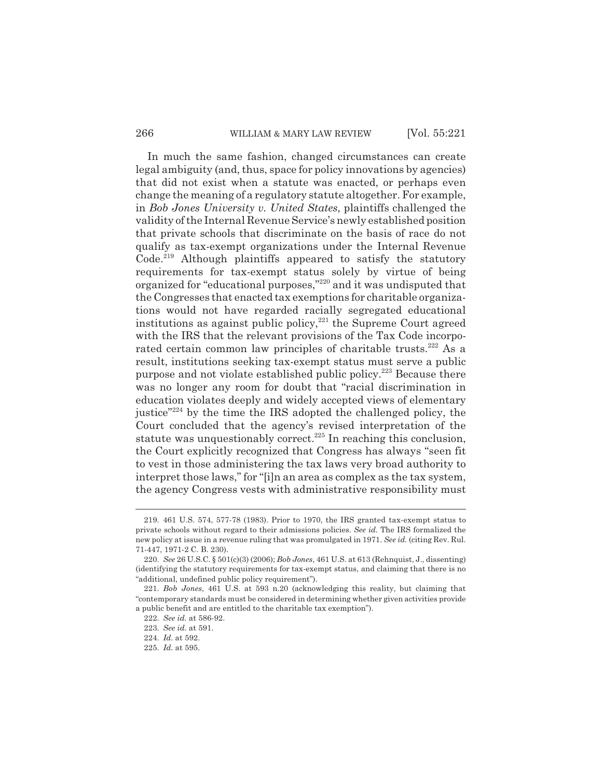### 266 WILLIAM & MARY LAW REVIEW [Vol. 55:221]

In much the same fashion, changed circumstances can create legal ambiguity (and, thus, space for policy innovations by agencies) that did not exist when a statute was enacted, or perhaps even change the meaning of a regulatory statute altogether. For example, in *Bob Jones University v. United States*, plaintiffs challenged the validity of the Internal Revenue Service's newly established position that private schools that discriminate on the basis of race do not qualify as tax-exempt organizations under the Internal Revenue Code.<sup>219</sup> Although plaintiffs appeared to satisfy the statutory requirements for tax-exempt status solely by virtue of being organized for "educational purposes,"220 and it was undisputed that the Congresses that enacted tax exemptions for charitable organizations would not have regarded racially segregated educational institutions as against public policy, $2^{21}$  the Supreme Court agreed with the IRS that the relevant provisions of the Tax Code incorporated certain common law principles of charitable trusts.<sup>222</sup> As a result, institutions seeking tax-exempt status must serve a public purpose and not violate established public policy.223 Because there was no longer any room for doubt that "racial discrimination in education violates deeply and widely accepted views of elementary justice"224 by the time the IRS adopted the challenged policy, the Court concluded that the agency's revised interpretation of the statute was unquestionably correct.<sup>225</sup> In reaching this conclusion, the Court explicitly recognized that Congress has always "seen fit to vest in those administering the tax laws very broad authority to interpret those laws," for "[i]n an area as complex as the tax system, the agency Congress vests with administrative responsibility must

<sup>219. 461</sup> U.S. 574, 577-78 (1983). Prior to 1970, the IRS granted tax-exempt status to private schools without regard to their admissions policies. *See id.* The IRS formalized the new policy at issue in a revenue ruling that was promulgated in 1971. *See id.* (citing Rev. Rul. 71-447, 1971-2 C. B. 230).

<sup>220.</sup> *See* 26 U.S.C. § 501(c)(3) (2006); *Bob Jones*, 461 U.S. at 613 (Rehnquist, J., dissenting) (identifying the statutory requirements for tax-exempt status, and claiming that there is no "additional, undefined public policy requirement").

<sup>221.</sup> *Bob Jones*, 461 U.S. at 593 n.20 (acknowledging this reality, but claiming that "contemporary standards must be considered in determining whether given activities provide a public benefit and are entitled to the charitable tax exemption").

<sup>222.</sup> *See id.* at 586-92.

<sup>223.</sup> *See id.* at 591.

<sup>224.</sup> *Id.* at 592.

<sup>225.</sup> *Id.* at 595.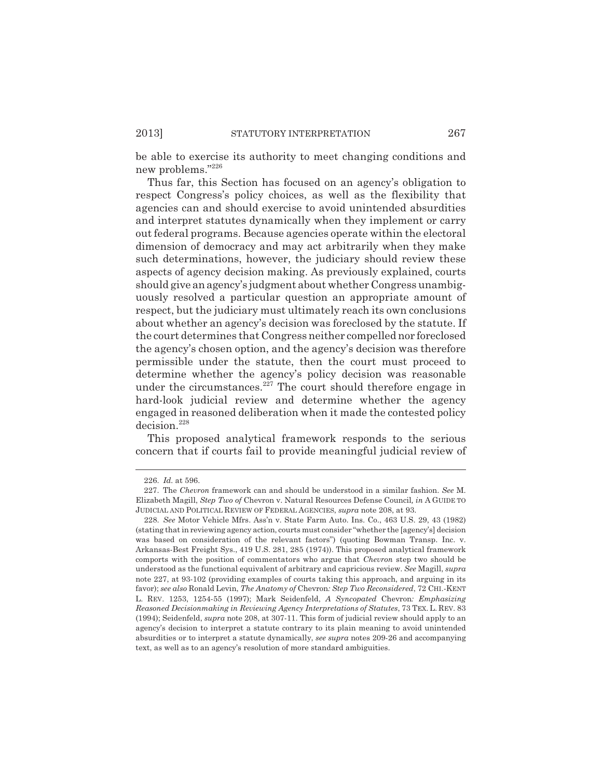be able to exercise its authority to meet changing conditions and new problems."226

Thus far, this Section has focused on an agency's obligation to respect Congress's policy choices, as well as the flexibility that agencies can and should exercise to avoid unintended absurdities and interpret statutes dynamically when they implement or carry out federal programs. Because agencies operate within the electoral dimension of democracy and may act arbitrarily when they make such determinations, however, the judiciary should review these aspects of agency decision making. As previously explained, courts should give an agency's judgment about whether Congress unambiguously resolved a particular question an appropriate amount of respect, but the judiciary must ultimately reach its own conclusions about whether an agency's decision was foreclosed by the statute. If the court determines that Congress neither compelled nor foreclosed the agency's chosen option, and the agency's decision was therefore permissible under the statute, then the court must proceed to determine whether the agency's policy decision was reasonable under the circumstances. $227$  The court should therefore engage in hard-look judicial review and determine whether the agency engaged in reasoned deliberation when it made the contested policy decision.228

This proposed analytical framework responds to the serious concern that if courts fail to provide meaningful judicial review of

<sup>226.</sup> *Id.* at 596.

<sup>227.</sup> The *Chevron* framework can and should be understood in a similar fashion. *See* M. Elizabeth Magill, *Step Two of* Chevron v. Natural Resources Defense Council*, in* A GUIDE TO JUDICIAL AND POLITICAL REVIEW OF FEDERAL AGENCIES, *supra* note 208, at 93.

<sup>228.</sup> *See* Motor Vehicle Mfrs. Ass'n v. State Farm Auto. Ins. Co., 463 U.S. 29, 43 (1982) (stating that in reviewing agency action, courts must consider "whether the [agency's] decision was based on consideration of the relevant factors") (quoting Bowman Transp. Inc. v. Arkansas-Best Freight Sys., 419 U.S. 281, 285 (1974)). This proposed analytical framework comports with the position of commentators who argue that *Chevron* step two should be understood as the functional equivalent of arbitrary and capricious review. *See* Magill, *supra* note 227, at 93-102 (providing examples of courts taking this approach, and arguing in its favor); *see also* Ronald Levin, *The Anatomy of* Chevron*: Step Two Reconsidered*, 72 CHI.-KENT L. REV. 1253, 1254-55 (1997); Mark Seidenfeld, *A Syncopated* Chevron*: Emphasizing Reasoned Decisionmaking in Reviewing Agency Interpretations of Statutes*, 73 TEX. L. REV. 83 (1994); Seidenfeld, *supra* note 208, at 307-11. This form of judicial review should apply to an agency's decision to interpret a statute contrary to its plain meaning to avoid unintended absurdities or to interpret a statute dynamically, *see supra* notes 209-26 and accompanying text, as well as to an agency's resolution of more standard ambiguities.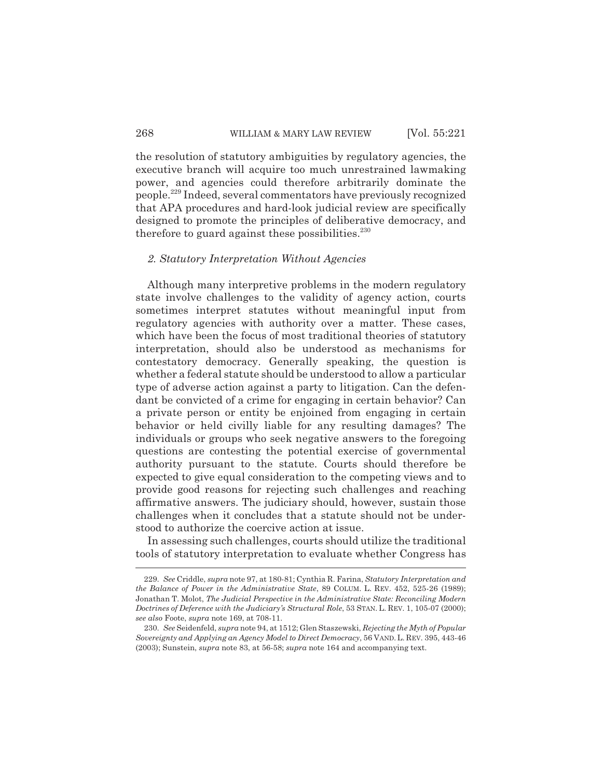the resolution of statutory ambiguities by regulatory agencies, the executive branch will acquire too much unrestrained lawmaking power, and agencies could therefore arbitrarily dominate the people.229 Indeed, several commentators have previously recognized that APA procedures and hard-look judicial review are specifically designed to promote the principles of deliberative democracy, and therefore to guard against these possibilities. $230$ 

### *2. Statutory Interpretation Without Agencies*

Although many interpretive problems in the modern regulatory state involve challenges to the validity of agency action, courts sometimes interpret statutes without meaningful input from regulatory agencies with authority over a matter. These cases, which have been the focus of most traditional theories of statutory interpretation, should also be understood as mechanisms for contestatory democracy. Generally speaking, the question is whether a federal statute should be understood to allow a particular type of adverse action against a party to litigation. Can the defendant be convicted of a crime for engaging in certain behavior? Can a private person or entity be enjoined from engaging in certain behavior or held civilly liable for any resulting damages? The individuals or groups who seek negative answers to the foregoing questions are contesting the potential exercise of governmental authority pursuant to the statute. Courts should therefore be expected to give equal consideration to the competing views and to provide good reasons for rejecting such challenges and reaching affirmative answers. The judiciary should, however, sustain those challenges when it concludes that a statute should not be understood to authorize the coercive action at issue.

In assessing such challenges, courts should utilize the traditional tools of statutory interpretation to evaluate whether Congress has

<sup>229.</sup> *See* Criddle, *supra* note 97, at 180-81; Cynthia R. Farina, *Statutory Interpretation and the Balance of Power in the Administrative State*, 89 COLUM. L. REV. 452, 525-26 (1989); Jonathan T. Molot, *The Judicial Perspective in the Administrative State: Reconciling Modern Doctrines of Deference with the Judiciary's Structural Role*, 53 STAN. L. REV. 1, 105-07 (2000); *see also* Foote, *supra* note 169, at 708-11.

<sup>230.</sup> *See* Seidenfeld, *supra* note 94, at 1512; Glen Staszewski, *Rejecting the Myth of Popular Sovereignty and Applying an Agency Model to Direct Democracy*, 56 VAND.L. REV. 395, 443-46 (2003); Sunstein, *supra* note 83, at 56-58; *supra* note 164 and accompanying text.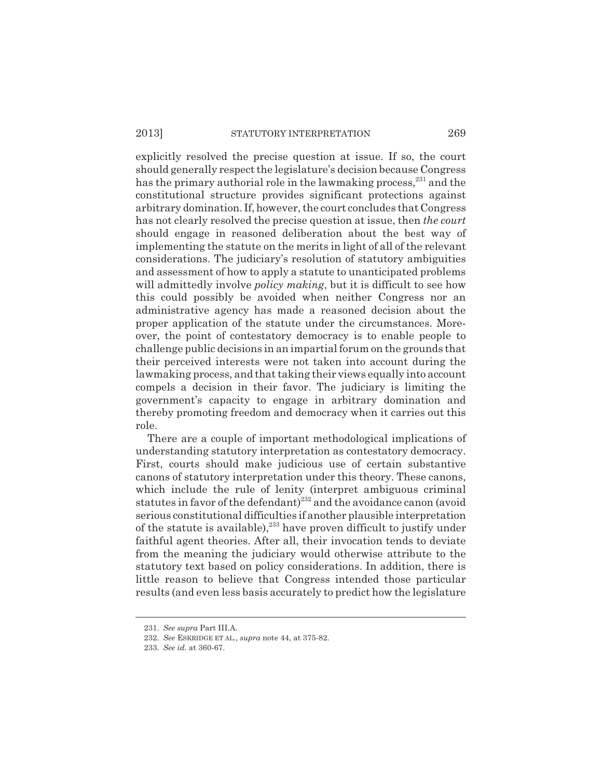explicitly resolved the precise question at issue. If so, the court should generally respect the legislature's decision because Congress has the primary authorial role in the lawmaking process,<sup>231</sup> and the constitutional structure provides significant protections against arbitrary domination. If, however, the court concludes that Congress has not clearly resolved the precise question at issue, then *the court* should engage in reasoned deliberation about the best way of implementing the statute on the merits in light of all of the relevant considerations. The judiciary's resolution of statutory ambiguities and assessment of how to apply a statute to unanticipated problems will admittedly involve *policy making*, but it is difficult to see how this could possibly be avoided when neither Congress nor an administrative agency has made a reasoned decision about the proper application of the statute under the circumstances. Moreover, the point of contestatory democracy is to enable people to challenge public decisions in an impartial forum on the grounds that their perceived interests were not taken into account during the lawmaking process, and that taking their views equally into account compels a decision in their favor. The judiciary is limiting the government's capacity to engage in arbitrary domination and thereby promoting freedom and democracy when it carries out this role.

There are a couple of important methodological implications of understanding statutory interpretation as contestatory democracy. First, courts should make judicious use of certain substantive canons of statutory interpretation under this theory. These canons, which include the rule of lenity (interpret ambiguous criminal statutes in favor of the defendant)<sup>232</sup> and the avoidance canon (avoid serious constitutional difficulties if another plausible interpretation of the statute is available),<sup>233</sup> have proven difficult to justify under faithful agent theories. After all, their invocation tends to deviate from the meaning the judiciary would otherwise attribute to the statutory text based on policy considerations. In addition, there is little reason to believe that Congress intended those particular results (and even less basis accurately to predict how the legislature

<sup>231.</sup> *See supra* Part III.A.

<sup>232.</sup> *See* ESKRIDGE ET AL., *supra* note 44, at 375-82.

<sup>233.</sup> *See id.* at 360-67.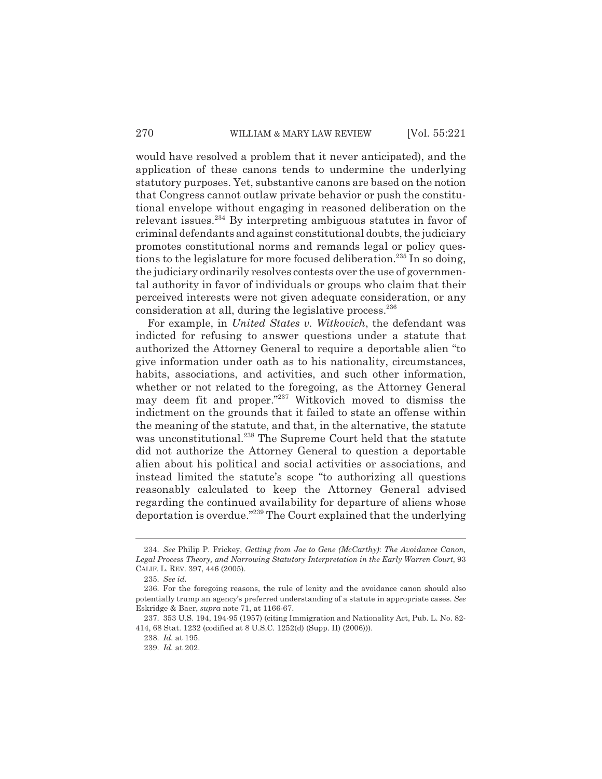would have resolved a problem that it never anticipated), and the application of these canons tends to undermine the underlying statutory purposes. Yet, substantive canons are based on the notion that Congress cannot outlaw private behavior or push the constitutional envelope without engaging in reasoned deliberation on the relevant issues.234 By interpreting ambiguous statutes in favor of criminal defendants and against constitutional doubts, the judiciary promotes constitutional norms and remands legal or policy questions to the legislature for more focused deliberation.<sup>235</sup> In so doing, the judiciary ordinarily resolves contests over the use of governmental authority in favor of individuals or groups who claim that their perceived interests were not given adequate consideration, or any consideration at all, during the legislative process.<sup>236</sup>

For example, in *United States v. Witkovich*, the defendant was indicted for refusing to answer questions under a statute that authorized the Attorney General to require a deportable alien "to give information under oath as to his nationality, circumstances, habits, associations, and activities, and such other information, whether or not related to the foregoing, as the Attorney General may deem fit and proper."237 Witkovich moved to dismiss the indictment on the grounds that it failed to state an offense within the meaning of the statute, and that, in the alternative, the statute was unconstitutional.<sup>238</sup> The Supreme Court held that the statute did not authorize the Attorney General to question a deportable alien about his political and social activities or associations, and instead limited the statute's scope "to authorizing all questions reasonably calculated to keep the Attorney General advised regarding the continued availability for departure of aliens whose deportation is overdue."239 The Court explained that the underlying

<sup>234.</sup> *See* Philip P. Frickey, *Getting from Joe to Gene (McCarthy)*: *The Avoidance Canon, Legal Process Theory, and Narrowing Statutory Interpretation in the Early Warren Court*, 93 CALIF. L. REV. 397, 446 (2005).

<sup>235.</sup> *See id.*

<sup>236.</sup> For the foregoing reasons, the rule of lenity and the avoidance canon should also potentially trump an agency's preferred understanding of a statute in appropriate cases. *See* Eskridge & Baer, *supra* note 71, at 1166-67.

<sup>237. 353</sup> U.S. 194, 194-95 (1957) (citing Immigration and Nationality Act, Pub. L. No. 82- 414, 68 Stat. 1232 (codified at 8 U.S.C. 1252(d) (Supp. II) (2006))).

<sup>238.</sup> *Id.* at 195.

<sup>239.</sup> *Id.* at 202.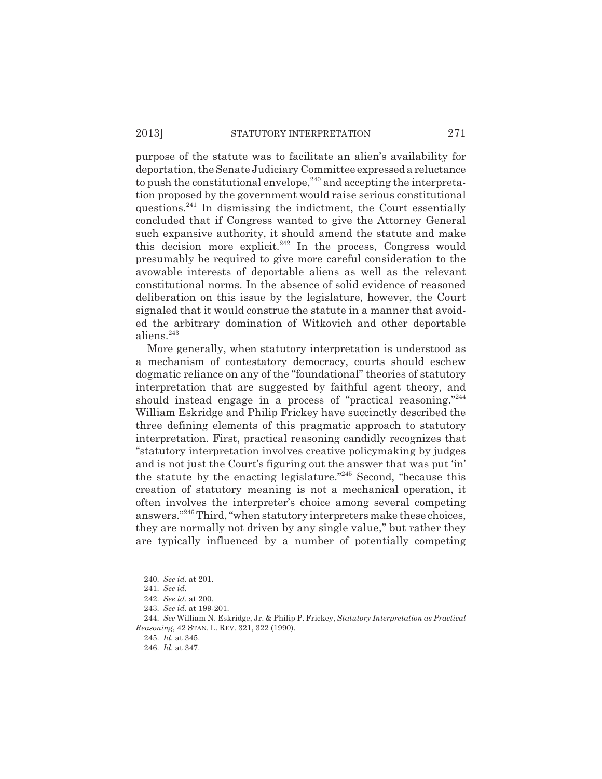### 2013] STATUTORY INTERPRETATION 271

purpose of the statute was to facilitate an alien's availability for deportation, the Senate Judiciary Committee expressed a reluctance to push the constitutional envelope,  $240$  and accepting the interpretation proposed by the government would raise serious constitutional questions.241 In dismissing the indictment, the Court essentially concluded that if Congress wanted to give the Attorney General such expansive authority, it should amend the statute and make this decision more explicit.<sup>242</sup> In the process, Congress would presumably be required to give more careful consideration to the avowable interests of deportable aliens as well as the relevant constitutional norms. In the absence of solid evidence of reasoned deliberation on this issue by the legislature, however, the Court signaled that it would construe the statute in a manner that avoided the arbitrary domination of Witkovich and other deportable aliens.<sup>243</sup>

More generally, when statutory interpretation is understood as a mechanism of contestatory democracy, courts should eschew dogmatic reliance on any of the "foundational" theories of statutory interpretation that are suggested by faithful agent theory, and should instead engage in a process of "practical reasoning."<sup>244</sup> William Eskridge and Philip Frickey have succinctly described the three defining elements of this pragmatic approach to statutory interpretation. First, practical reasoning candidly recognizes that "statutory interpretation involves creative policymaking by judges and is not just the Court's figuring out the answer that was put 'in' the statute by the enacting legislature."245 Second, "because this creation of statutory meaning is not a mechanical operation, it often involves the interpreter's choice among several competing answers."<sup>246</sup> Third, "when statutory interpreters make these choices, they are normally not driven by any single value," but rather they are typically influenced by a number of potentially competing

<sup>240.</sup> *See id.* at 201.

<sup>241.</sup> *See id.*

<sup>242.</sup> *See id.* at 200.

<sup>243.</sup> *See id.* at 199-201.

<sup>244.</sup> *See* William N. Eskridge, Jr. & Philip P. Frickey, *Statutory Interpretation as Practical Reasoning*, 42 STAN. L. REV. 321, 322 (1990).

<sup>245.</sup> *Id.* at 345.

<sup>246.</sup> *Id.* at 347.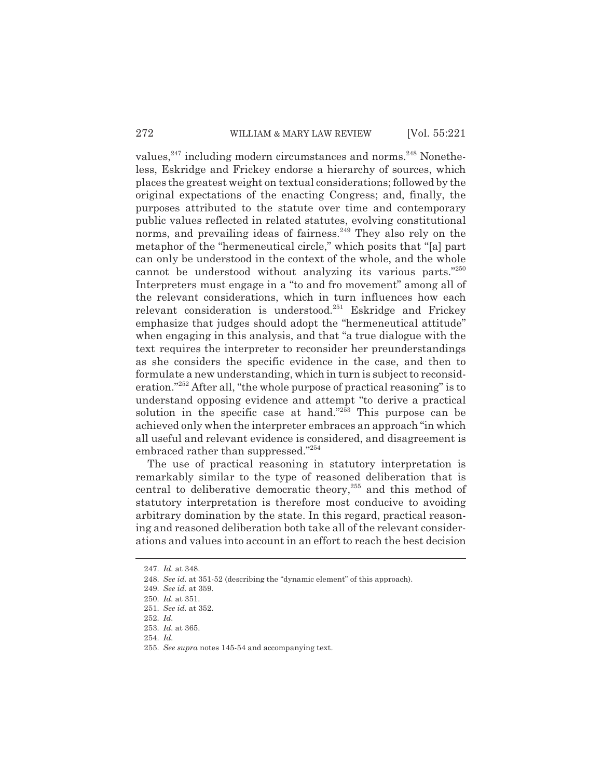values,<sup>247</sup> including modern circumstances and norms.<sup>248</sup> Nonetheless, Eskridge and Frickey endorse a hierarchy of sources, which places the greatest weight on textual considerations; followed by the original expectations of the enacting Congress; and, finally, the purposes attributed to the statute over time and contemporary public values reflected in related statutes, evolving constitutional norms, and prevailing ideas of fairness.<sup>249</sup> They also rely on the metaphor of the "hermeneutical circle," which posits that "[a] part can only be understood in the context of the whole, and the whole cannot be understood without analyzing its various parts."250 Interpreters must engage in a "to and fro movement" among all of the relevant considerations, which in turn influences how each relevant consideration is understood.<sup>251</sup> Eskridge and Frickey emphasize that judges should adopt the "hermeneutical attitude" when engaging in this analysis, and that "a true dialogue with the text requires the interpreter to reconsider her preunderstandings as she considers the specific evidence in the case, and then to formulate a new understanding, which in turn is subject to reconsideration."252 After all, "the whole purpose of practical reasoning" is to understand opposing evidence and attempt "to derive a practical solution in the specific case at hand."<sup>253</sup> This purpose can be achieved only when the interpreter embraces an approach "in which all useful and relevant evidence is considered, and disagreement is embraced rather than suppressed."254

The use of practical reasoning in statutory interpretation is remarkably similar to the type of reasoned deliberation that is central to deliberative democratic theory,255 and this method of statutory interpretation is therefore most conducive to avoiding arbitrary domination by the state. In this regard, practical reasoning and reasoned deliberation both take all of the relevant considerations and values into account in an effort to reach the best decision

<sup>247.</sup> *Id.* at 348.

<sup>248.</sup> *See id.* at 351-52 (describing the "dynamic element" of this approach).

<sup>249.</sup> *See id.* at 359.

<sup>250.</sup> *Id.* at 351.

<sup>251.</sup> *See id.* at 352.

<sup>252.</sup> *Id.*

<sup>253.</sup> *Id.* at 365.

<sup>254.</sup> *Id.*

<sup>255.</sup> *See supra* notes 145-54 and accompanying text.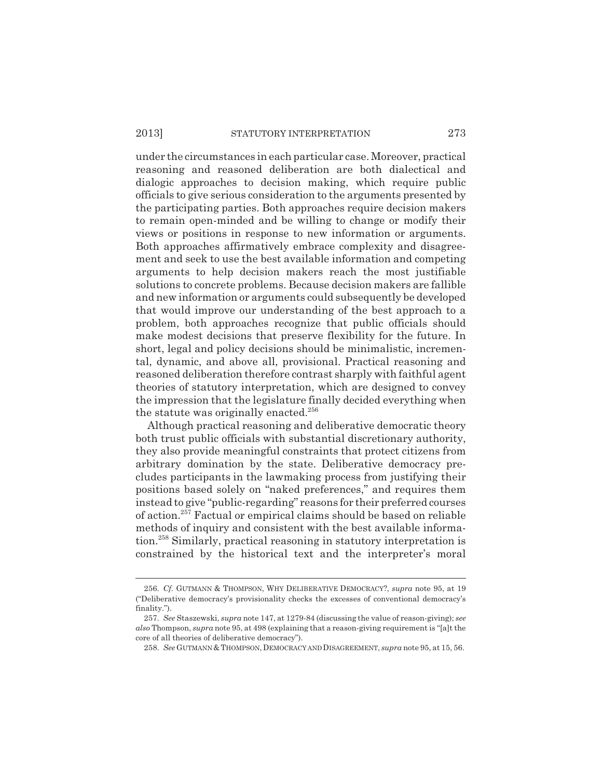under the circumstances in each particular case. Moreover, practical reasoning and reasoned deliberation are both dialectical and dialogic approaches to decision making, which require public officials to give serious consideration to the arguments presented by the participating parties. Both approaches require decision makers to remain open-minded and be willing to change or modify their views or positions in response to new information or arguments. Both approaches affirmatively embrace complexity and disagreement and seek to use the best available information and competing arguments to help decision makers reach the most justifiable solutions to concrete problems. Because decision makers are fallible and new information or arguments could subsequently be developed that would improve our understanding of the best approach to a problem, both approaches recognize that public officials should make modest decisions that preserve flexibility for the future. In short, legal and policy decisions should be minimalistic, incremental, dynamic, and above all, provisional. Practical reasoning and reasoned deliberation therefore contrast sharply with faithful agent theories of statutory interpretation, which are designed to convey the impression that the legislature finally decided everything when the statute was originally enacted.<sup>256</sup>

Although practical reasoning and deliberative democratic theory both trust public officials with substantial discretionary authority, they also provide meaningful constraints that protect citizens from arbitrary domination by the state. Deliberative democracy precludes participants in the lawmaking process from justifying their positions based solely on "naked preferences," and requires them instead to give "public-regarding" reasons for their preferred courses of action.257 Factual or empirical claims should be based on reliable methods of inquiry and consistent with the best available information.258 Similarly, practical reasoning in statutory interpretation is constrained by the historical text and the interpreter's moral

<sup>256.</sup> *Cf.* GUTMANN & THOMPSON, WHY DELIBERATIVE DEMOCRACY?, *supra* note 95, at 19 ("Deliberative democracy's provisionality checks the excesses of conventional democracy's finality.").

<sup>257.</sup> *See* Staszewski, *supra* note 147, at 1279-84 (discussing the value of reason-giving); *see also* Thompson, *supra* note 95, at 498 (explaining that a reason-giving requirement is "[a]t the core of all theories of deliberative democracy").

<sup>258.</sup> *See* GUTMANN & THOMPSON,DEMOCRACY AND DISAGREEMENT, *supra* note 95, at 15, 56.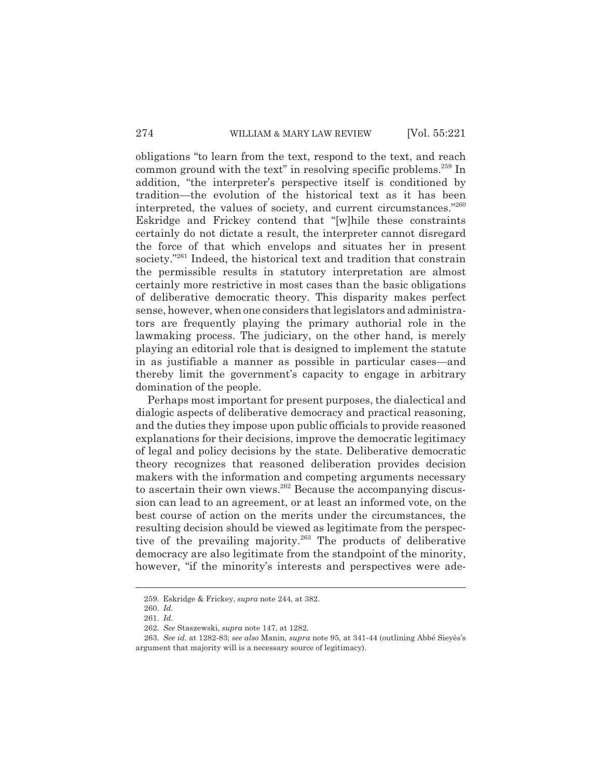obligations "to learn from the text, respond to the text, and reach common ground with the text" in resolving specific problems.<sup>259</sup> In addition, "the interpreter's perspective itself is conditioned by tradition—the evolution of the historical text as it has been interpreted, the values of society, and current circumstances."260 Eskridge and Frickey contend that "[w]hile these constraints certainly do not dictate a result, the interpreter cannot disregard the force of that which envelops and situates her in present society."<sup>261</sup> Indeed, the historical text and tradition that constrain the permissible results in statutory interpretation are almost certainly more restrictive in most cases than the basic obligations of deliberative democratic theory. This disparity makes perfect sense, however, when one considers that legislators and administrators are frequently playing the primary authorial role in the lawmaking process. The judiciary, on the other hand, is merely playing an editorial role that is designed to implement the statute in as justifiable a manner as possible in particular cases—and thereby limit the government's capacity to engage in arbitrary domination of the people.

Perhaps most important for present purposes, the dialectical and dialogic aspects of deliberative democracy and practical reasoning, and the duties they impose upon public officials to provide reasoned explanations for their decisions, improve the democratic legitimacy of legal and policy decisions by the state. Deliberative democratic theory recognizes that reasoned deliberation provides decision makers with the information and competing arguments necessary to ascertain their own views.<sup>262</sup> Because the accompanying discussion can lead to an agreement, or at least an informed vote, on the best course of action on the merits under the circumstances, the resulting decision should be viewed as legitimate from the perspective of the prevailing majority.<sup>263</sup> The products of deliberative democracy are also legitimate from the standpoint of the minority, however, "if the minority's interests and perspectives were ade-

<sup>259.</sup> Eskridge & Frickey, *supra* note 244, at 382.

<sup>260.</sup> *Id.*

<sup>261.</sup> *Id.*

<sup>262.</sup> *See* Staszewski, *supra* note 147, at 1282.

<sup>263.</sup> *See id.* at 1282-83; *see also* Manin, *supra* note 95, at 341-44 (outlining Abbé Sieyès's argument that majority will is a necessary source of legitimacy).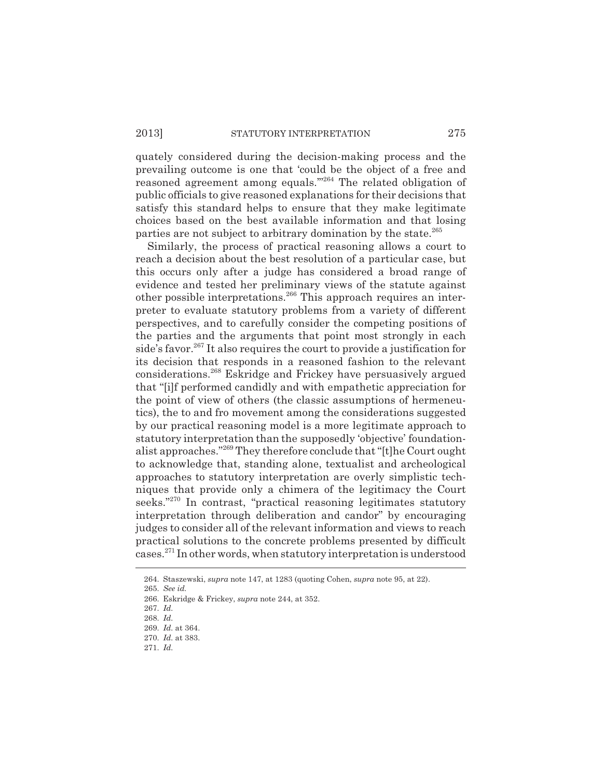quately considered during the decision-making process and the prevailing outcome is one that 'could be the object of a free and reasoned agreement among equals.'"264 The related obligation of public officials to give reasoned explanations for their decisions that satisfy this standard helps to ensure that they make legitimate choices based on the best available information and that losing parties are not subject to arbitrary domination by the state.<sup>265</sup>

Similarly, the process of practical reasoning allows a court to reach a decision about the best resolution of a particular case, but this occurs only after a judge has considered a broad range of evidence and tested her preliminary views of the statute against other possible interpretations.266 This approach requires an interpreter to evaluate statutory problems from a variety of different perspectives, and to carefully consider the competing positions of the parties and the arguments that point most strongly in each side's favor.<sup>267</sup> It also requires the court to provide a justification for its decision that responds in a reasoned fashion to the relevant considerations.268 Eskridge and Frickey have persuasively argued that "[i]f performed candidly and with empathetic appreciation for the point of view of others (the classic assumptions of hermeneutics), the to and fro movement among the considerations suggested by our practical reasoning model is a more legitimate approach to statutory interpretation than the supposedly 'objective' foundationalist approaches."269 They therefore conclude that "[t]he Court ought to acknowledge that, standing alone, textualist and archeological approaches to statutory interpretation are overly simplistic techniques that provide only a chimera of the legitimacy the Court seeks."<sup>270</sup> In contrast, "practical reasoning legitimates statutory interpretation through deliberation and candor" by encouraging judges to consider all of the relevant information and views to reach practical solutions to the concrete problems presented by difficult cases.271 In other words, when statutory interpretation is understood

271. *Id.*

<sup>264.</sup> Staszewski, *supra* note 147, at 1283 (quoting Cohen, *supra* note 95, at 22).

<sup>265.</sup> *See id.*

<sup>266.</sup> Eskridge & Frickey, *supra* note 244, at 352.

<sup>267.</sup> *Id.*

<sup>268.</sup> *Id.*

<sup>269.</sup> *Id.* at 364.

<sup>270.</sup> *Id.* at 383.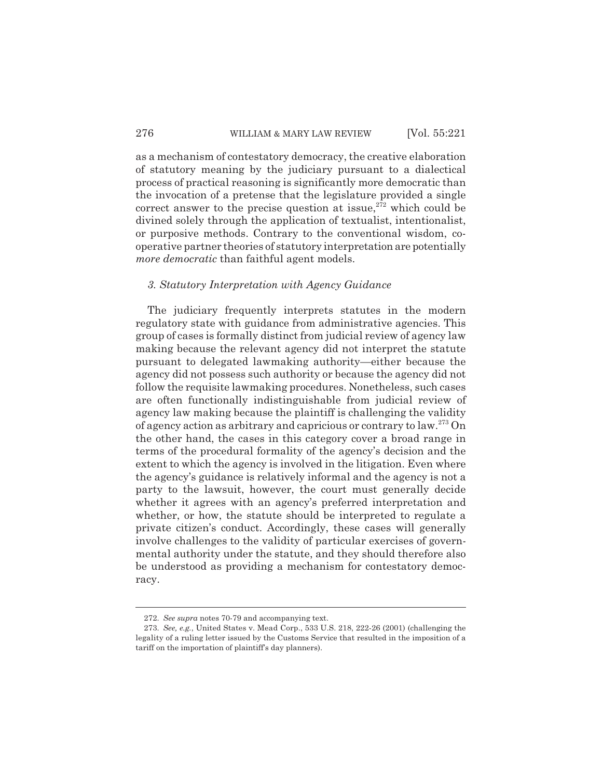as a mechanism of contestatory democracy, the creative elaboration of statutory meaning by the judiciary pursuant to a dialectical process of practical reasoning is significantly more democratic than the invocation of a pretense that the legislature provided a single correct answer to the precise question at issue,  $272$  which could be divined solely through the application of textualist, intentionalist, or purposive methods. Contrary to the conventional wisdom, cooperative partner theories of statutory interpretation are potentially *more democratic* than faithful agent models.

#### *3. Statutory Interpretation with Agency Guidance*

The judiciary frequently interprets statutes in the modern regulatory state with guidance from administrative agencies. This group of cases is formally distinct from judicial review of agency law making because the relevant agency did not interpret the statute pursuant to delegated lawmaking authority—either because the agency did not possess such authority or because the agency did not follow the requisite lawmaking procedures. Nonetheless, such cases are often functionally indistinguishable from judicial review of agency law making because the plaintiff is challenging the validity of agency action as arbitrary and capricious or contrary to law.273 On the other hand, the cases in this category cover a broad range in terms of the procedural formality of the agency's decision and the extent to which the agency is involved in the litigation. Even where the agency's guidance is relatively informal and the agency is not a party to the lawsuit, however, the court must generally decide whether it agrees with an agency's preferred interpretation and whether, or how, the statute should be interpreted to regulate a private citizen's conduct. Accordingly, these cases will generally involve challenges to the validity of particular exercises of governmental authority under the statute, and they should therefore also be understood as providing a mechanism for contestatory democracy.

<sup>272.</sup> *See supra* notes 70-79 and accompanying text.

<sup>273.</sup> *See, e.g.*, United States v. Mead Corp., 533 U.S. 218, 222-26 (2001) (challenging the legality of a ruling letter issued by the Customs Service that resulted in the imposition of a tariff on the importation of plaintiff's day planners).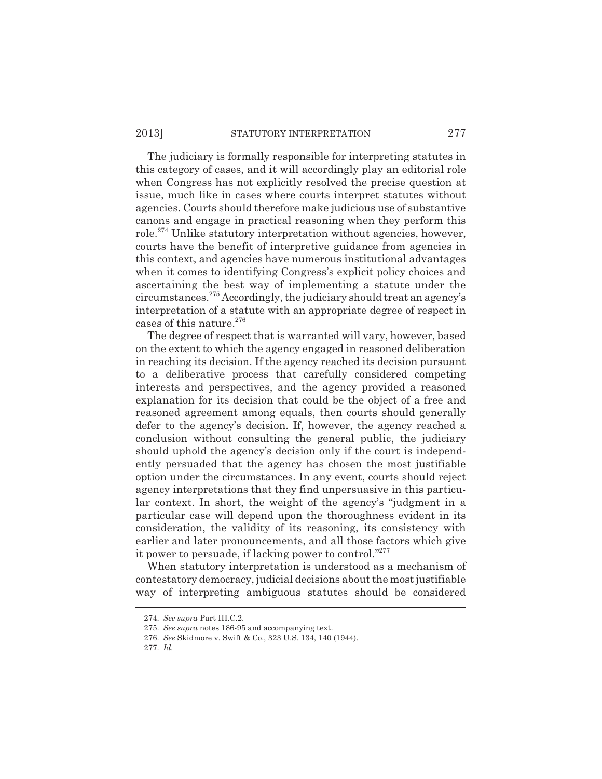#### 2013] STATUTORY INTERPRETATION 277

The judiciary is formally responsible for interpreting statutes in this category of cases, and it will accordingly play an editorial role when Congress has not explicitly resolved the precise question at issue, much like in cases where courts interpret statutes without agencies. Courts should therefore make judicious use of substantive canons and engage in practical reasoning when they perform this role.274 Unlike statutory interpretation without agencies, however, courts have the benefit of interpretive guidance from agencies in this context, and agencies have numerous institutional advantages when it comes to identifying Congress's explicit policy choices and ascertaining the best way of implementing a statute under the circumstances.275 Accordingly, the judiciary should treat an agency's interpretation of a statute with an appropriate degree of respect in cases of this nature. $276$ 

The degree of respect that is warranted will vary, however, based on the extent to which the agency engaged in reasoned deliberation in reaching its decision. If the agency reached its decision pursuant to a deliberative process that carefully considered competing interests and perspectives, and the agency provided a reasoned explanation for its decision that could be the object of a free and reasoned agreement among equals, then courts should generally defer to the agency's decision. If, however, the agency reached a conclusion without consulting the general public, the judiciary should uphold the agency's decision only if the court is independently persuaded that the agency has chosen the most justifiable option under the circumstances. In any event, courts should reject agency interpretations that they find unpersuasive in this particular context. In short, the weight of the agency's "judgment in a particular case will depend upon the thoroughness evident in its consideration, the validity of its reasoning, its consistency with earlier and later pronouncements, and all those factors which give it power to persuade, if lacking power to control."277

When statutory interpretation is understood as a mechanism of contestatory democracy, judicial decisions about the most justifiable way of interpreting ambiguous statutes should be considered

<sup>274.</sup> *See supra* Part III.C.2.

<sup>275.</sup> *See supra* notes 186-95 and accompanying text.

<sup>276.</sup> *See* Skidmore v. Swift & Co., 323 U.S. 134, 140 (1944).

<sup>277.</sup> *Id.*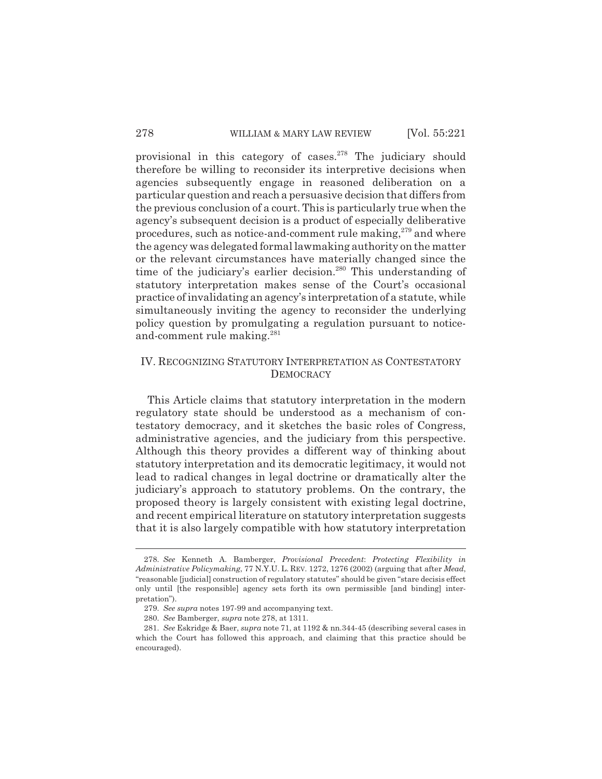provisional in this category of cases. $278$  The judiciary should therefore be willing to reconsider its interpretive decisions when agencies subsequently engage in reasoned deliberation on a particular question and reach a persuasive decision that differs from the previous conclusion of a court. This is particularly true when the agency's subsequent decision is a product of especially deliberative procedures, such as notice-and-comment rule making, $279$  and where the agency was delegated formal lawmaking authority on the matter or the relevant circumstances have materially changed since the time of the judiciary's earlier decision.<sup>280</sup> This understanding of statutory interpretation makes sense of the Court's occasional practice of invalidating an agency's interpretation of a statute, while simultaneously inviting the agency to reconsider the underlying policy question by promulgating a regulation pursuant to noticeand-comment rule making.<sup>281</sup>

# IV. RECOGNIZING STATUTORY INTERPRETATION AS CONTESTATORY **DEMOCRACY**

This Article claims that statutory interpretation in the modern regulatory state should be understood as a mechanism of contestatory democracy, and it sketches the basic roles of Congress, administrative agencies, and the judiciary from this perspective. Although this theory provides a different way of thinking about statutory interpretation and its democratic legitimacy, it would not lead to radical changes in legal doctrine or dramatically alter the judiciary's approach to statutory problems. On the contrary, the proposed theory is largely consistent with existing legal doctrine, and recent empirical literature on statutory interpretation suggests that it is also largely compatible with how statutory interpretation

<sup>278.</sup> *See* Kenneth A. Bamberger, *Provisional Precedent*: *Protecting Flexibility in Administrative Policymaking*, 77 N.Y.U. L. REV. 1272, 1276 (2002) (arguing that after *Mead*, "reasonable [judicial] construction of regulatory statutes" should be given "stare decisis effect only until [the responsible] agency sets forth its own permissible [and binding] interpretation").

<sup>279.</sup> *See supra* notes 197-99 and accompanying text.

<sup>280.</sup> *See* Bamberger, *supra* note 278, at 1311.

<sup>281.</sup> *See* Eskridge & Baer, *supra* note 71, at 1192 & nn.344-45 (describing several cases in which the Court has followed this approach, and claiming that this practice should be encouraged).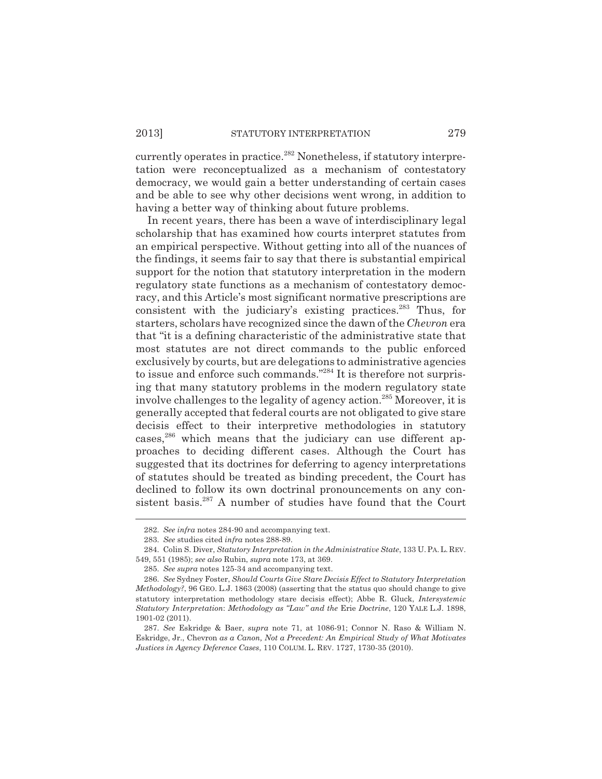currently operates in practice.<sup>282</sup> Nonetheless, if statutory interpretation were reconceptualized as a mechanism of contestatory democracy, we would gain a better understanding of certain cases and be able to see why other decisions went wrong, in addition to having a better way of thinking about future problems.

In recent years, there has been a wave of interdisciplinary legal scholarship that has examined how courts interpret statutes from an empirical perspective. Without getting into all of the nuances of the findings, it seems fair to say that there is substantial empirical support for the notion that statutory interpretation in the modern regulatory state functions as a mechanism of contestatory democracy, and this Article's most significant normative prescriptions are consistent with the judiciary's existing practices.<sup>283</sup> Thus, for starters, scholars have recognized since the dawn of the *Chevron* era that "it is a defining characteristic of the administrative state that most statutes are not direct commands to the public enforced exclusively by courts, but are delegations to administrative agencies to issue and enforce such commands."284 It is therefore not surprising that many statutory problems in the modern regulatory state involve challenges to the legality of agency action.<sup>285</sup> Moreover, it is generally accepted that federal courts are not obligated to give stare decisis effect to their interpretive methodologies in statutory cases,<sup>286</sup> which means that the judiciary can use different approaches to deciding different cases. Although the Court has suggested that its doctrines for deferring to agency interpretations of statutes should be treated as binding precedent, the Court has declined to follow its own doctrinal pronouncements on any consistent basis.<sup>287</sup> A number of studies have found that the Court

<sup>282.</sup> *See infra* notes 284-90 and accompanying text.

<sup>283.</sup> *See* studies cited *infra* notes 288-89.

<sup>284.</sup> Colin S. Diver, *Statutory Interpretation in the Administrative State*, 133 U.PA.L. REV. 549, 551 (1985); *see also* Rubin, *supra* note 173, at 369.

<sup>285.</sup> *See supra* notes 125-34 and accompanying text.

<sup>286.</sup> *See* Sydney Foster, *Should Courts Give Stare Decisis Effect to Statutory Interpretation Methodology?*, 96 GEO. L.J. 1863 (2008) (asserting that the status quo should change to give statutory interpretation methodology stare decisis effect); Abbe R. Gluck, *Intersystemic Statutory Interpretation*: *Methodology as "Law" and the* Erie *Doctrine*, 120 YALE L.J. 1898, 1901-02 (2011).

<sup>287.</sup> *See* Eskridge & Baer, *supra* note 71, at 1086-91; Connor N. Raso & William N. Eskridge, Jr., Chevron *as a Canon, Not a Precedent: An Empirical Study of What Motivates Justices in Agency Deference Cases*, 110 COLUM. L. REV. 1727, 1730-35 (2010).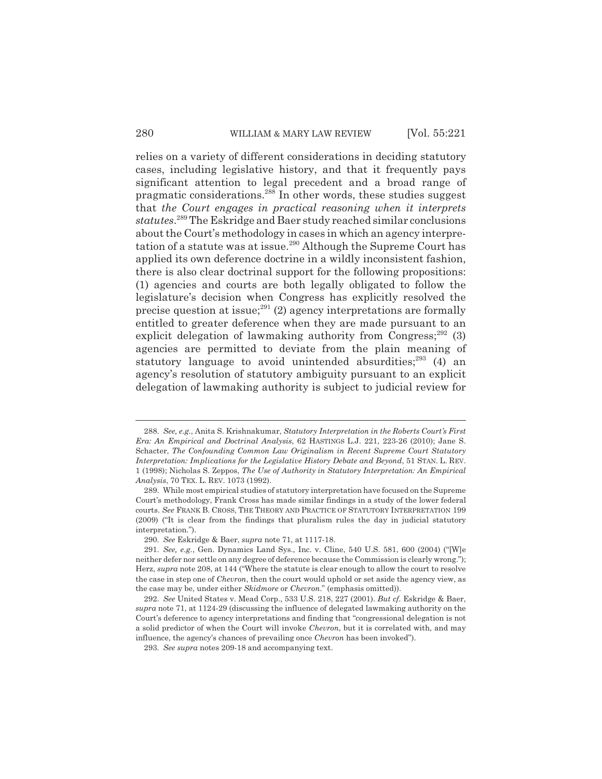relies on a variety of different considerations in deciding statutory cases, including legislative history, and that it frequently pays significant attention to legal precedent and a broad range of pragmatic considerations.288 In other words, these studies suggest that *the Court engages in practical reasoning when it interprets statutes*. 289 The Eskridge and Baer study reached similar conclusions about the Court's methodology in cases in which an agency interpretation of a statute was at issue.<sup>290</sup> Although the Supreme Court has applied its own deference doctrine in a wildly inconsistent fashion, there is also clear doctrinal support for the following propositions: (1) agencies and courts are both legally obligated to follow the legislature's decision when Congress has explicitly resolved the precise question at issue; $^{291}$  (2) agency interpretations are formally entitled to greater deference when they are made pursuant to an explicit delegation of lawmaking authority from Congress; $^{292}$  (3) agencies are permitted to deviate from the plain meaning of statutory language to avoid unintended absurdities;<sup>293</sup> (4) an agency's resolution of statutory ambiguity pursuant to an explicit delegation of lawmaking authority is subject to judicial review for

<sup>288.</sup> *See, e.g.*, Anita S. Krishnakumar, *Statutory Interpretation in the Roberts Court's First Era: An Empirical and Doctrinal Analysis*, 62 HASTINGS L.J. 221, 223-26 (2010); Jane S. Schacter, *The Confounding Common Law Originalism in Recent Supreme Court Statutory Interpretation: Implications for the Legislative History Debate and Beyond*, 51 STAN. L. REV. 1 (1998); Nicholas S. Zeppos, *The Use of Authority in Statutory Interpretation: An Empirical Analysis*, 70 TEX. L. REV. 1073 (1992).

<sup>289.</sup> While most empirical studies of statutory interpretation have focused on the Supreme Court's methodology, Frank Cross has made similar findings in a study of the lower federal courts. *See* FRANK B. CROSS, THE THEORY AND PRACTICE OF STATUTORY INTERPRETATION 199 (2009) ("It is clear from the findings that pluralism rules the day in judicial statutory interpretation.").

<sup>290.</sup> *See* Eskridge & Baer, *supra* note 71, at 1117-18.

<sup>291.</sup> *See, e.g.*, Gen. Dynamics Land Sys., Inc. v. Cline, 540 U.S. 581, 600 (2004) ("[W]e neither defer nor settle on any degree of deference because the Commission is clearly wrong."); Herz, *supra* note 208, at 144 ("Where the statute is clear enough to allow the court to resolve the case in step one of *Chevron*, then the court would uphold or set aside the agency view, as the case may be, under either *Skidmore* or *Chevron*." (emphasis omitted)).

<sup>292.</sup> *See* United States v. Mead Corp., 533 U.S. 218, 227 (2001). *But cf.* Eskridge & Baer, *supra* note 71, at 1124-29 (discussing the influence of delegated lawmaking authority on the Court's deference to agency interpretations and finding that "congressional delegation is not a solid predictor of when the Court will invoke *Chevron*, but it is correlated with, and may influence, the agency's chances of prevailing once *Chevron* has been invoked").

<sup>293.</sup> *See supra* notes 209-18 and accompanying text.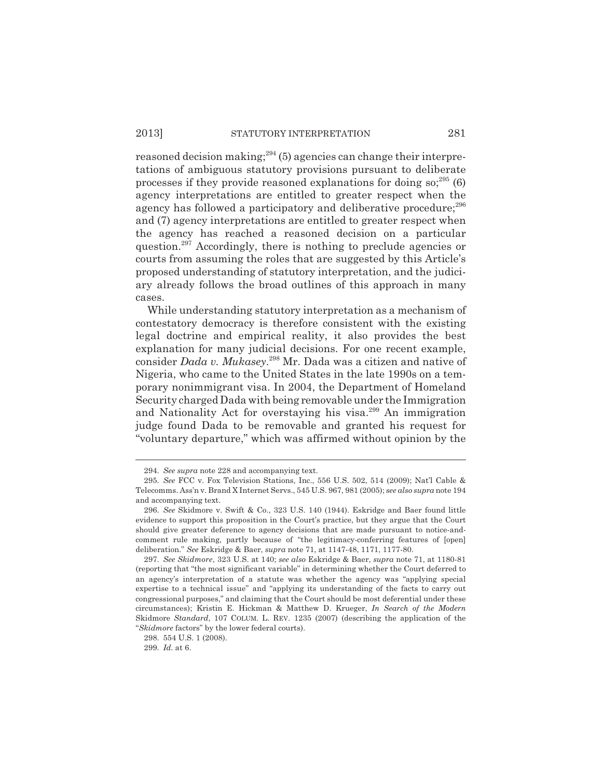reasoned decision making;  $294$  (5) agencies can change their interpretations of ambiguous statutory provisions pursuant to deliberate processes if they provide reasoned explanations for doing  $\text{so};^{295}$  (6) agency interpretations are entitled to greater respect when the agency has followed a participatory and deliberative procedure;<sup>296</sup> and (7) agency interpretations are entitled to greater respect when the agency has reached a reasoned decision on a particular question.<sup>297</sup> Accordingly, there is nothing to preclude agencies or courts from assuming the roles that are suggested by this Article's proposed understanding of statutory interpretation, and the judiciary already follows the broad outlines of this approach in many cases.

While understanding statutory interpretation as a mechanism of contestatory democracy is therefore consistent with the existing legal doctrine and empirical reality, it also provides the best explanation for many judicial decisions. For one recent example, consider *Dada v. Mukasey*. 298 Mr. Dada was a citizen and native of Nigeria, who came to the United States in the late 1990s on a temporary nonimmigrant visa. In 2004, the Department of Homeland Security charged Dada with being removable under the Immigration and Nationality Act for overstaying his visa.<sup>299</sup> An immigration judge found Dada to be removable and granted his request for "voluntary departure," which was affirmed without opinion by the

<sup>294.</sup> *See supra* note 228 and accompanying text.

<sup>295.</sup> *See* FCC v. Fox Television Stations, Inc., 556 U.S. 502, 514 (2009); Nat'l Cable & Telecomms. Ass'n v. Brand X Internet Servs., 545 U.S. 967, 981 (2005); *see also supra* note 194 and accompanying text.

<sup>296.</sup> *See* Skidmore v. Swift & Co., 323 U.S. 140 (1944). Eskridge and Baer found little evidence to support this proposition in the Court's practice, but they argue that the Court should give greater deference to agency decisions that are made pursuant to notice-andcomment rule making, partly because of "the legitimacy-conferring features of [open] deliberation." *See* Eskridge & Baer, *supra* note 71, at 1147-48, 1171, 1177-80.

<sup>297.</sup> *See Skidmore*, 323 U.S. at 140; *see also* Eskridge & Baer, *supra* note 71, at 1180-81 (reporting that "the most significant variable" in determining whether the Court deferred to an agency's interpretation of a statute was whether the agency was "applying special expertise to a technical issue" and "applying its understanding of the facts to carry out congressional purposes," and claiming that the Court should be most deferential under these circumstances); Kristin E. Hickman & Matthew D. Krueger, *In Search of the Modern* Skidmore *Standard*, 107 COLUM. L. REV. 1235 (2007) (describing the application of the "*Skidmore* factors" by the lower federal courts).

<sup>298. 554</sup> U.S. 1 (2008).

<sup>299.</sup> *Id.* at 6.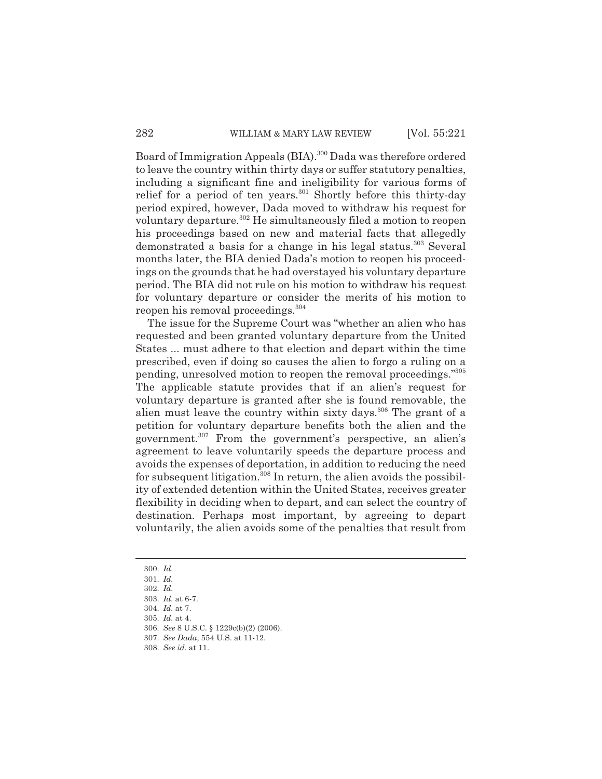Board of Immigration Appeals (BIA).<sup>300</sup> Dada was therefore ordered to leave the country within thirty days or suffer statutory penalties, including a significant fine and ineligibility for various forms of relief for a period of ten years.<sup>301</sup> Shortly before this thirty-day period expired, however, Dada moved to withdraw his request for voluntary departure.<sup>302</sup> He simultaneously filed a motion to reopen his proceedings based on new and material facts that allegedly demonstrated a basis for a change in his legal status.<sup>303</sup> Several months later, the BIA denied Dada's motion to reopen his proceedings on the grounds that he had overstayed his voluntary departure period. The BIA did not rule on his motion to withdraw his request for voluntary departure or consider the merits of his motion to reopen his removal proceedings.304

The issue for the Supreme Court was "whether an alien who has requested and been granted voluntary departure from the United States ... must adhere to that election and depart within the time prescribed, even if doing so causes the alien to forgo a ruling on a pending, unresolved motion to reopen the removal proceedings."305 The applicable statute provides that if an alien's request for voluntary departure is granted after she is found removable, the alien must leave the country within sixty days.<sup>306</sup> The grant of a petition for voluntary departure benefits both the alien and the government.307 From the government's perspective, an alien's agreement to leave voluntarily speeds the departure process and avoids the expenses of deportation, in addition to reducing the need for subsequent litigation.<sup>308</sup> In return, the alien avoids the possibility of extended detention within the United States, receives greater flexibility in deciding when to depart, and can select the country of destination. Perhaps most important, by agreeing to depart voluntarily, the alien avoids some of the penalties that result from

<sup>300.</sup> *Id.*

<sup>301.</sup> *Id.*

<sup>302.</sup> *Id.*

<sup>303.</sup> *Id.* at 6-7.

<sup>304.</sup> *Id.* at 7.

<sup>305.</sup> *Id.* at 4.

<sup>306.</sup> *See* 8 U.S.C. § 1229c(b)(2) (2006).

<sup>307.</sup> *See Dada*, 554 U.S. at 11-12.

<sup>308.</sup> *See id.* at 11.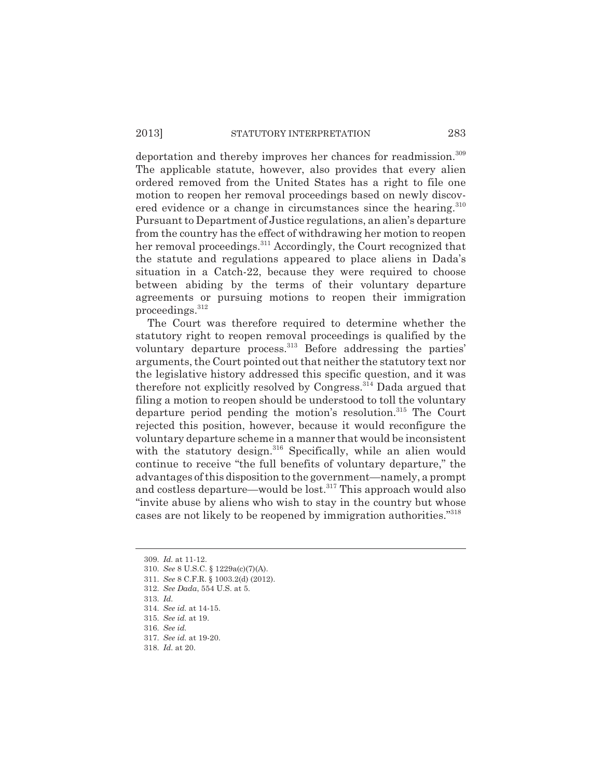# 2013] STATUTORY INTERPRETATION 283

deportation and thereby improves her chances for readmission.<sup>309</sup> The applicable statute, however, also provides that every alien ordered removed from the United States has a right to file one motion to reopen her removal proceedings based on newly discovered evidence or a change in circumstances since the hearing.<sup>310</sup> Pursuant to Department of Justice regulations, an alien's departure from the country has the effect of withdrawing her motion to reopen her removal proceedings.<sup>311</sup> Accordingly, the Court recognized that the statute and regulations appeared to place aliens in Dada's situation in a Catch-22, because they were required to choose between abiding by the terms of their voluntary departure agreements or pursuing motions to reopen their immigration proceedings.312

The Court was therefore required to determine whether the statutory right to reopen removal proceedings is qualified by the voluntary departure process.<sup>313</sup> Before addressing the parties' arguments, the Court pointed out that neither the statutory text nor the legislative history addressed this specific question, and it was therefore not explicitly resolved by Congress.314 Dada argued that filing a motion to reopen should be understood to toll the voluntary departure period pending the motion's resolution.<sup>315</sup> The Court rejected this position, however, because it would reconfigure the voluntary departure scheme in a manner that would be inconsistent with the statutory design.<sup>316</sup> Specifically, while an alien would continue to receive "the full benefits of voluntary departure," the advantages of this disposition to the government—namely, a prompt and costless departure—would be lost.<sup>317</sup> This approach would also "invite abuse by aliens who wish to stay in the country but whose cases are not likely to be reopened by immigration authorities."318

- 310. *See* 8 U.S.C. § 1229a(c)(7)(A).
- 311. *See* 8 C.F.R. § 1003.2(d) (2012).
- 312. *See Dada*, 554 U.S. at 5.
- 313. *Id.*
- 314. *See id.* at 14-15.
- 315. *See id.* at 19.
- 316. *See id.*
- 317. *See id.* at 19-20.
- 318. *Id.* at 20.

<sup>309.</sup> *Id.* at 11-12.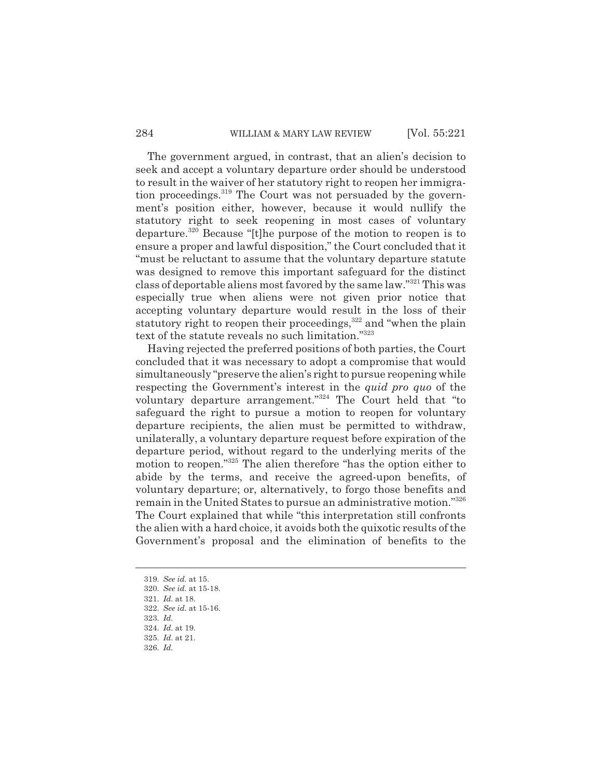#### 284 WILLIAM & MARY LAW REVIEW [Vol. 55:221]

The government argued, in contrast, that an alien's decision to seek and accept a voluntary departure order should be understood to result in the waiver of her statutory right to reopen her immigration proceedings.<sup>319</sup> The Court was not persuaded by the government's position either, however, because it would nullify the statutory right to seek reopening in most cases of voluntary departure.320 Because "[t]he purpose of the motion to reopen is to ensure a proper and lawful disposition," the Court concluded that it "must be reluctant to assume that the voluntary departure statute was designed to remove this important safeguard for the distinct class of deportable aliens most favored by the same law."321 This was especially true when aliens were not given prior notice that accepting voluntary departure would result in the loss of their statutory right to reopen their proceedings,<sup>322</sup> and "when the plain text of the statute reveals no such limitation."323

Having rejected the preferred positions of both parties, the Court concluded that it was necessary to adopt a compromise that would simultaneously "preserve the alien's right to pursue reopening while respecting the Government's interest in the *quid pro quo* of the voluntary departure arrangement."324 The Court held that "to safeguard the right to pursue a motion to reopen for voluntary departure recipients, the alien must be permitted to withdraw, unilaterally, a voluntary departure request before expiration of the departure period, without regard to the underlying merits of the motion to reopen."<sup>325</sup> The alien therefore "has the option either to abide by the terms, and receive the agreed-upon benefits, of voluntary departure; or, alternatively, to forgo those benefits and remain in the United States to pursue an administrative motion."326 The Court explained that while "this interpretation still confronts the alien with a hard choice, it avoids both the quixotic results of the Government's proposal and the elimination of benefits to the

- 319. *See id.* at 15.
- 320. *See id.* at 15-18.
- 321. *Id.* at 18.
- 322. *See id.* at 15-16.
- 323. *Id.*
- 324. *Id.* at 19.
- 325. *Id.* at 21.
- 326. *Id.*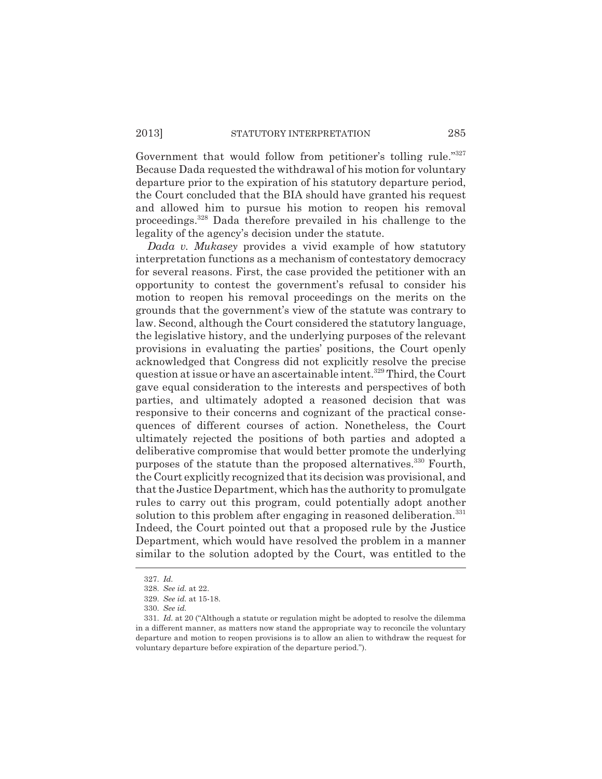Government that would follow from petitioner's tolling rule."<sup>327</sup> Because Dada requested the withdrawal of his motion for voluntary departure prior to the expiration of his statutory departure period, the Court concluded that the BIA should have granted his request and allowed him to pursue his motion to reopen his removal proceedings.328 Dada therefore prevailed in his challenge to the legality of the agency's decision under the statute.

*Dada v. Mukasey* provides a vivid example of how statutory interpretation functions as a mechanism of contestatory democracy for several reasons. First, the case provided the petitioner with an opportunity to contest the government's refusal to consider his motion to reopen his removal proceedings on the merits on the grounds that the government's view of the statute was contrary to law. Second, although the Court considered the statutory language, the legislative history, and the underlying purposes of the relevant provisions in evaluating the parties' positions, the Court openly acknowledged that Congress did not explicitly resolve the precise question at issue or have an ascertainable intent.<sup>329</sup> Third, the Court gave equal consideration to the interests and perspectives of both parties, and ultimately adopted a reasoned decision that was responsive to their concerns and cognizant of the practical consequences of different courses of action. Nonetheless, the Court ultimately rejected the positions of both parties and adopted a deliberative compromise that would better promote the underlying purposes of the statute than the proposed alternatives.<sup>330</sup> Fourth, the Court explicitly recognized that its decision was provisional, and that the Justice Department, which has the authority to promulgate rules to carry out this program, could potentially adopt another solution to this problem after engaging in reasoned deliberation.<sup>331</sup> Indeed, the Court pointed out that a proposed rule by the Justice Department, which would have resolved the problem in a manner similar to the solution adopted by the Court, was entitled to the

<sup>327.</sup> *Id.*

<sup>328.</sup> *See id.* at 22.

<sup>329.</sup> *See id.* at 15-18.

<sup>330.</sup> *See id.*

<sup>331.</sup> *Id.* at 20 ("Although a statute or regulation might be adopted to resolve the dilemma in a different manner, as matters now stand the appropriate way to reconcile the voluntary departure and motion to reopen provisions is to allow an alien to withdraw the request for voluntary departure before expiration of the departure period.").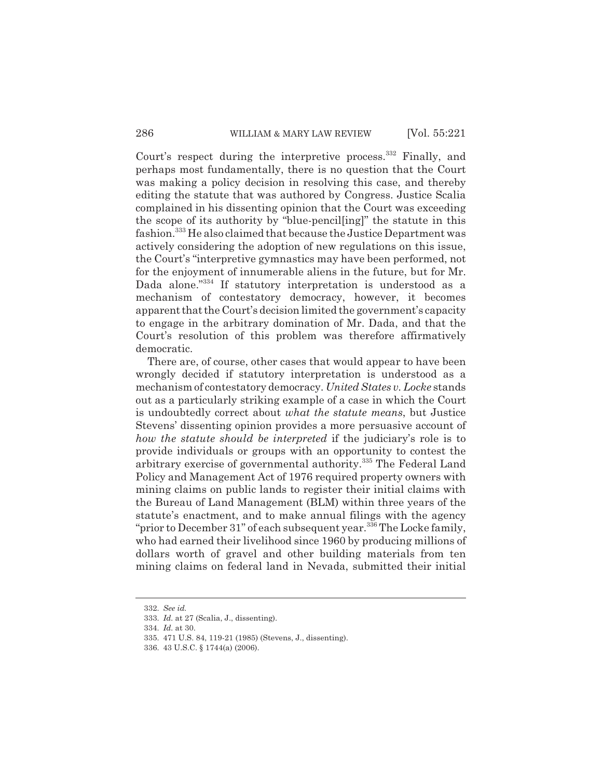Court's respect during the interpretive process.<sup>332</sup> Finally, and perhaps most fundamentally, there is no question that the Court was making a policy decision in resolving this case, and thereby editing the statute that was authored by Congress. Justice Scalia complained in his dissenting opinion that the Court was exceeding the scope of its authority by "blue-pencil[ing]" the statute in this fashion.333 He also claimed that because the Justice Department was actively considering the adoption of new regulations on this issue, the Court's "interpretive gymnastics may have been performed, not for the enjoyment of innumerable aliens in the future, but for Mr. Dada alone."<sup>334</sup> If statutory interpretation is understood as a mechanism of contestatory democracy, however, it becomes apparent that the Court's decision limited the government's capacity to engage in the arbitrary domination of Mr. Dada, and that the Court's resolution of this problem was therefore affirmatively democratic.

There are, of course, other cases that would appear to have been wrongly decided if statutory interpretation is understood as a mechanism of contestatory democracy. *United States v. Locke* stands out as a particularly striking example of a case in which the Court is undoubtedly correct about *what the statute means*, but Justice Stevens' dissenting opinion provides a more persuasive account of *how the statute should be interpreted* if the judiciary's role is to provide individuals or groups with an opportunity to contest the arbitrary exercise of governmental authority.335 The Federal Land Policy and Management Act of 1976 required property owners with mining claims on public lands to register their initial claims with the Bureau of Land Management (BLM) within three years of the statute's enactment, and to make annual filings with the agency "prior to December 31" of each subsequent year.  $336$  The Locke family, who had earned their livelihood since 1960 by producing millions of dollars worth of gravel and other building materials from ten mining claims on federal land in Nevada, submitted their initial

<sup>332.</sup> *See id.*

<sup>333.</sup> *Id.* at 27 (Scalia, J., dissenting).

<sup>334.</sup> *Id.* at 30.

<sup>335. 471</sup> U.S. 84, 119-21 (1985) (Stevens, J., dissenting).

<sup>336. 43</sup> U.S.C. § 1744(a) (2006).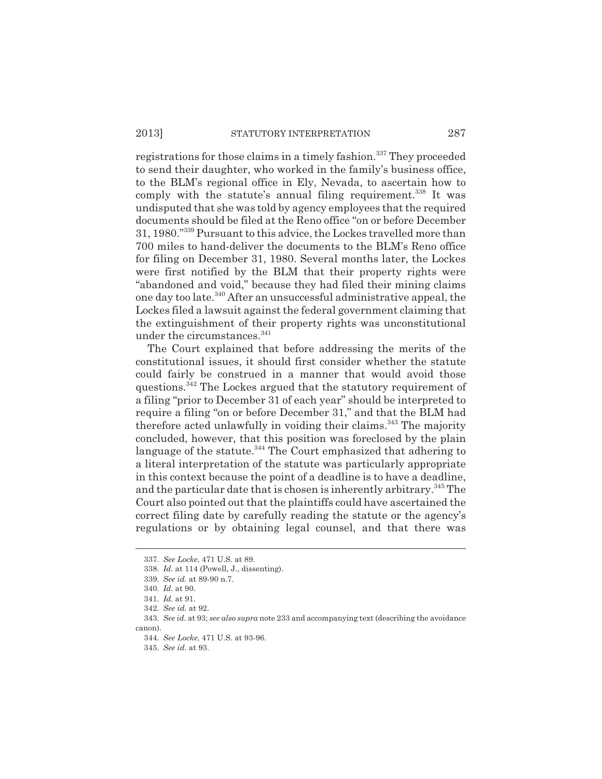# 2013] STATUTORY INTERPRETATION 287

registrations for those claims in a timely fashion.<sup>337</sup> They proceeded to send their daughter, who worked in the family's business office, to the BLM's regional office in Ely, Nevada, to ascertain how to comply with the statute's annual filing requirement.<sup>338</sup> It was undisputed that she was told by agency employees that the required documents should be filed at the Reno office "on or before December 31, 1980."339 Pursuant to this advice, the Lockes travelled more than 700 miles to hand-deliver the documents to the BLM's Reno office for filing on December 31, 1980. Several months later, the Lockes were first notified by the BLM that their property rights were "abandoned and void," because they had filed their mining claims one day too late.340 After an unsuccessful administrative appeal, the Lockes filed a lawsuit against the federal government claiming that the extinguishment of their property rights was unconstitutional under the circumstances.<sup>341</sup>

The Court explained that before addressing the merits of the constitutional issues, it should first consider whether the statute could fairly be construed in a manner that would avoid those questions.342 The Lockes argued that the statutory requirement of a filing "prior to December 31 of each year" should be interpreted to require a filing "on or before December 31," and that the BLM had therefore acted unlawfully in voiding their claims.<sup>343</sup> The majority concluded, however, that this position was foreclosed by the plain language of the statute.<sup>344</sup> The Court emphasized that adhering to a literal interpretation of the statute was particularly appropriate in this context because the point of a deadline is to have a deadline, and the particular date that is chosen is inherently arbitrary.345 The Court also pointed out that the plaintiffs could have ascertained the correct filing date by carefully reading the statute or the agency's regulations or by obtaining legal counsel, and that there was

<sup>337.</sup> *See Locke*, 471 U.S. at 89.

<sup>338.</sup> *Id.* at 114 (Powell, J., dissenting).

<sup>339.</sup> *See id.* at 89-90 n.7.

<sup>340.</sup> *Id.* at 90.

<sup>341.</sup> *Id.* at 91.

<sup>342.</sup> *See id.* at 92.

<sup>343.</sup> *See id.* at 93; *see also supra* note 233 and accompanying text (describing the avoidance canon).

<sup>344.</sup> *See Locke*, 471 U.S. at 93-96.

<sup>345.</sup> *See id.* at 93.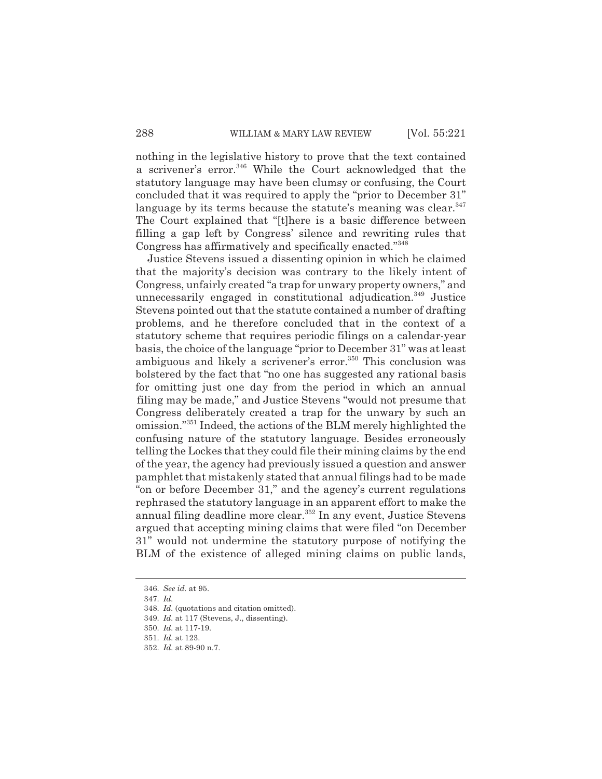nothing in the legislative history to prove that the text contained a scrivener's error.<sup>346</sup> While the Court acknowledged that the statutory language may have been clumsy or confusing, the Court concluded that it was required to apply the "prior to December 31" language by its terms because the statute's meaning was clear.<sup>347</sup> The Court explained that "[t]here is a basic difference between filling a gap left by Congress' silence and rewriting rules that Congress has affirmatively and specifically enacted."<sup>348</sup>

Justice Stevens issued a dissenting opinion in which he claimed that the majority's decision was contrary to the likely intent of Congress, unfairly created "a trap for unwary property owners," and unnecessarily engaged in constitutional adjudication.<sup>349</sup> Justice Stevens pointed out that the statute contained a number of drafting problems, and he therefore concluded that in the context of a statutory scheme that requires periodic filings on a calendar-year basis, the choice of the language "prior to December 31" was at least ambiguous and likely a scrivener's error.<sup>350</sup> This conclusion was bolstered by the fact that "no one has suggested any rational basis for omitting just one day from the period in which an annual filing may be made," and Justice Stevens "would not presume that Congress deliberately created a trap for the unwary by such an omission."351 Indeed, the actions of the BLM merely highlighted the confusing nature of the statutory language. Besides erroneously telling the Lockes that they could file their mining claims by the end of the year, the agency had previously issued a question and answer pamphlet that mistakenly stated that annual filings had to be made "on or before December 31," and the agency's current regulations rephrased the statutory language in an apparent effort to make the annual filing deadline more clear.<sup>352</sup> In any event, Justice Stevens argued that accepting mining claims that were filed "on December 31" would not undermine the statutory purpose of notifying the BLM of the existence of alleged mining claims on public lands,

<sup>346.</sup> *See id.* at 95.

<sup>347.</sup> *Id.*

<sup>348.</sup> *Id.* (quotations and citation omitted).

<sup>349.</sup> *Id.* at 117 (Stevens, J., dissenting).

<sup>350.</sup> *Id.* at 117-19.

<sup>351.</sup> *Id.* at 123.

<sup>352.</sup> *Id.* at 89-90 n.7.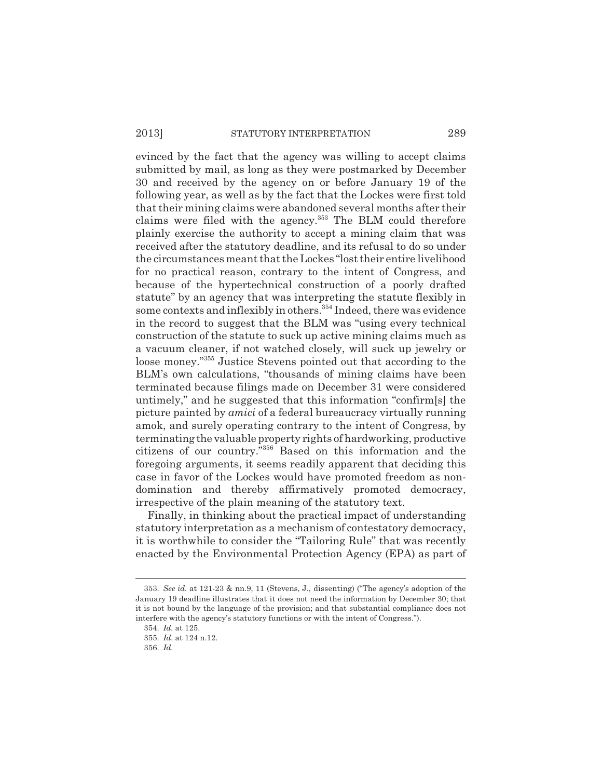# 2013] STATUTORY INTERPRETATION 289

evinced by the fact that the agency was willing to accept claims submitted by mail, as long as they were postmarked by December 30 and received by the agency on or before January 19 of the following year, as well as by the fact that the Lockes were first told that their mining claims were abandoned several months after their claims were filed with the agency.<sup>353</sup> The BLM could therefore plainly exercise the authority to accept a mining claim that was received after the statutory deadline, and its refusal to do so under the circumstances meant that the Lockes "lost their entire livelihood for no practical reason, contrary to the intent of Congress, and because of the hypertechnical construction of a poorly drafted statute" by an agency that was interpreting the statute flexibly in some contexts and inflexibly in others.<sup>354</sup> Indeed, there was evidence in the record to suggest that the BLM was "using every technical construction of the statute to suck up active mining claims much as a vacuum cleaner, if not watched closely, will suck up jewelry or loose money."355 Justice Stevens pointed out that according to the BLM's own calculations, "thousands of mining claims have been terminated because filings made on December 31 were considered untimely," and he suggested that this information "confirm[s] the picture painted by *amici* of a federal bureaucracy virtually running amok, and surely operating contrary to the intent of Congress, by terminating the valuable property rights of hardworking, productive citizens of our country."356 Based on this information and the foregoing arguments, it seems readily apparent that deciding this case in favor of the Lockes would have promoted freedom as nondomination and thereby affirmatively promoted democracy, irrespective of the plain meaning of the statutory text.

Finally, in thinking about the practical impact of understanding statutory interpretation as a mechanism of contestatory democracy, it is worthwhile to consider the "Tailoring Rule" that was recently enacted by the Environmental Protection Agency (EPA) as part of

<sup>353.</sup> *See id.* at 121-23 & nn.9, 11 (Stevens, J., dissenting) ("The agency's adoption of the January 19 deadline illustrates that it does not need the information by December 30; that it is not bound by the language of the provision; and that substantial compliance does not interfere with the agency's statutory functions or with the intent of Congress.").

<sup>354.</sup> *Id.* at 125.

<sup>355.</sup> *Id.* at 124 n.12.

<sup>356.</sup> *Id.*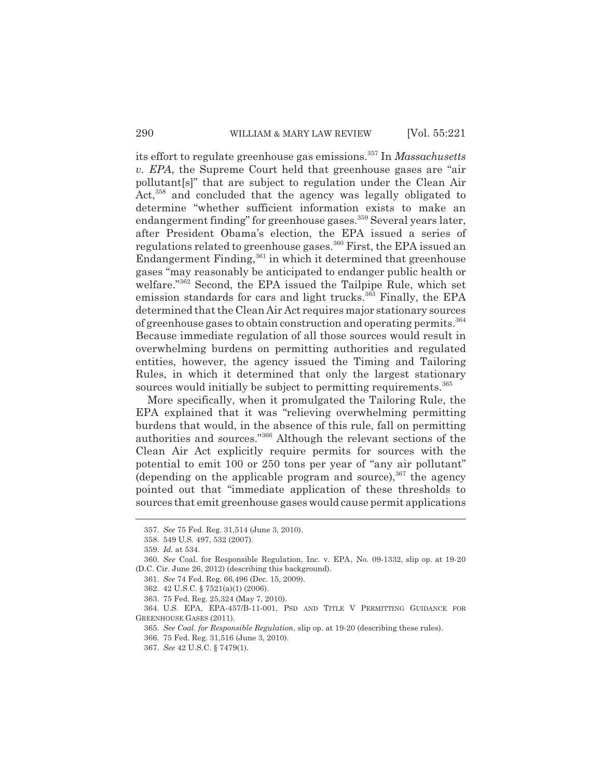its effort to regulate greenhouse gas emissions.357 In *Massachusetts v. EPA*, the Supreme Court held that greenhouse gases are "air pollutant[s]" that are subject to regulation under the Clean Air Act,<sup>358</sup> and concluded that the agency was legally obligated to determine "whether sufficient information exists to make an endangerment finding" for greenhouse gases.<sup>359</sup> Several years later, after President Obama's election, the EPA issued a series of regulations related to greenhouse gases.<sup>360</sup> First, the EPA issued an Endangerment Finding,361 in which it determined that greenhouse gases "may reasonably be anticipated to endanger public health or welfare."<sup>362</sup> Second, the EPA issued the Tailpipe Rule, which set emission standards for cars and light trucks.<sup>363</sup> Finally, the EPA determined that the Clean Air Act requires major stationary sources of greenhouse gases to obtain construction and operating permits.<sup>364</sup> Because immediate regulation of all those sources would result in overwhelming burdens on permitting authorities and regulated entities, however, the agency issued the Timing and Tailoring Rules, in which it determined that only the largest stationary sources would initially be subject to permitting requirements.<sup>365</sup>

More specifically, when it promulgated the Tailoring Rule, the EPA explained that it was "relieving overwhelming permitting burdens that would, in the absence of this rule, fall on permitting authorities and sources."366 Although the relevant sections of the Clean Air Act explicitly require permits for sources with the potential to emit 100 or 250 tons per year of "any air pollutant" (depending on the applicable program and source),  $367$  the agency pointed out that "immediate application of these thresholds to sources that emit greenhouse gases would cause permit applications

<sup>357.</sup> *See* 75 Fed. Reg. 31,514 (June 3, 2010).

<sup>358. 549</sup> U.S. 497, 532 (2007).

<sup>359.</sup> *Id.* at 534.

<sup>360.</sup> *See* Coal. for Responsible Regulation, Inc. v. EPA, No. 09-1332, slip op. at 19-20 (D.C. Cir. June 26, 2012) (describing this background).

<sup>361.</sup> *See* 74 Fed. Reg. 66,496 (Dec. 15, 2009).

<sup>362. 42</sup> U.S.C. § 7521(a)(1) (2006).

<sup>363. 75</sup> Fed. Reg. 25,324 (May 7, 2010).

<sup>364.</sup> U.S. EPA, EPA-457/B-11-001, PSD AND TITLE V PERMITTING GUIDANCE FOR GREENHOUSE GASES (2011).

<sup>365.</sup> *See Coal. for Responsible Regulation*, slip op. at 19-20 (describing these rules).

<sup>366. 75</sup> Fed. Reg. 31,516 (June 3, 2010).

<sup>367.</sup> *See* 42 U.S.C. § 7479(1).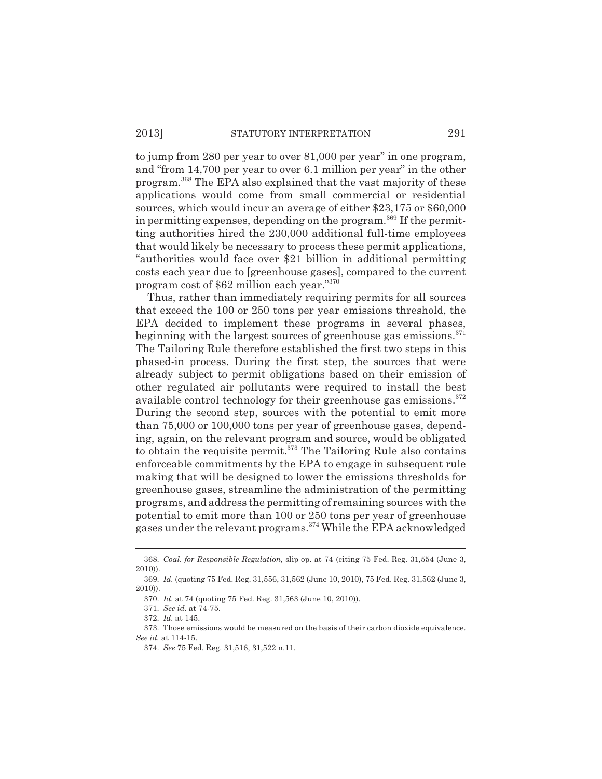to jump from 280 per year to over 81,000 per year" in one program, and "from 14,700 per year to over 6.1 million per year" in the other program.368 The EPA also explained that the vast majority of these applications would come from small commercial or residential sources, which would incur an average of either \$23,175 or \$60,000 in permitting expenses, depending on the program.<sup>369</sup> If the permitting authorities hired the 230,000 additional full-time employees that would likely be necessary to process these permit applications, "authorities would face over \$21 billion in additional permitting costs each year due to [greenhouse gases], compared to the current program cost of \$62 million each year."370

Thus, rather than immediately requiring permits for all sources that exceed the 100 or 250 tons per year emissions threshold, the EPA decided to implement these programs in several phases, beginning with the largest sources of greenhouse gas emissions. $371$ The Tailoring Rule therefore established the first two steps in this phased-in process. During the first step, the sources that were already subject to permit obligations based on their emission of other regulated air pollutants were required to install the best available control technology for their greenhouse gas emissions.<sup>372</sup> During the second step, sources with the potential to emit more than 75,000 or 100,000 tons per year of greenhouse gases, depending, again, on the relevant program and source, would be obligated to obtain the requisite permit.<sup>373</sup> The Tailoring Rule also contains enforceable commitments by the EPA to engage in subsequent rule making that will be designed to lower the emissions thresholds for greenhouse gases, streamline the administration of the permitting programs, and address the permitting of remaining sources with the potential to emit more than 100 or 250 tons per year of greenhouse gases under the relevant programs.374 While the EPA acknowledged

<sup>368.</sup> *Coal. for Responsible Regulation*, slip op. at 74 (citing 75 Fed. Reg. 31,554 (June 3, 2010)).

<sup>369.</sup> *Id.* (quoting 75 Fed. Reg. 31,556, 31,562 (June 10, 2010), 75 Fed. Reg. 31,562 (June 3, 2010)).

<sup>370.</sup> *Id.* at 74 (quoting 75 Fed. Reg. 31,563 (June 10, 2010)).

<sup>371.</sup> *See id.* at 74-75.

<sup>372.</sup> *Id.* at 145.

<sup>373.</sup> Those emissions would be measured on the basis of their carbon dioxide equivalence. *See id.* at 114-15.

<sup>374.</sup> *See* 75 Fed. Reg. 31,516, 31,522 n.11.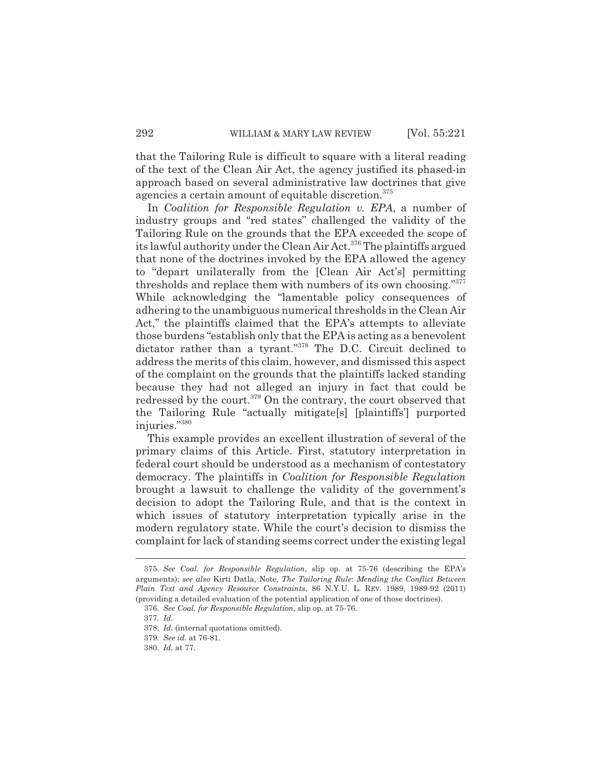that the Tailoring Rule is difficult to square with a literal reading of the text of the Clean Air Act, the agency justified its phased-in approach based on several administrative law doctrines that give agencies a certain amount of equitable discretion.<sup>375</sup>

In *Coalition for Responsible Regulation v. EPA*, a number of industry groups and "red states" challenged the validity of the Tailoring Rule on the grounds that the EPA exceeded the scope of its lawful authority under the Clean Air Act.<sup>376</sup> The plaintiffs argued that none of the doctrines invoked by the EPA allowed the agency to "depart unilaterally from the [Clean Air Act's] permitting thresholds and replace them with numbers of its own choosing."377 While acknowledging the "lamentable policy consequences of adhering to the unambiguous numerical thresholds in the Clean Air Act," the plaintiffs claimed that the EPA's attempts to alleviate those burdens "establish only that the EPA is acting as a benevolent dictator rather than a tyrant."<sup>378</sup> The D.C. Circuit declined to address the merits of this claim, however, and dismissed this aspect of the complaint on the grounds that the plaintiffs lacked standing because they had not alleged an injury in fact that could be redressed by the court.<sup>379</sup> On the contrary, the court observed that the Tailoring Rule "actually mitigate[s] [plaintiffs'] purported injuries."380

This example provides an excellent illustration of several of the primary claims of this Article. First, statutory interpretation in federal court should be understood as a mechanism of contestatory democracy. The plaintiffs in *Coalition for Responsible Regulation* brought a lawsuit to challenge the validity of the government's decision to adopt the Tailoring Rule, and that is the context in which issues of statutory interpretation typically arise in the modern regulatory state. While the court's decision to dismiss the complaint for lack of standing seems correct under the existing legal

<sup>375.</sup> *See Coal. for Responsible Regulation*, slip op. at 75-76 (describing the EPA's arguments); *see also* Kirti Datla, Note, *The Tailoring Rule*: *Mending the Conflict Between Plain Text and Agency Resource Constraints*, 86 N.Y.U. L. REV. 1989, 1989-92 (2011) (providing a detailed evaluation of the potential application of one of those doctrines).

<sup>376.</sup> *See Coal. for Responsible Regulation*, slip op. at 75-76.

<sup>377.</sup> *Id.*

<sup>378.</sup> *Id.* (internal quotations omitted).

<sup>379.</sup> *See id.* at 76-81.

<sup>380.</sup> *Id.* at 77.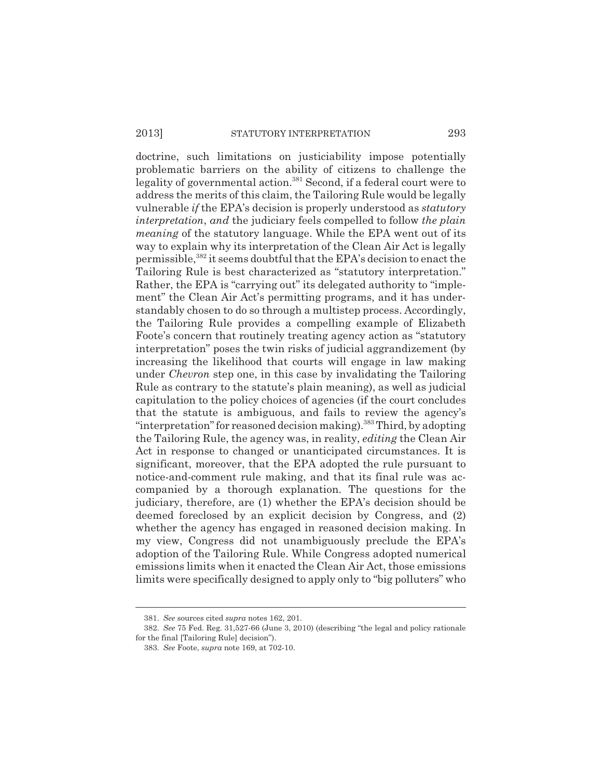doctrine, such limitations on justiciability impose potentially problematic barriers on the ability of citizens to challenge the legality of governmental action.<sup>381</sup> Second, if a federal court were to address the merits of this claim, the Tailoring Rule would be legally vulnerable *if* the EPA's decision is properly understood as *statutory interpretation*, *and* the judiciary feels compelled to follow *the plain meaning* of the statutory language. While the EPA went out of its way to explain why its interpretation of the Clean Air Act is legally permissible,382 it seems doubtful that the EPA's decision to enact the Tailoring Rule is best characterized as "statutory interpretation." Rather, the EPA is "carrying out" its delegated authority to "implement" the Clean Air Act's permitting programs, and it has understandably chosen to do so through a multistep process. Accordingly, the Tailoring Rule provides a compelling example of Elizabeth Foote's concern that routinely treating agency action as "statutory interpretation" poses the twin risks of judicial aggrandizement (by increasing the likelihood that courts will engage in law making under *Chevron* step one, in this case by invalidating the Tailoring Rule as contrary to the statute's plain meaning), as well as judicial capitulation to the policy choices of agencies (if the court concludes that the statute is ambiguous, and fails to review the agency's "interpretation" for reasoned decision making).<sup>383</sup> Third, by adopting the Tailoring Rule, the agency was, in reality, *editing* the Clean Air Act in response to changed or unanticipated circumstances. It is significant, moreover, that the EPA adopted the rule pursuant to notice-and-comment rule making, and that its final rule was accompanied by a thorough explanation. The questions for the judiciary, therefore, are (1) whether the EPA's decision should be deemed foreclosed by an explicit decision by Congress, and (2) whether the agency has engaged in reasoned decision making. In my view, Congress did not unambiguously preclude the EPA's adoption of the Tailoring Rule. While Congress adopted numerical emissions limits when it enacted the Clean Air Act, those emissions limits were specifically designed to apply only to "big polluters" who

<sup>381.</sup> *See* sources cited *supra* notes 162, 201.

<sup>382.</sup> *See* 75 Fed. Reg. 31,527-66 (June 3, 2010) (describing "the legal and policy rationale for the final [Tailoring Rule] decision").

<sup>383.</sup> *See* Foote, *supra* note 169, at 702-10.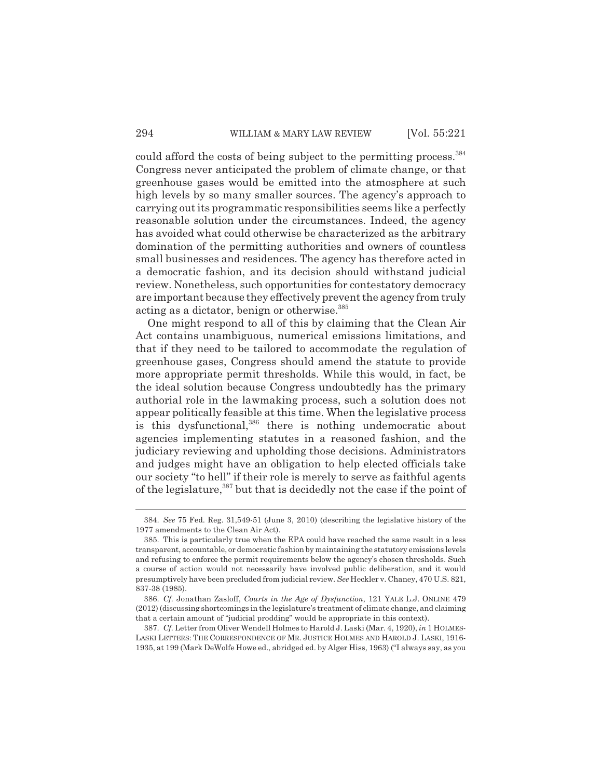could afford the costs of being subject to the permitting process.<sup>384</sup> Congress never anticipated the problem of climate change, or that greenhouse gases would be emitted into the atmosphere at such high levels by so many smaller sources. The agency's approach to carrying out its programmatic responsibilities seems like a perfectly reasonable solution under the circumstances. Indeed, the agency has avoided what could otherwise be characterized as the arbitrary domination of the permitting authorities and owners of countless small businesses and residences. The agency has therefore acted in a democratic fashion, and its decision should withstand judicial review. Nonetheless, such opportunities for contestatory democracy are important because they effectively prevent the agency from truly acting as a dictator, benign or otherwise.385

One might respond to all of this by claiming that the Clean Air Act contains unambiguous, numerical emissions limitations, and that if they need to be tailored to accommodate the regulation of greenhouse gases, Congress should amend the statute to provide more appropriate permit thresholds. While this would, in fact, be the ideal solution because Congress undoubtedly has the primary authorial role in the lawmaking process, such a solution does not appear politically feasible at this time. When the legislative process is this dysfunctional,<sup>386</sup> there is nothing undemocratic about agencies implementing statutes in a reasoned fashion, and the judiciary reviewing and upholding those decisions. Administrators and judges might have an obligation to help elected officials take our society "to hell" if their role is merely to serve as faithful agents of the legislature,387 but that is decidedly not the case if the point of

<sup>384.</sup> *See* 75 Fed. Reg. 31,549-51 (June 3, 2010) (describing the legislative history of the 1977 amendments to the Clean Air Act).

<sup>385.</sup> This is particularly true when the EPA could have reached the same result in a less transparent, accountable, or democratic fashion by maintaining the statutory emissions levels and refusing to enforce the permit requirements below the agency's chosen thresholds. Such a course of action would not necessarily have involved public deliberation, and it would presumptively have been precluded from judicial review. *See* Heckler v. Chaney, 470 U.S. 821, 837-38 (1985).

<sup>386.</sup> *Cf.* Jonathan Zasloff, *Courts in the Age of Dysfunction*, 121 YALE L.J. ONLINE 479 (2012) (discussing shortcomings in the legislature's treatment of climate change, and claiming that a certain amount of "judicial prodding" would be appropriate in this context).

<sup>387.</sup> *Cf.* Letter from Oliver Wendell Holmes to Harold J. Laski (Mar. 4, 1920), *in* 1 HOLMES-LASKI LETTERS: THE CORRESPONDENCE OF MR. JUSTICE HOLMES AND HAROLD J. LASKI, 1916- 1935, at 199 (Mark DeWolfe Howe ed., abridged ed. by Alger Hiss, 1963) ("I always say, as you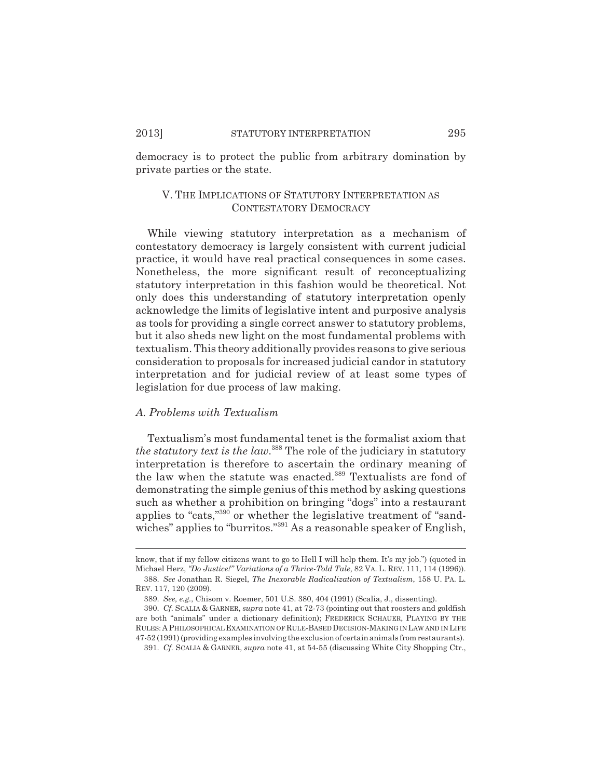democracy is to protect the public from arbitrary domination by private parties or the state.

# V. THE IMPLICATIONS OF STATUTORY INTERPRETATION AS CONTESTATORY DEMOCRACY

While viewing statutory interpretation as a mechanism of contestatory democracy is largely consistent with current judicial practice, it would have real practical consequences in some cases. Nonetheless, the more significant result of reconceptualizing statutory interpretation in this fashion would be theoretical. Not only does this understanding of statutory interpretation openly acknowledge the limits of legislative intent and purposive analysis as tools for providing a single correct answer to statutory problems, but it also sheds new light on the most fundamental problems with textualism. This theory additionally provides reasons to give serious consideration to proposals for increased judicial candor in statutory interpretation and for judicial review of at least some types of legislation for due process of law making.

#### *A. Problems with Textualism*

Textualism's most fundamental tenet is the formalist axiom that *the statutory text is the law*. 388 The role of the judiciary in statutory interpretation is therefore to ascertain the ordinary meaning of the law when the statute was enacted.<sup>389</sup> Textualists are fond of demonstrating the simple genius of this method by asking questions such as whether a prohibition on bringing "dogs" into a restaurant applies to "cats,"390 or whether the legislative treatment of "sandwiches" applies to "burritos."<sup>391</sup> As a reasonable speaker of English,

know, that if my fellow citizens want to go to Hell I will help them. It's my job.") (quoted in Michael Herz, *"Do Justice!" Variations of a Thrice-Told Tale*, 82 VA. L. REV. 111, 114 (1996)).

<sup>388.</sup> *See* Jonathan R. Siegel, *The Inexorable Radicalization of Textualism*, 158 U. PA. L. REV. 117, 120 (2009).

<sup>389.</sup> *See, e.g.*, Chisom v. Roemer, 501 U.S. 380, 404 (1991) (Scalia, J., dissenting).

<sup>390.</sup> *Cf.* SCALIA & GARNER, *supra* note 41, at 72-73 (pointing out that roosters and goldfish are both "animals" under a dictionary definition); FREDERICK SCHAUER, PLAYING BY THE RULES: A PHILOSOPHICAL EXAMINATION OF RULE-BASED DECISION-MAKING IN LAW AND IN LIFE 47-52 (1991) (providing examples involving the exclusion of certain animals from restaurants).

<sup>391.</sup> *Cf.* SCALIA & GARNER, *supra* note 41, at 54-55 (discussing White City Shopping Ctr.,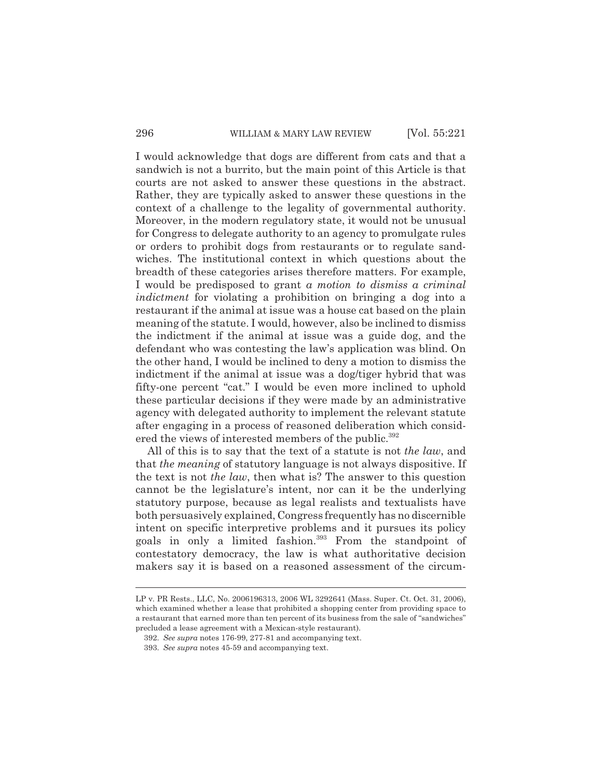I would acknowledge that dogs are different from cats and that a sandwich is not a burrito, but the main point of this Article is that courts are not asked to answer these questions in the abstract. Rather, they are typically asked to answer these questions in the context of a challenge to the legality of governmental authority. Moreover, in the modern regulatory state, it would not be unusual for Congress to delegate authority to an agency to promulgate rules or orders to prohibit dogs from restaurants or to regulate sandwiches. The institutional context in which questions about the breadth of these categories arises therefore matters. For example, I would be predisposed to grant *a motion to dismiss a criminal indictment* for violating a prohibition on bringing a dog into a restaurant if the animal at issue was a house cat based on the plain meaning of the statute. I would, however, also be inclined to dismiss the indictment if the animal at issue was a guide dog, and the defendant who was contesting the law's application was blind. On the other hand, I would be inclined to deny a motion to dismiss the indictment if the animal at issue was a dog/tiger hybrid that was fifty-one percent "cat." I would be even more inclined to uphold these particular decisions if they were made by an administrative agency with delegated authority to implement the relevant statute after engaging in a process of reasoned deliberation which considered the views of interested members of the public.<sup>392</sup>

All of this is to say that the text of a statute is not *the law*, and that *the meaning* of statutory language is not always dispositive. If the text is not *the law*, then what is? The answer to this question cannot be the legislature's intent, nor can it be the underlying statutory purpose, because as legal realists and textualists have both persuasively explained, Congress frequently has no discernible intent on specific interpretive problems and it pursues its policy goals in only a limited fashion.<sup>393</sup> From the standpoint of contestatory democracy, the law is what authoritative decision makers say it is based on a reasoned assessment of the circum-

LP v. PR Rests., LLC, No. 2006196313, 2006 WL 3292641 (Mass. Super. Ct. Oct. 31, 2006), which examined whether a lease that prohibited a shopping center from providing space to a restaurant that earned more than ten percent of its business from the sale of "sandwiches" precluded a lease agreement with a Mexican-style restaurant).

<sup>392.</sup> *See supra* notes 176-99, 277-81 and accompanying text.

<sup>393.</sup> *See supra* notes 45-59 and accompanying text.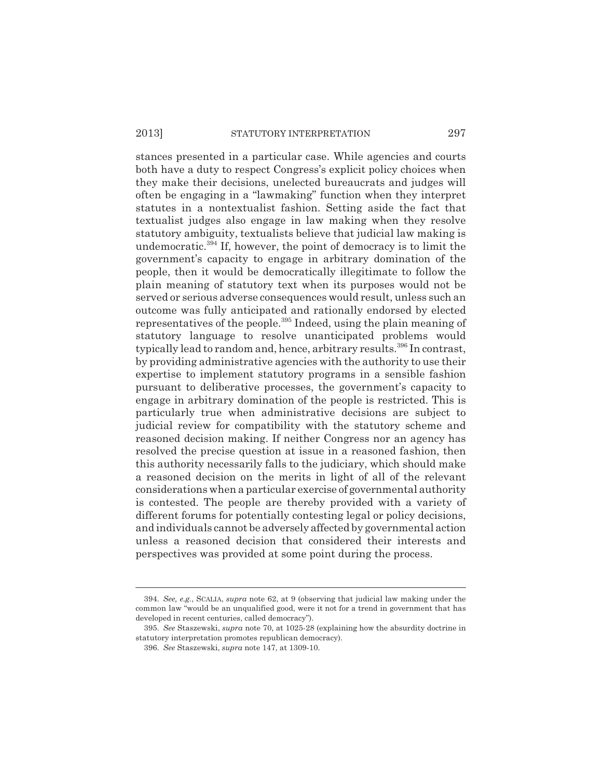### 2013] STATUTORY INTERPRETATION 297

stances presented in a particular case. While agencies and courts both have a duty to respect Congress's explicit policy choices when they make their decisions, unelected bureaucrats and judges will often be engaging in a "lawmaking" function when they interpret statutes in a nontextualist fashion. Setting aside the fact that textualist judges also engage in law making when they resolve statutory ambiguity, textualists believe that judicial law making is undemocratic.<sup>394</sup> If, however, the point of democracy is to limit the government's capacity to engage in arbitrary domination of the people, then it would be democratically illegitimate to follow the plain meaning of statutory text when its purposes would not be served or serious adverse consequences would result, unless such an outcome was fully anticipated and rationally endorsed by elected representatives of the people.395 Indeed, using the plain meaning of statutory language to resolve unanticipated problems would typically lead to random and, hence, arbitrary results.<sup>396</sup> In contrast, by providing administrative agencies with the authority to use their expertise to implement statutory programs in a sensible fashion pursuant to deliberative processes, the government's capacity to engage in arbitrary domination of the people is restricted. This is particularly true when administrative decisions are subject to judicial review for compatibility with the statutory scheme and reasoned decision making. If neither Congress nor an agency has resolved the precise question at issue in a reasoned fashion, then this authority necessarily falls to the judiciary, which should make a reasoned decision on the merits in light of all of the relevant considerations when a particular exercise of governmental authority is contested. The people are thereby provided with a variety of different forums for potentially contesting legal or policy decisions, and individuals cannot be adversely affected by governmental action unless a reasoned decision that considered their interests and perspectives was provided at some point during the process.

<sup>394.</sup> *See, e.g.*, SCALIA, *supra* note 62, at 9 (observing that judicial law making under the common law "would be an unqualified good, were it not for a trend in government that has developed in recent centuries, called democracy").

<sup>395.</sup> *See* Staszewski, *supra* note 70, at 1025-28 (explaining how the absurdity doctrine in statutory interpretation promotes republican democracy).

<sup>396.</sup> *See* Staszewski, *supra* note 147, at 1309-10.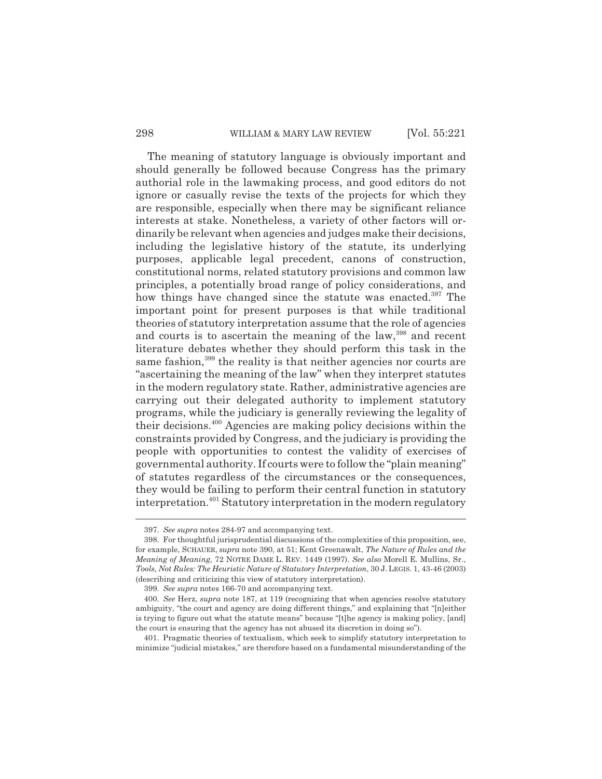#### 298 WILLIAM & MARY LAW REVIEW [Vol. 55:221]

The meaning of statutory language is obviously important and should generally be followed because Congress has the primary authorial role in the lawmaking process, and good editors do not ignore or casually revise the texts of the projects for which they are responsible, especially when there may be significant reliance interests at stake. Nonetheless, a variety of other factors will ordinarily be relevant when agencies and judges make their decisions, including the legislative history of the statute, its underlying purposes, applicable legal precedent, canons of construction, constitutional norms, related statutory provisions and common law principles, a potentially broad range of policy considerations, and how things have changed since the statute was enacted.<sup>397</sup> The important point for present purposes is that while traditional theories of statutory interpretation assume that the role of agencies and courts is to ascertain the meaning of the law,<sup>398</sup> and recent literature debates whether they should perform this task in the same fashion,<sup>399</sup> the reality is that neither agencies nor courts are "ascertaining the meaning of the law" when they interpret statutes in the modern regulatory state. Rather, administrative agencies are carrying out their delegated authority to implement statutory programs, while the judiciary is generally reviewing the legality of their decisions.400 Agencies are making policy decisions within the constraints provided by Congress, and the judiciary is providing the people with opportunities to contest the validity of exercises of governmental authority. If courts were to follow the "plain meaning" of statutes regardless of the circumstances or the consequences, they would be failing to perform their central function in statutory interpretation.<sup>401</sup> Statutory interpretation in the modern regulatory

<sup>397.</sup> *See supra* notes 284-97 and accompanying text.

<sup>398.</sup> For thoughtful jurisprudential discussions of the complexities of this proposition, see, for example, SCHAUER, *supra* note 390, at 51; Kent Greenawalt, *The Nature of Rules and the Meaning of Meaning*, 72 NOTRE DAME L. REV. 1449 (1997). *See also* Morell E. Mullins, Sr., *Tools, Not Rules: The Heuristic Nature of Statutory Interpretation*, 30 J.LEGIS. 1, 43-46 (2003) (describing and criticizing this view of statutory interpretation).

<sup>399.</sup> *See supra* notes 166-70 and accompanying text.

<sup>400.</sup> *See* Herz, *supra* note 187, at 119 (recognizing that when agencies resolve statutory ambiguity, "the court and agency are doing different things," and explaining that "[n]either is trying to figure out what the statute means" because "[t]he agency is making policy, [and] the court is ensuring that the agency has not abused its discretion in doing so").

<sup>401.</sup> Pragmatic theories of textualism, which seek to simplify statutory interpretation to minimize "judicial mistakes," are therefore based on a fundamental misunderstanding of the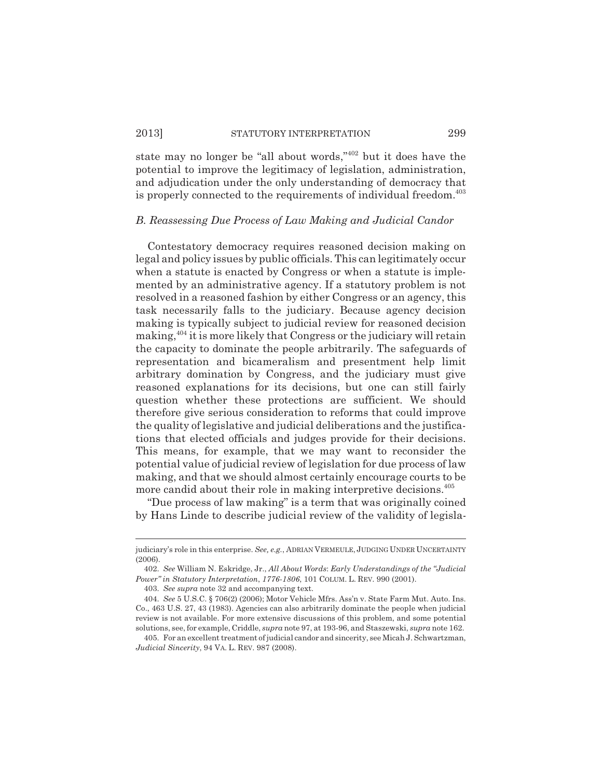state may no longer be "all about words,"402 but it does have the potential to improve the legitimacy of legislation, administration, and adjudication under the only understanding of democracy that is properly connected to the requirements of individual freedom.<sup>403</sup>

#### *B. Reassessing Due Process of Law Making and Judicial Candor*

Contestatory democracy requires reasoned decision making on legal and policy issues by public officials. This can legitimately occur when a statute is enacted by Congress or when a statute is implemented by an administrative agency. If a statutory problem is not resolved in a reasoned fashion by either Congress or an agency, this task necessarily falls to the judiciary. Because agency decision making is typically subject to judicial review for reasoned decision making,404 it is more likely that Congress or the judiciary will retain the capacity to dominate the people arbitrarily. The safeguards of representation and bicameralism and presentment help limit arbitrary domination by Congress, and the judiciary must give reasoned explanations for its decisions, but one can still fairly question whether these protections are sufficient. We should therefore give serious consideration to reforms that could improve the quality of legislative and judicial deliberations and the justifications that elected officials and judges provide for their decisions. This means, for example, that we may want to reconsider the potential value of judicial review of legislation for due process of law making, and that we should almost certainly encourage courts to be more candid about their role in making interpretive decisions.405

"Due process of law making" is a term that was originally coined by Hans Linde to describe judicial review of the validity of legisla-

judiciary's role in this enterprise. *See, e.g.*, ADRIAN VERMEULE, JUDGING UNDER UNCERTAINTY (2006).

<sup>402.</sup> *See* William N. Eskridge, Jr., *All About Words*: *Early Understandings of the "Judicial Power" in Statutory Interpretation*, *1776-1806*, 101 COLUM. L. REV. 990 (2001).

<sup>403.</sup> *See supra* note 32 and accompanying text.

<sup>404.</sup> *See* 5 U.S.C. § 706(2) (2006); Motor Vehicle Mfrs. Ass'n v. State Farm Mut. Auto. Ins. Co., 463 U.S. 27, 43 (1983). Agencies can also arbitrarily dominate the people when judicial review is not available. For more extensive discussions of this problem, and some potential solutions, see, for example, Criddle, *supra* note 97, at 193-96, and Staszewski, *supra* note 162.

<sup>405.</sup> For an excellent treatment of judicial candor and sincerity, see Micah J. Schwartzman, *Judicial Sincerity*, 94 VA. L. REV. 987 (2008).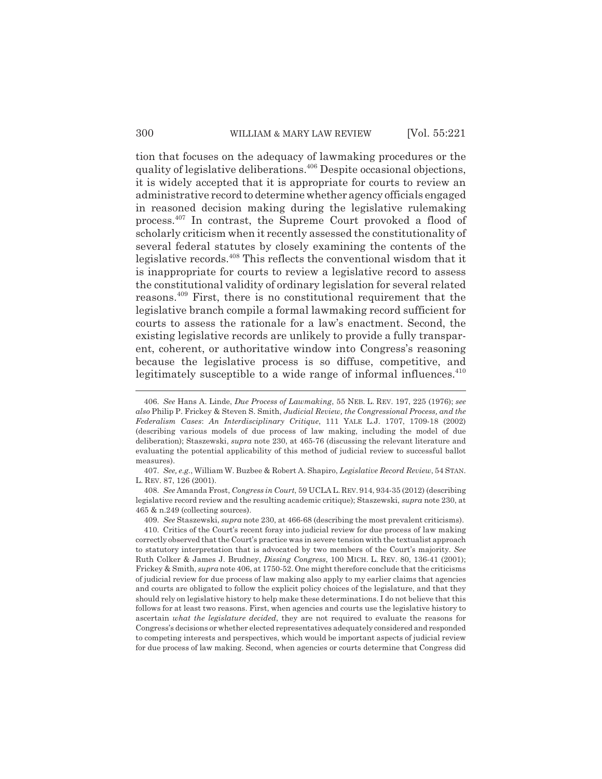tion that focuses on the adequacy of lawmaking procedures or the quality of legislative deliberations.406 Despite occasional objections, it is widely accepted that it is appropriate for courts to review an administrative record to determine whether agency officials engaged in reasoned decision making during the legislative rulemaking process.407 In contrast, the Supreme Court provoked a flood of scholarly criticism when it recently assessed the constitutionality of several federal statutes by closely examining the contents of the legislative records.408 This reflects the conventional wisdom that it is inappropriate for courts to review a legislative record to assess the constitutional validity of ordinary legislation for several related reasons.409 First, there is no constitutional requirement that the legislative branch compile a formal lawmaking record sufficient for courts to assess the rationale for a law's enactment. Second, the existing legislative records are unlikely to provide a fully transparent, coherent, or authoritative window into Congress's reasoning because the legislative process is so diffuse, competitive, and legitimately susceptible to a wide range of informal influences.<sup>410</sup>

<sup>406.</sup> *See* Hans A. Linde, *Due Process of Lawmaking*, 55 NEB. L. REV. 197, 225 (1976); *see also* Philip P. Frickey & Steven S. Smith, *Judicial Review, the Congressional Process, and the Federalism Cases*: *An Interdisciplinary Critique*, 111 YALE L.J. 1707, 1709-18 (2002) (describing various models of due process of law making, including the model of due deliberation); Staszewski, *supra* note 230, at 465-76 (discussing the relevant literature and evaluating the potential applicability of this method of judicial review to successful ballot measures).

<sup>407.</sup> *See, e.g.*, William W. Buzbee & Robert A. Shapiro, *Legislative Record Review*, 54 STAN. L. REV. 87, 126 (2001).

<sup>408.</sup> *See* Amanda Frost, *Congress in Court*, 59 UCLA L. REV. 914, 934-35 (2012) (describing legislative record review and the resulting academic critique); Staszewski, *supra* note 230, at 465 & n.249 (collecting sources).

<sup>409.</sup> *See* Staszewski, *supra* note 230, at 466-68 (describing the most prevalent criticisms).

<sup>410.</sup> Critics of the Court's recent foray into judicial review for due process of law making correctly observed that the Court's practice was in severe tension with the textualist approach to statutory interpretation that is advocated by two members of the Court's majority. *See* Ruth Colker & James J. Brudney, *Dissing Congress*, 100 MICH. L. REV. 80, 136-41 (2001); Frickey & Smith, *supra* note 406, at 1750-52. One might therefore conclude that the criticisms of judicial review for due process of law making also apply to my earlier claims that agencies and courts are obligated to follow the explicit policy choices of the legislature, and that they should rely on legislative history to help make these determinations. I do not believe that this follows for at least two reasons. First, when agencies and courts use the legislative history to ascertain *what the legislature decided*, they are not required to evaluate the reasons for Congress's decisions or whether elected representatives adequately considered and responded to competing interests and perspectives, which would be important aspects of judicial review for due process of law making. Second, when agencies or courts determine that Congress did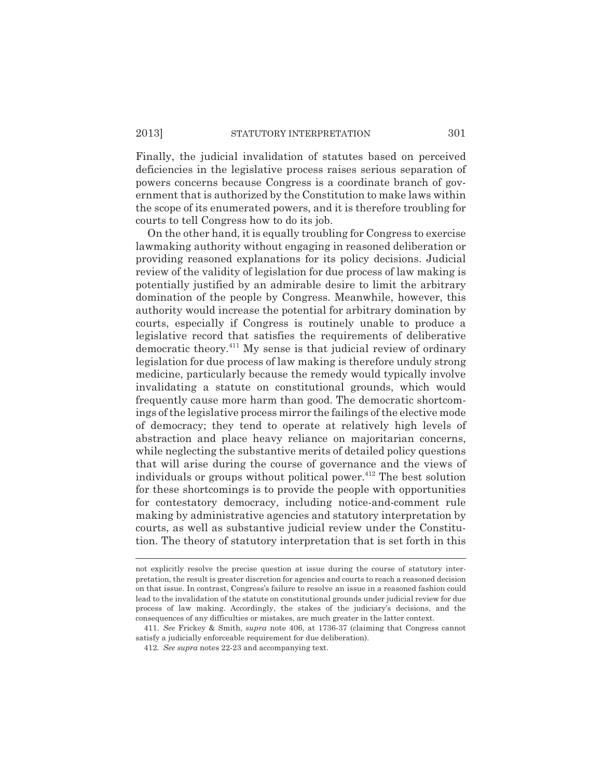Finally, the judicial invalidation of statutes based on perceived deficiencies in the legislative process raises serious separation of powers concerns because Congress is a coordinate branch of government that is authorized by the Constitution to make laws within the scope of its enumerated powers, and it is therefore troubling for courts to tell Congress how to do its job.

On the other hand, it is equally troubling for Congress to exercise lawmaking authority without engaging in reasoned deliberation or providing reasoned explanations for its policy decisions. Judicial review of the validity of legislation for due process of law making is potentially justified by an admirable desire to limit the arbitrary domination of the people by Congress. Meanwhile, however, this authority would increase the potential for arbitrary domination by courts, especially if Congress is routinely unable to produce a legislative record that satisfies the requirements of deliberative democratic theory.411 My sense is that judicial review of ordinary legislation for due process of law making is therefore unduly strong medicine, particularly because the remedy would typically involve invalidating a statute on constitutional grounds, which would frequently cause more harm than good. The democratic shortcomings of the legislative process mirror the failings of the elective mode of democracy; they tend to operate at relatively high levels of abstraction and place heavy reliance on majoritarian concerns, while neglecting the substantive merits of detailed policy questions that will arise during the course of governance and the views of individuals or groups without political power.<sup> $412$ </sup> The best solution for these shortcomings is to provide the people with opportunities for contestatory democracy, including notice-and-comment rule making by administrative agencies and statutory interpretation by courts, as well as substantive judicial review under the Constitution. The theory of statutory interpretation that is set forth in this

not explicitly resolve the precise question at issue during the course of statutory interpretation, the result is greater discretion for agencies and courts to reach a reasoned decision on that issue. In contrast, Congress's failure to resolve an issue in a reasoned fashion could lead to the invalidation of the statute on constitutional grounds under judicial review for due process of law making. Accordingly, the stakes of the judiciary's decisions, and the consequences of any difficulties or mistakes, are much greater in the latter context.

<sup>411.</sup> *See* Frickey & Smith, *supra* note 406, at 1736-37 (claiming that Congress cannot satisfy a judicially enforceable requirement for due deliberation).

<sup>412.</sup> *See supra* notes 22-23 and accompanying text.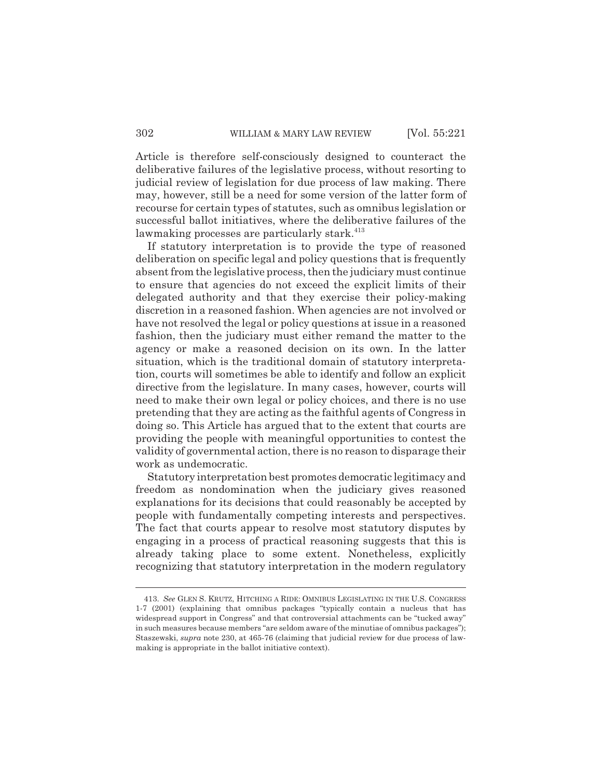Article is therefore self-consciously designed to counteract the deliberative failures of the legislative process, without resorting to judicial review of legislation for due process of law making. There may, however, still be a need for some version of the latter form of recourse for certain types of statutes, such as omnibus legislation or successful ballot initiatives, where the deliberative failures of the lawmaking processes are particularly stark.<sup>413</sup>

If statutory interpretation is to provide the type of reasoned deliberation on specific legal and policy questions that is frequently absent from the legislative process, then the judiciary must continue to ensure that agencies do not exceed the explicit limits of their delegated authority and that they exercise their policy-making discretion in a reasoned fashion. When agencies are not involved or have not resolved the legal or policy questions at issue in a reasoned fashion, then the judiciary must either remand the matter to the agency or make a reasoned decision on its own. In the latter situation, which is the traditional domain of statutory interpretation, courts will sometimes be able to identify and follow an explicit directive from the legislature. In many cases, however, courts will need to make their own legal or policy choices, and there is no use pretending that they are acting as the faithful agents of Congress in doing so. This Article has argued that to the extent that courts are providing the people with meaningful opportunities to contest the validity of governmental action, there is no reason to disparage their work as undemocratic.

Statutory interpretation best promotes democratic legitimacy and freedom as nondomination when the judiciary gives reasoned explanations for its decisions that could reasonably be accepted by people with fundamentally competing interests and perspectives. The fact that courts appear to resolve most statutory disputes by engaging in a process of practical reasoning suggests that this is already taking place to some extent. Nonetheless, explicitly recognizing that statutory interpretation in the modern regulatory

<sup>413.</sup> *See* GLEN S. KRUTZ, HITCHING A RIDE: OMNIBUS LEGISLATING IN THE U.S. CONGRESS 1-7 (2001) (explaining that omnibus packages "typically contain a nucleus that has widespread support in Congress" and that controversial attachments can be "tucked away" in such measures because members "are seldom aware of the minutiae of omnibus packages"); Staszewski, *supra* note 230, at 465-76 (claiming that judicial review for due process of lawmaking is appropriate in the ballot initiative context).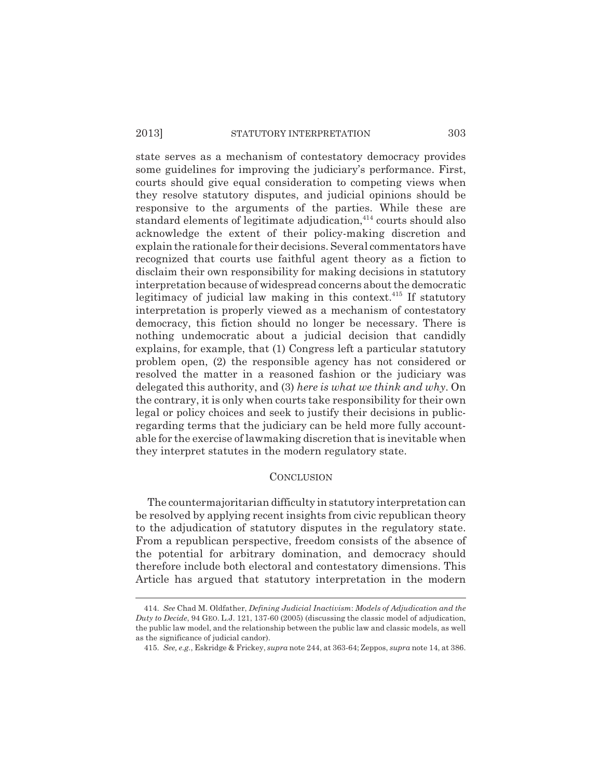state serves as a mechanism of contestatory democracy provides some guidelines for improving the judiciary's performance. First, courts should give equal consideration to competing views when they resolve statutory disputes, and judicial opinions should be responsive to the arguments of the parties. While these are standard elements of legitimate adjudication, $414$  courts should also acknowledge the extent of their policy-making discretion and explain the rationale for their decisions. Several commentators have recognized that courts use faithful agent theory as a fiction to disclaim their own responsibility for making decisions in statutory interpretation because of widespread concerns about the democratic legitimacy of judicial law making in this context.415 If statutory interpretation is properly viewed as a mechanism of contestatory democracy, this fiction should no longer be necessary. There is nothing undemocratic about a judicial decision that candidly explains, for example, that (1) Congress left a particular statutory problem open, (2) the responsible agency has not considered or resolved the matter in a reasoned fashion or the judiciary was delegated this authority, and (3) *here is what we think and why*. On the contrary, it is only when courts take responsibility for their own legal or policy choices and seek to justify their decisions in publicregarding terms that the judiciary can be held more fully accountable for the exercise of lawmaking discretion that is inevitable when they interpret statutes in the modern regulatory state.

## **CONCLUSION**

The countermajoritarian difficulty in statutory interpretation can be resolved by applying recent insights from civic republican theory to the adjudication of statutory disputes in the regulatory state. From a republican perspective, freedom consists of the absence of the potential for arbitrary domination, and democracy should therefore include both electoral and contestatory dimensions. This Article has argued that statutory interpretation in the modern

<sup>414.</sup> *See* Chad M. Oldfather, *Defining Judicial Inactivism*: *Models of Adjudication and the Duty to Decide*, 94 GEO. L.J. 121, 137-60 (2005) (discussing the classic model of adjudication, the public law model, and the relationship between the public law and classic models, as well as the significance of judicial candor).

<sup>415.</sup> *See, e.g.*, Eskridge & Frickey, *supra* note 244, at 363-64; Zeppos, *supra* note 14, at 386.